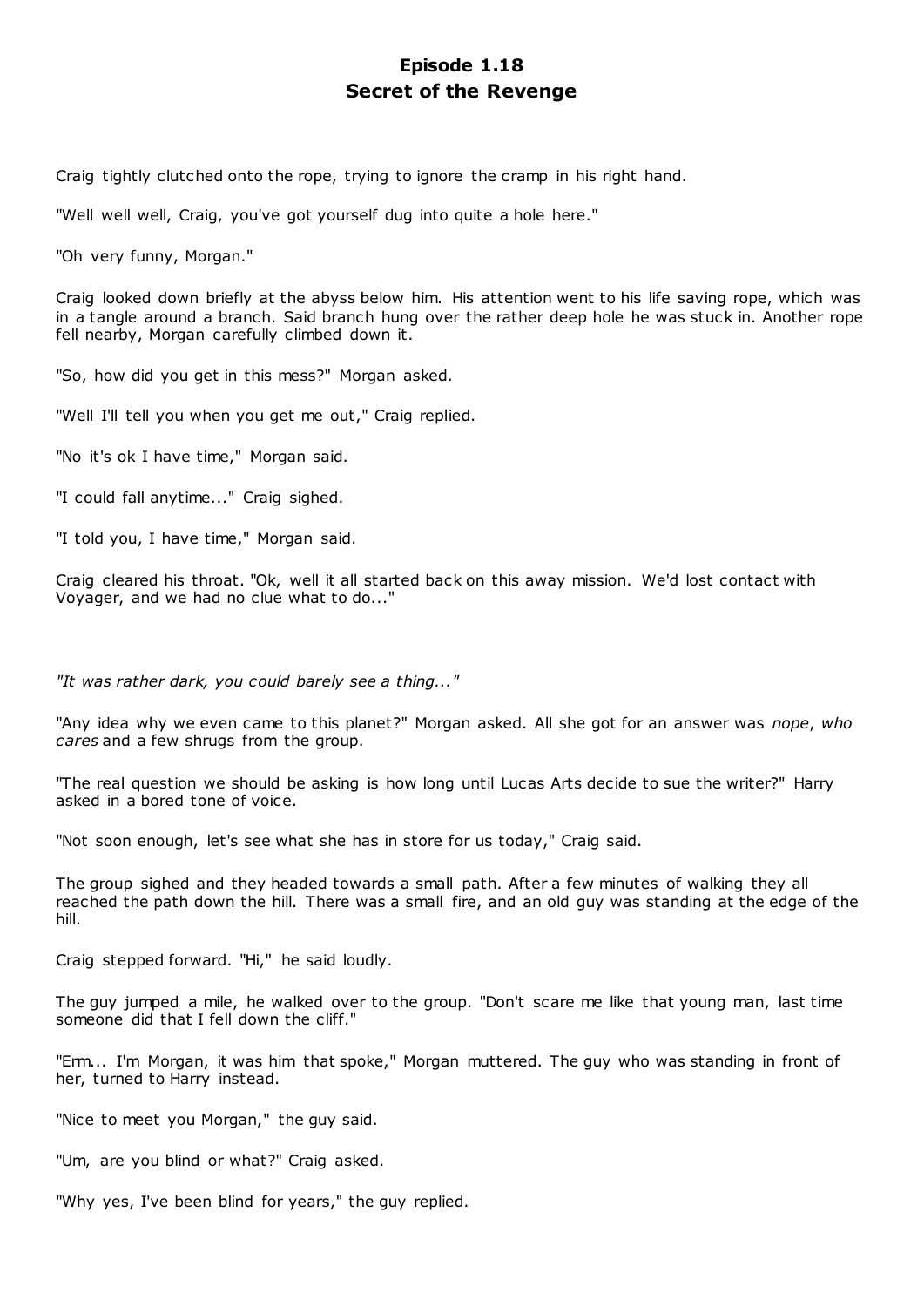# **Episode 1.18 Secret of the Revenge**

Craig tightly clutched onto the rope, trying to ignore the cramp in his right hand.

"Well well well, Craig, you've got yourself dug into quite a hole here."

"Oh very funny, Morgan."

Craig looked down briefly at the abyss below him. His attention went to his life saving rope, which was in a tangle around a branch. Said branch hung over the rather deep hole he was stuck in. Another rope fell nearby, Morgan carefully climbed down it.

"So, how did you get in this mess?" Morgan asked.

"Well I'll tell you when you get me out," Craig replied.

"No it's ok I have time," Morgan said.

"I could fall anytime..." Craig sighed.

"I told you, I have time," Morgan said.

Craig cleared his throat. "Ok, well it all started back on this away mission. We'd lost contact with Voyager, and we had no clue what to do..."

*"It was rather dark, you could barely see a thing..."*

"Any idea why we even came to this planet?" Morgan asked. All she got for an answer was *nope*, *who cares* and a few shrugs from the group.

"The real question we should be asking is how long until Lucas Arts decide to sue the writer?" Harry asked in a bored tone of voice.

"Not soon enough, let's see what she has in store for us today," Craig said.

The group sighed and they headed towards a small path. After a few minutes of walking they all reached the path down the hill. There was a small fire, and an old guy was standing at the edge of the hill.

Craig stepped forward. "Hi," he said loudly.

The guy jumped a mile, he walked over to the group. "Don't scare me like that young man, last time someone did that I fell down the cliff."

"Erm... I'm Morgan, it was him that spoke," Morgan muttered. The guy who was standing in front of her, turned to Harry instead.

"Nice to meet you Morgan," the guy said.

"Um, are you blind or what?" Craig asked.

"Why yes, I've been blind for years," the guy replied.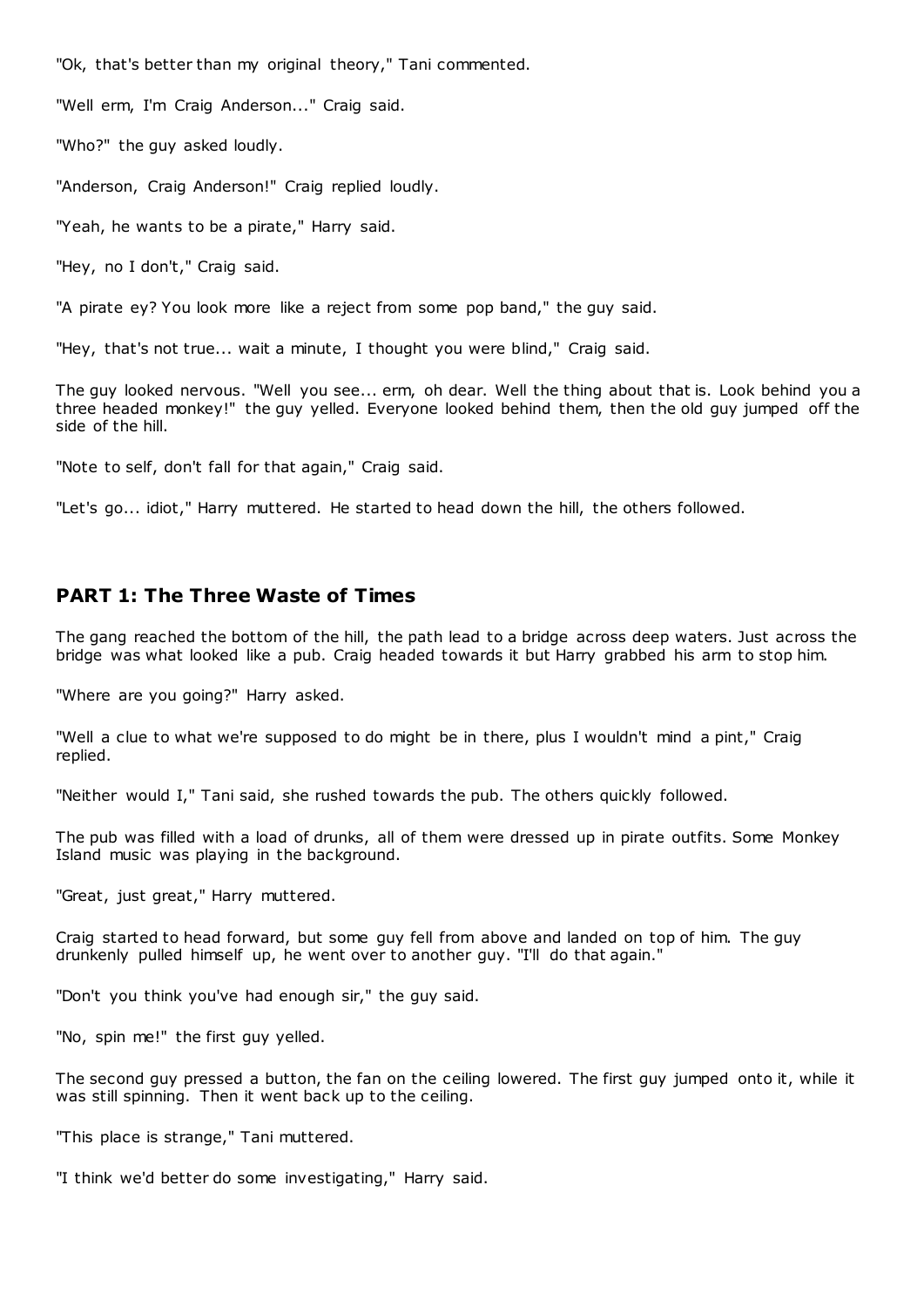"Ok, that's better than my original theory," Tani commented.

"Well erm, I'm Craig Anderson..." Craig said.

"Who?" the guy asked loudly.

"Anderson, Craig Anderson!" Craig replied loudly.

"Yeah, he wants to be a pirate," Harry said.

"Hey, no I don't," Craig said.

"A pirate ey? You look more like a reject from some pop band," the guy said.

"Hey, that's not true... wait a minute, I thought you were blind," Craig said.

The guy looked nervous. "Well you see... erm, oh dear. Well the thing about that is. Look behind you a three headed monkey!" the guy yelled. Everyone looked behind them, then the old guy jumped off the side of the hill.

"Note to self, don't fall for that again," Craig said.

"Let's go... idiot," Harry muttered. He started to head down the hill, the others followed.

# **PART 1: The Three Waste of Times**

The gang reached the bottom of the hill, the path lead to a bridge across deep waters. Just across the bridge was what looked like a pub. Craig headed towards it but Harry grabbed his arm to stop him.

"Where are you going?" Harry asked.

"Well a clue to what we're supposed to do might be in there, plus I wouldn't mind a pint," Craig replied.

"Neither would I," Tani said, she rushed towards the pub. The others quickly followed.

The pub was filled with a load of drunks, all of them were dressed up in pirate outfits. Some Monkey Island music was playing in the background.

"Great, just great," Harry muttered.

Craig started to head forward, but some guy fell from above and landed on top of him. The guy drunkenly pulled himself up, he went over to another guy. "I'll do that again."

"Don't you think you've had enough sir," the guy said.

"No, spin me!" the first guy yelled.

The second guy pressed a button, the fan on the ceiling lowered. The first guy jumped onto it, while it was still spinning. Then it went back up to the ceiling.

"This place is strange," Tani muttered.

"I think we'd better do some investigating," Harry said.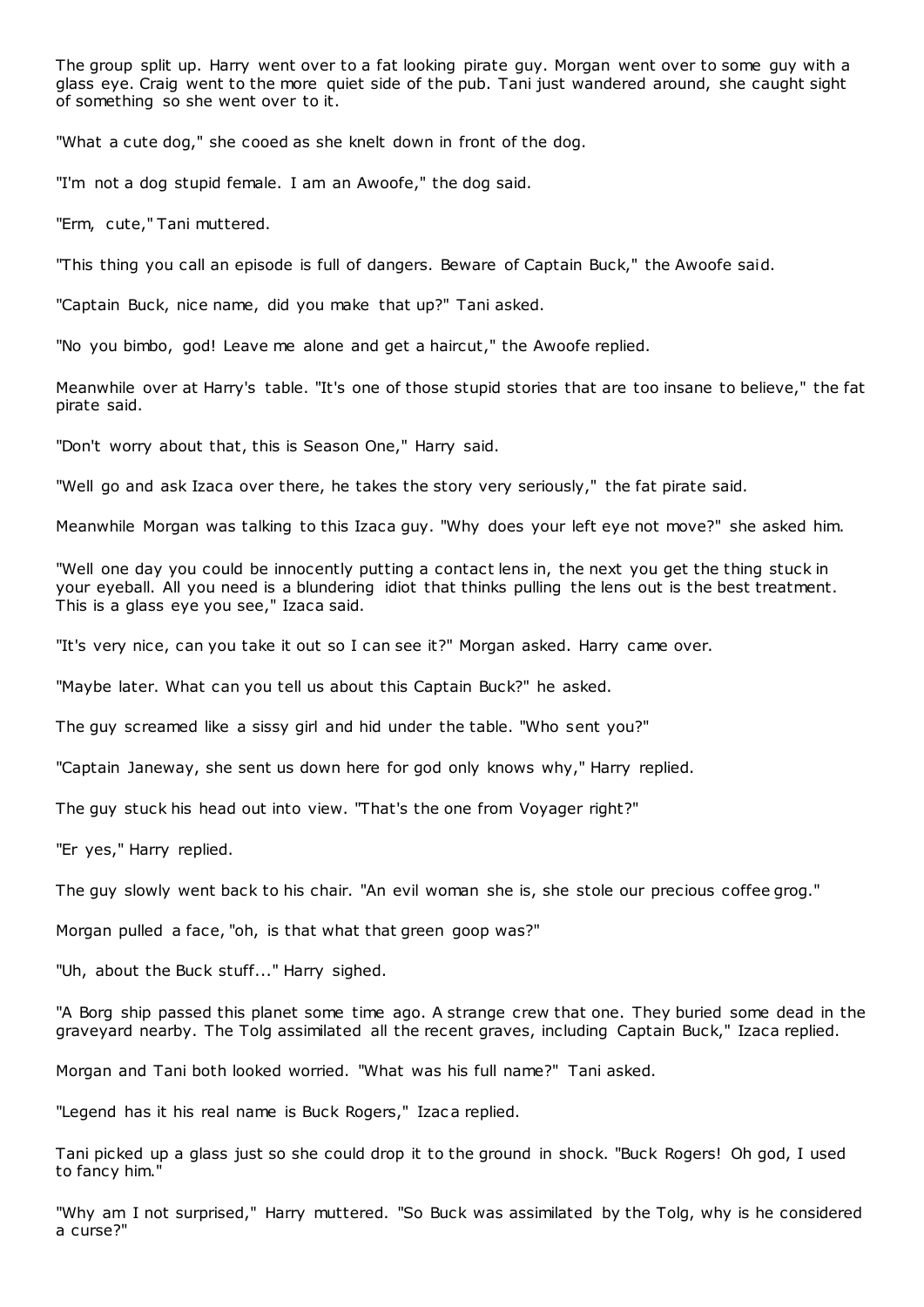The group split up. Harry went over to a fat looking pirate guy. Morgan went over to some guy with a glass eye. Craig went to the more quiet side of the pub. Tani just wandered around, she caught sight of something so she went over to it.

"What a cute dog," she cooed as she knelt down in front of the dog.

"I'm not a dog stupid female. I am an Awoofe," the dog said.

"Erm, cute," Tani muttered.

"This thing you call an episode is full of dangers. Beware of Captain Buck," the Awoofe said.

"Captain Buck, nice name, did you make that up?" Tani asked.

"No you bimbo, god! Leave me alone and get a haircut," the Awoofe replied.

Meanwhile over at Harry's table. "It's one of those stupid stories that are too insane to believe," the fat pirate said.

"Don't worry about that, this is Season One," Harry said.

"Well go and ask Izaca over there, he takes the story very seriously," the fat pirate said.

Meanwhile Morgan was talking to this Izaca guy. "Why does your left eye not move?" she asked him.

"Well one day you could be innocently putting a contact lens in, the next you get the thing stuck in your eyeball. All you need is a blundering idiot that thinks pulling the lens out is the best treatment. This is a glass eye you see," Izaca said.

"It's very nice, can you take it out so I can see it?" Morgan asked. Harry came over.

"Maybe later. What can you tell us about this Captain Buck?" he asked.

The guy screamed like a sissy girl and hid under the table. "Who sent you?"

"Captain Janeway, she sent us down here for god only knows why," Harry replied.

The guy stuck his head out into view. "That's the one from Voyager right?"

"Er yes," Harry replied.

The guy slowly went back to his chair. "An evil woman she is, she stole our precious coffee grog."

Morgan pulled a face, "oh, is that what that green goop was?"

"Uh, about the Buck stuff..." Harry sighed.

"A Borg ship passed this planet some time ago. A strange crew that one. They buried some dead in the graveyard nearby. The Tolg assimilated all the recent graves, including Captain Buck," Izaca replied.

Morgan and Tani both looked worried. "What was his full name?" Tani asked.

"Legend has it his real name is Buck Rogers," Izaca replied.

Tani picked up a glass just so she could drop it to the ground in shock. "Buck Rogers! Oh god, I used to fancy him."

"Why am I not surprised," Harry muttered. "So Buck was assimilated by the Tolg, why is he considered a curse?"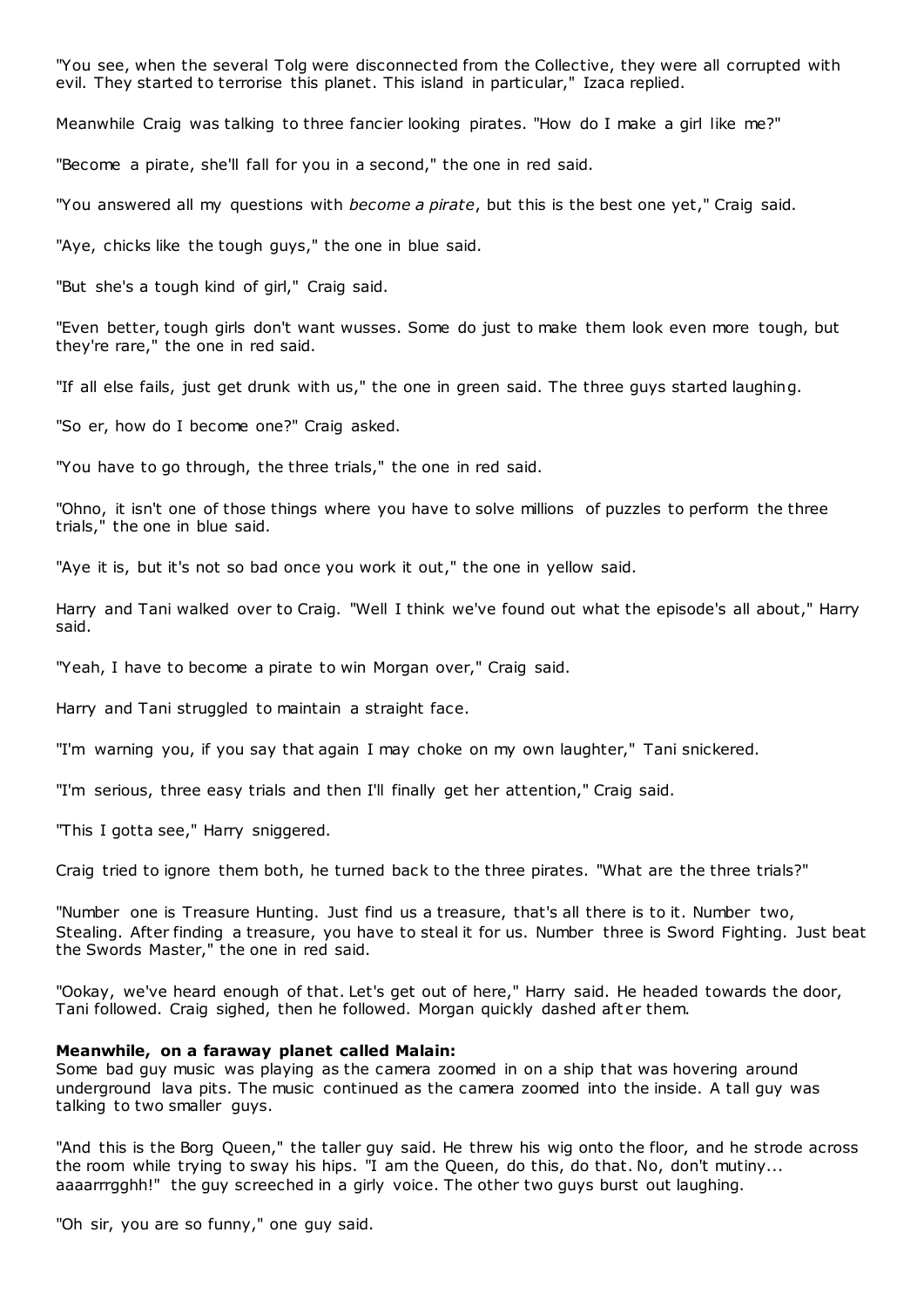"You see, when the several Tolg were disconnected from the Collective, they were all corrupted with evil. They started to terrorise this planet. This island in particular," Izaca replied.

Meanwhile Craig was talking to three fancier looking pirates. "How do I make a girl like me?"

"Become a pirate, she'll fall for you in a second," the one in red said.

"You answered all my questions with *become a pirate*, but this is the best one yet," Craig said.

"Aye, chicks like the tough guys," the one in blue said.

"But she's a tough kind of girl," Craig said.

"Even better, tough girls don't want wusses. Some do just to make them look even more tough, but they're rare," the one in red said.

"If all else fails, just get drunk with us," the one in green said. The three guys started laughing.

"So er, how do I become one?" Craig asked.

"You have to go through, the three trials," the one in red said.

"Ohno, it isn't one of those things where you have to solve millions of puzzles to perform the three trials," the one in blue said.

"Aye it is, but it's not so bad once you work it out," the one in yellow said.

Harry and Tani walked over to Craig. "Well I think we've found out what the episode's all about," Harry said.

"Yeah, I have to become a pirate to win Morgan over," Craig said.

Harry and Tani struggled to maintain a straight face.

"I'm warning you, if you say that again I may choke on my own laughter," Tani snickered.

"I'm serious, three easy trials and then I'll finally get her attention," Craig said.

"This I gotta see," Harry sniggered.

Craig tried to ignore them both, he turned back to the three pirates. "What are the three trials?"

"Number one is Treasure Hunting. Just find us a treasure, that's all there is to it. Number two, Stealing. After finding a treasure, you have to steal it for us. Number three is Sword Fighting. Just beat the Swords Master," the one in red said.

"Ookay, we've heard enough of that. Let's get out of here," Harry said. He headed towards the door, Tani followed. Craig sighed, then he followed. Morgan quickly dashed aft er them.

#### **Meanwhile, on a faraway planet called Malain:**

Some bad guy music was playing as the camera zoomed in on a ship that was hovering around underground lava pits. The music continued as the camera zoomed into the inside. A tall guy was talking to two smaller guys.

"And this is the Borg Queen," the taller guy said. He threw his wig onto the floor, and he strode across the room while trying to sway his hips. "I am the Queen, do this, do that. No, don't mutiny... aaaarrrgghh!" the guy screeched in a girly voice. The other two guys burst out laughing.

"Oh sir, you are so funny," one guy said.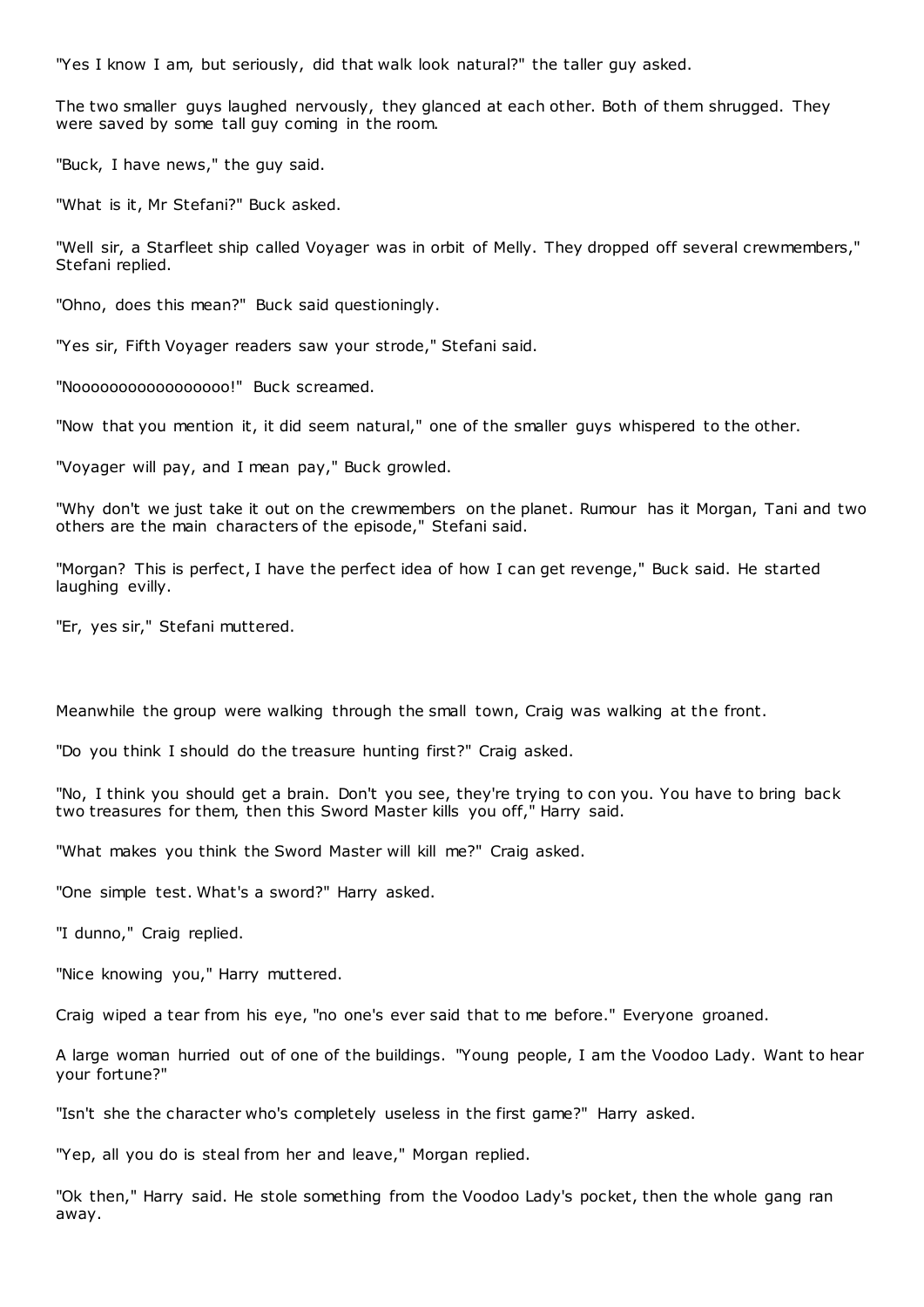"Yes I know I am, but seriously, did that walk look natural?" the taller guy asked.

The two smaller guys laughed nervously, they glanced at each other. Both of them shrugged. They were saved by some tall guy coming in the room.

"Buck, I have news," the guy said.

"What is it, Mr Stefani?" Buck asked.

"Well sir, a Starfleet ship called Voyager was in orbit of Melly. They dropped off several crewmembers," Stefani replied.

"Ohno, does this mean?" Buck said questioningly.

"Yes sir, Fifth Voyager readers saw your strode," Stefani said.

"Nooooooooooooooooo!" Buck screamed.

"Now that you mention it, it did seem natural," one of the smaller guys whispered to the other.

"Voyager will pay, and I mean pay," Buck growled.

"Why don't we just take it out on the crewmembers on the planet. Rumour has it Morgan, Tani and two others are the main characters of the episode," Stefani said.

"Morgan? This is perfect, I have the perfect idea of how I can get revenge," Buck said. He started laughing evilly.

"Er, yes sir," Stefani muttered.

Meanwhile the group were walking through the small town, Craig was walking at the front.

"Do you think I should do the treasure hunting first?" Craig asked.

"No, I think you should get a brain. Don't you see, they're trying to con you. You have to bring back two treasures for them, then this Sword Master kills you off," Harry said.

"What makes you think the Sword Master will kill me?" Craig asked.

"One simple test. What's a sword?" Harry asked.

"I dunno," Craig replied.

"Nice knowing you," Harry muttered.

Craig wiped a tear from his eye, "no one's ever said that to me before." Everyone groaned.

A large woman hurried out of one of the buildings. "Young people, I am the Voodoo Lady. Want to hear your fortune?"

"Isn't she the character who's completely useless in the first game?" Harry asked.

"Yep, all you do is steal from her and leave," Morgan replied.

"Ok then," Harry said. He stole something from the Voodoo Lady's pocket, then the whole gang ran away.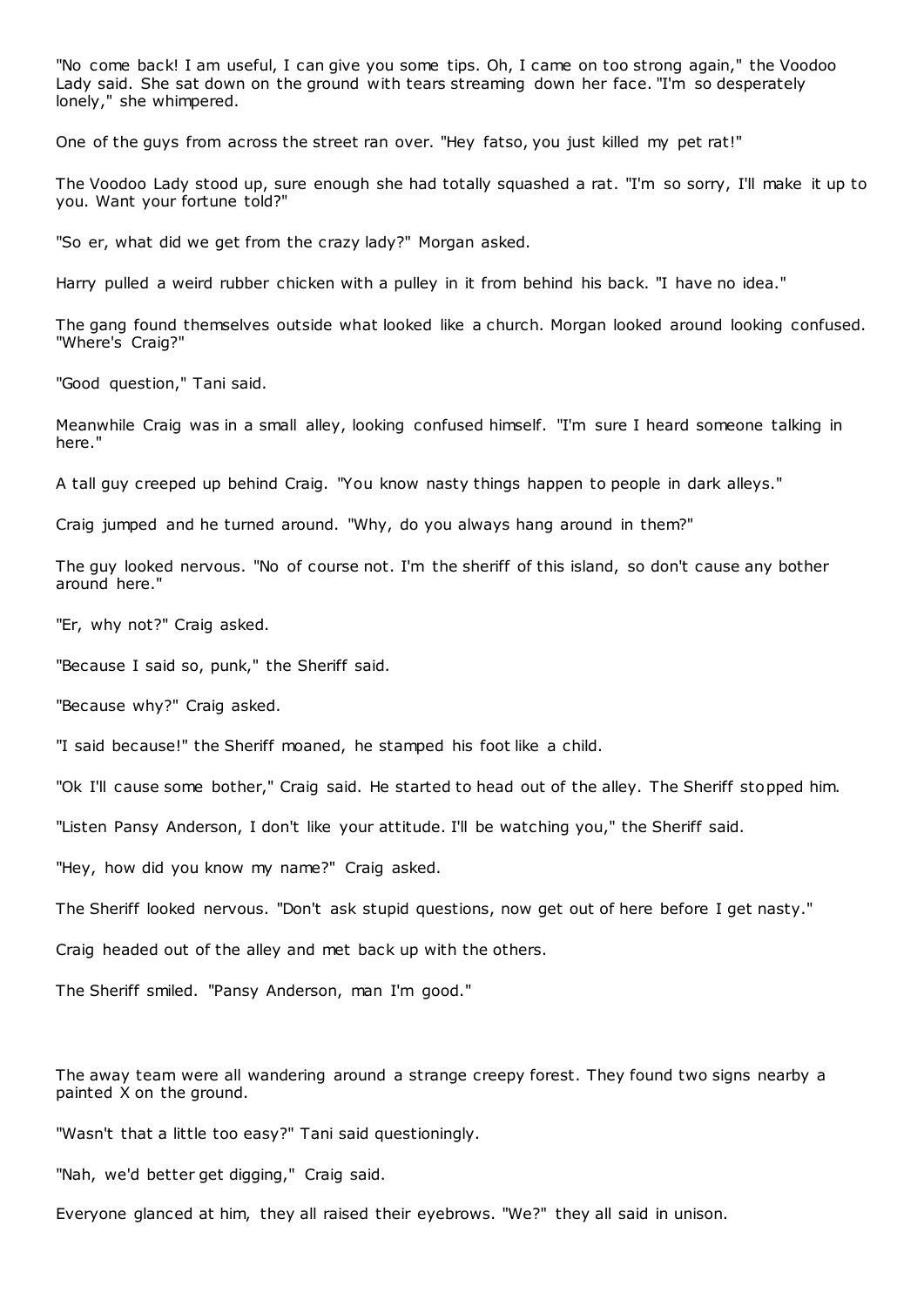"No come back! I am useful, I can give you some tips. Oh, I came on too strong again," the Voodoo Lady said. She sat down on the ground with tears streaming down her face. "I'm so desperately lonely," she whimpered.

One of the guys from across the street ran over. "Hey fatso, you just killed my pet rat!"

The Voodoo Lady stood up, sure enough she had totally squashed a rat. "I'm so sorry, I'll make it up to you. Want your fortune told?"

"So er, what did we get from the crazy lady?" Morgan asked.

Harry pulled a weird rubber chicken with a pulley in it from behind his back. "I have no idea."

The gang found themselves outside what looked like a church. Morgan looked around looking confused. "Where's Craig?"

"Good question," Tani said.

Meanwhile Craig was in a small alley, looking confused himself. "I'm sure I heard someone talking in here."

A tall guy creeped up behind Craig. "You know nasty things happen to people in dark alleys."

Craig jumped and he turned around. "Why, do you always hang around in them?"

The guy looked nervous. "No of course not. I'm the sheriff of this island, so don't cause any bother around here."

"Er, why not?" Craig asked.

"Because I said so, punk," the Sheriff said.

"Because why?" Craig asked.

"I said because!" the Sheriff moaned, he stamped his foot like a child.

"Ok I'll cause some bother," Craig said. He started to head out of the alley. The Sheriff stopped him.

"Listen Pansy Anderson, I don't like your attitude. I'll be watching you," the Sheriff said.

"Hey, how did you know my name?" Craig asked.

The Sheriff looked nervous. "Don't ask stupid questions, now get out of here before I get nasty."

Craig headed out of the alley and met back up with the others.

The Sheriff smiled. "Pansy Anderson, man I'm good."

The away team were all wandering around a strange creepy forest. They found two signs nearby a painted X on the ground.

"Wasn't that a little too easy?" Tani said questioningly.

"Nah, we'd better get digging," Craig said.

Everyone glanced at him, they all raised their eyebrows. "We?" they all said in unison.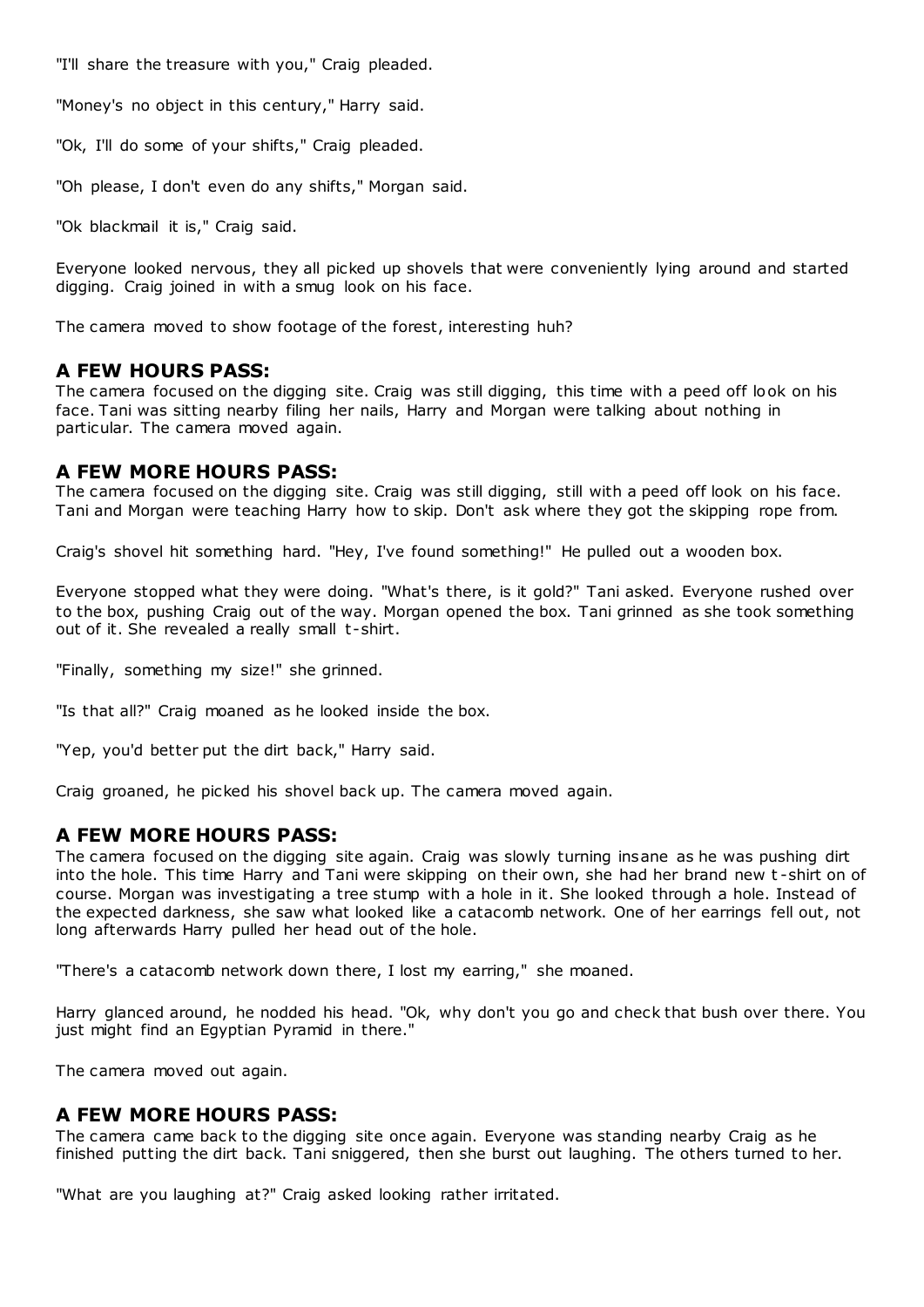"I'll share the treasure with you," Craig pleaded.

"Money's no object in this century," Harry said.

"Ok, I'll do some of your shifts," Craig pleaded.

"Oh please, I don't even do any shifts," Morgan said.

"Ok blackmail it is," Craig said.

Everyone looked nervous, they all picked up shovels that were conveniently lying around and started digging. Craig joined in with a smug look on his face.

The camera moved to show footage of the forest, interesting huh?

# **A FEW HOURS PASS:**

The camera focused on the digging site. Craig was still digging, this time with a peed off look on his face. Tani was sitting nearby filing her nails, Harry and Morgan were talking about nothing in particular. The camera moved again.

# **A FEW MORE HOURS PASS:**

The camera focused on the digging site. Craig was still digging, still with a peed off look on his face. Tani and Morgan were teaching Harry how to skip. Don't ask where they got the skipping rope from.

Craig's shovel hit something hard. "Hey, I've found something!" He pulled out a wooden box.

Everyone stopped what they were doing. "What's there, is it gold?" Tani asked. Everyone rushed over to the box, pushing Craig out of the way. Morgan opened the box. Tani grinned as she took something out of it. She revealed a really small t-shirt.

"Finally, something my size!" she grinned.

"Is that all?" Craig moaned as he looked inside the box.

"Yep, you'd better put the dirt back," Harry said.

Craig groaned, he picked his shovel back up. The camera moved again.

# **A FEW MORE HOURS PASS:**

The camera focused on the digging site again. Craig was slowly turning insane as he was pushing dirt into the hole. This time Harry and Tani were skipping on their own, she had her brand new t -shirt on of course. Morgan was investigating a tree stump with a hole in it. She looked through a hole. Instead of the expected darkness, she saw what looked like a catacomb network. One of her earrings fell out, not long afterwards Harry pulled her head out of the hole.

"There's a catacomb network down there, I lost my earring," she moaned.

Harry glanced around, he nodded his head. "Ok, why don't you go and check that bush over there. You just might find an Egyptian Pyramid in there."

The camera moved out again.

# **A FEW MORE HOURS PASS:**

The camera came back to the digging site once again. Everyone was standing nearby Craig as he finished putting the dirt back. Tani sniggered, then she burst out laughing. The others turned to her.

"What are you laughing at?" Craig asked looking rather irritated.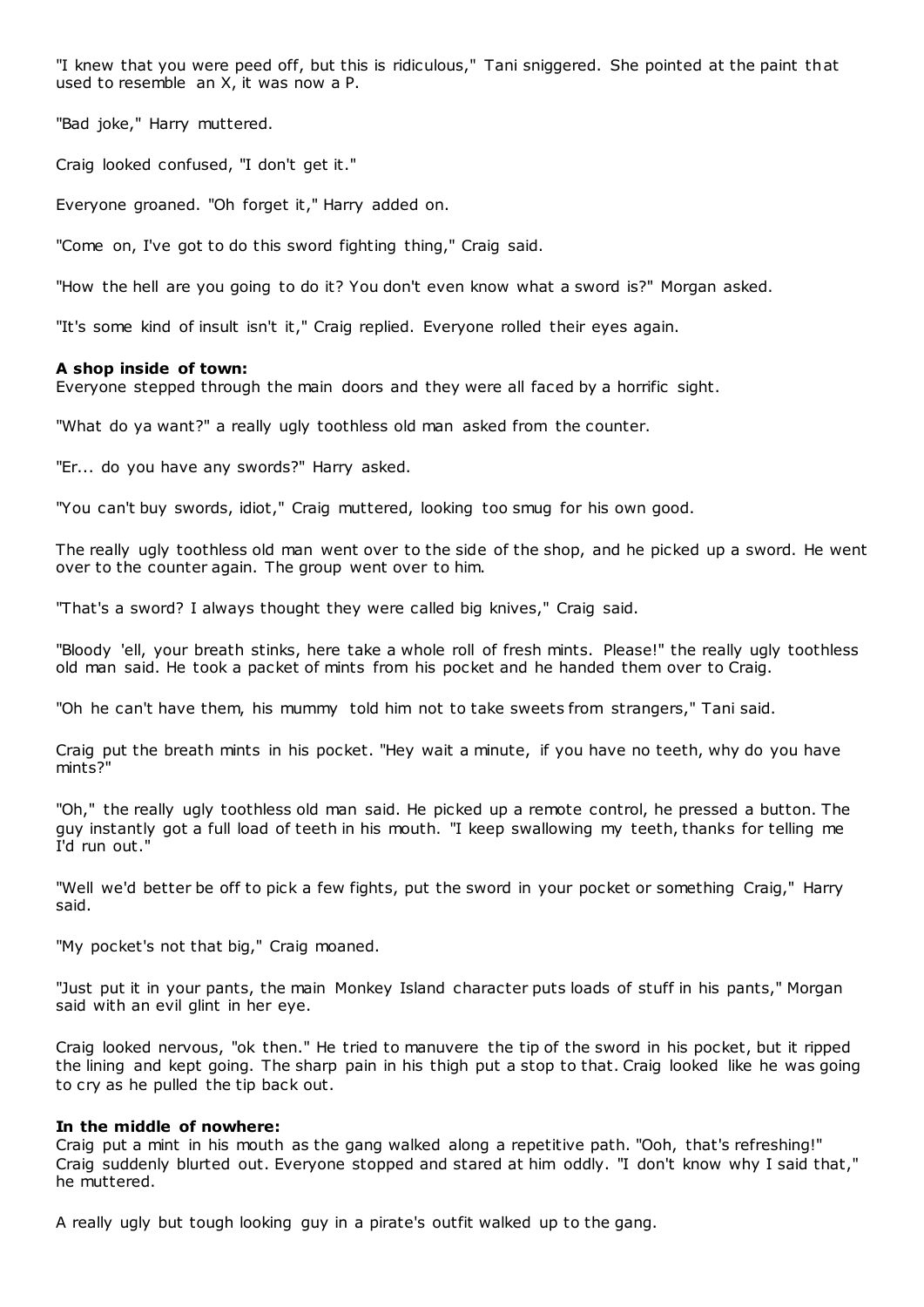"I knew that you were peed off, but this is ridiculous," Tani sniggered. She pointed at the paint that used to resemble an X, it was now a P.

"Bad joke," Harry muttered.

Craig looked confused, "I don't get it."

Everyone groaned. "Oh forget it," Harry added on.

"Come on, I've got to do this sword fighting thing," Craig said.

"How the hell are you going to do it? You don't even know what a sword is?" Morgan asked.

"It's some kind of insult isn't it," Craig replied. Everyone rolled their eyes again.

# **A shop inside of town:**

Everyone stepped through the main doors and they were all faced by a horrific sight.

"What do ya want?" a really ugly toothless old man asked from the counter.

"Er... do you have any swords?" Harry asked.

"You can't buy swords, idiot," Craig muttered, looking too smug for his own good.

The really ugly toothless old man went over to the side of the shop, and he picked up a sword. He went over to the counter again. The group went over to him.

"That's a sword? I always thought they were called big knives," Craig said.

"Bloody 'ell, your breath stinks, here take a whole roll of fresh mints. Please!" the really ugly toothless old man said. He took a packet of mints from his pocket and he handed them over to Craig.

"Oh he can't have them, his mummy told him not to take sweets from strangers," Tani said.

Craig put the breath mints in his pocket. "Hey wait a minute, if you have no teeth, why do you have mints?"

"Oh," the really ugly toothless old man said. He picked up a remote control, he pressed a button. The guy instantly got a full load of teeth in his mouth. "I keep swallowing my teeth, thanks for telling me I'd run out."

"Well we'd better be off to pick a few fights, put the sword in your pocket or something Craig," Harry said.

"My pocket's not that big," Craig moaned.

"Just put it in your pants, the main Monkey Island character puts loads of stuff in his pants," Morgan said with an evil glint in her eye.

Craig looked nervous, "ok then." He tried to manuvere the tip of the sword in his pocket, but it ripped the lining and kept going. The sharp pain in his thigh put a stop to that. Craig looked like he was going to cry as he pulled the tip back out.

# **In the middle of nowhere:**

Craig put a mint in his mouth as the gang walked along a repetitive path. "Ooh, that's refreshing!" Craig suddenly blurted out. Everyone stopped and stared at him oddly. "I don't know why I said that," he muttered.

A really ugly but tough looking guy in a pirate's outfit walked up to the gang.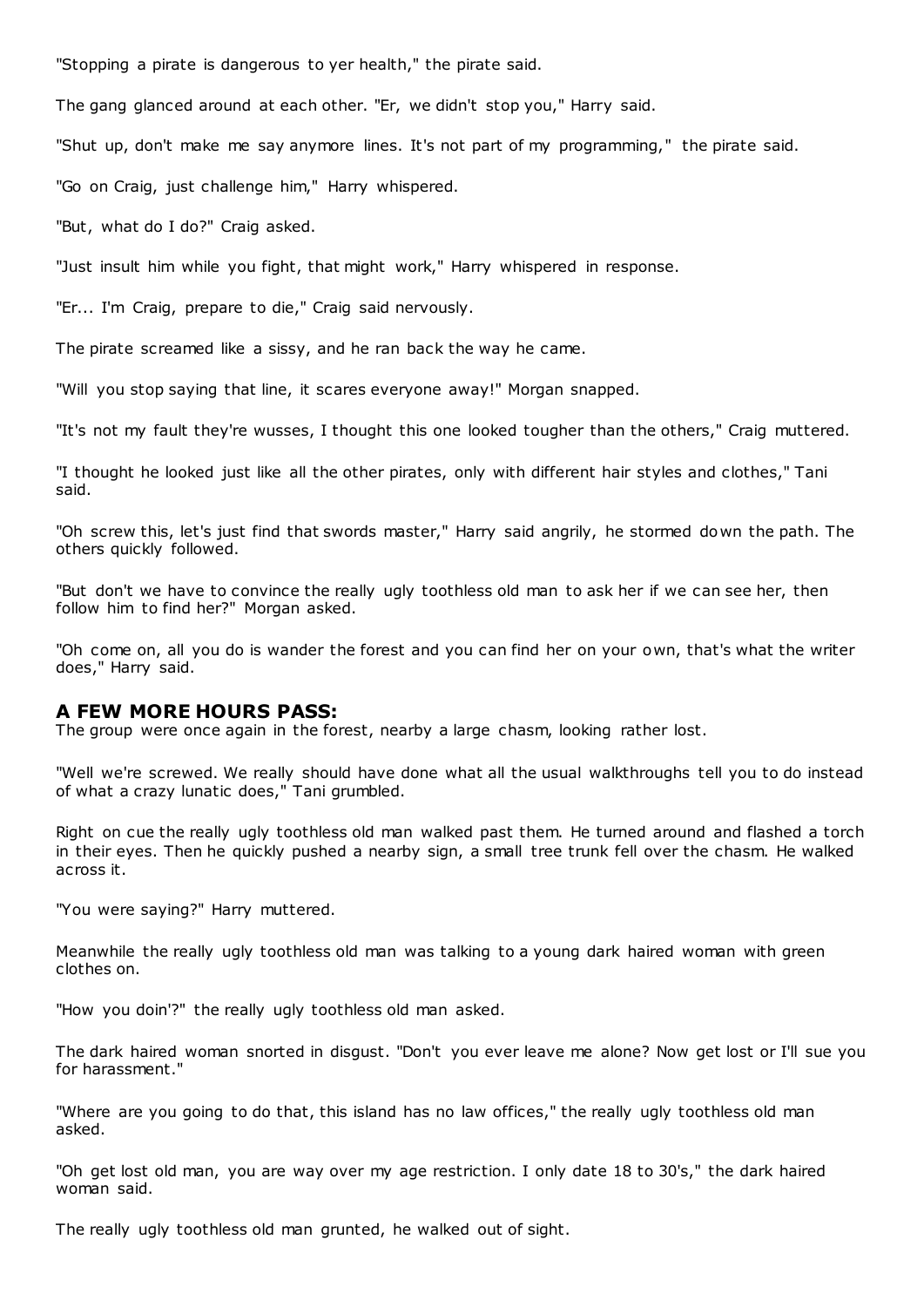"Stopping a pirate is dangerous to yer health," the pirate said.

The gang glanced around at each other. "Er, we didn't stop you," Harry said.

"Shut up, don't make me say anymore lines. It's not part of my programming," the pirate said.

"Go on Craig, just challenge him," Harry whispered.

"But, what do I do?" Craig asked.

"Just insult him while you fight, that might work," Harry whispered in response.

"Er... I'm Craig, prepare to die," Craig said nervously.

The pirate screamed like a sissy, and he ran back the way he came.

"Will you stop saying that line, it scares everyone away!" Morgan snapped.

"It's not my fault they're wusses, I thought this one looked tougher than the others," Craig muttered.

"I thought he looked just like all the other pirates, only with different hair styles and clothes," Tani said.

"Oh screw this, let's just find that swords master," Harry said angrily, he stormed down the path. The others quickly followed.

"But don't we have to convince the really ugly toothless old man to ask her if we can see her, then follow him to find her?" Morgan asked.

"Oh come on, all you do is wander the forest and you can find her on your own, that's what the writer does," Harry said.

# **A FEW MORE HOURS PASS:**

The group were once again in the forest, nearby a large chasm, looking rather lost.

"Well we're screwed. We really should have done what all the usual walkthroughs tell you to do instead of what a crazy lunatic does," Tani grumbled.

Right on cue the really ugly toothless old man walked past them. He turned around and flashed a torch in their eyes. Then he quickly pushed a nearby sign, a small tree trunk fell over the chasm. He walked across it.

"You were saying?" Harry muttered.

Meanwhile the really ugly toothless old man was talking to a young dark haired woman with green clothes on.

"How you doin'?" the really ugly toothless old man asked.

The dark haired woman snorted in disgust. "Don't you ever leave me alone? Now get lost or I'll sue you for harassment."

"Where are you going to do that, this island has no law offices," the really ugly toothless old man asked.

"Oh get lost old man, you are way over my age restriction. I only date 18 to 30's," the dark haired woman said.

The really ugly toothless old man grunted, he walked out of sight.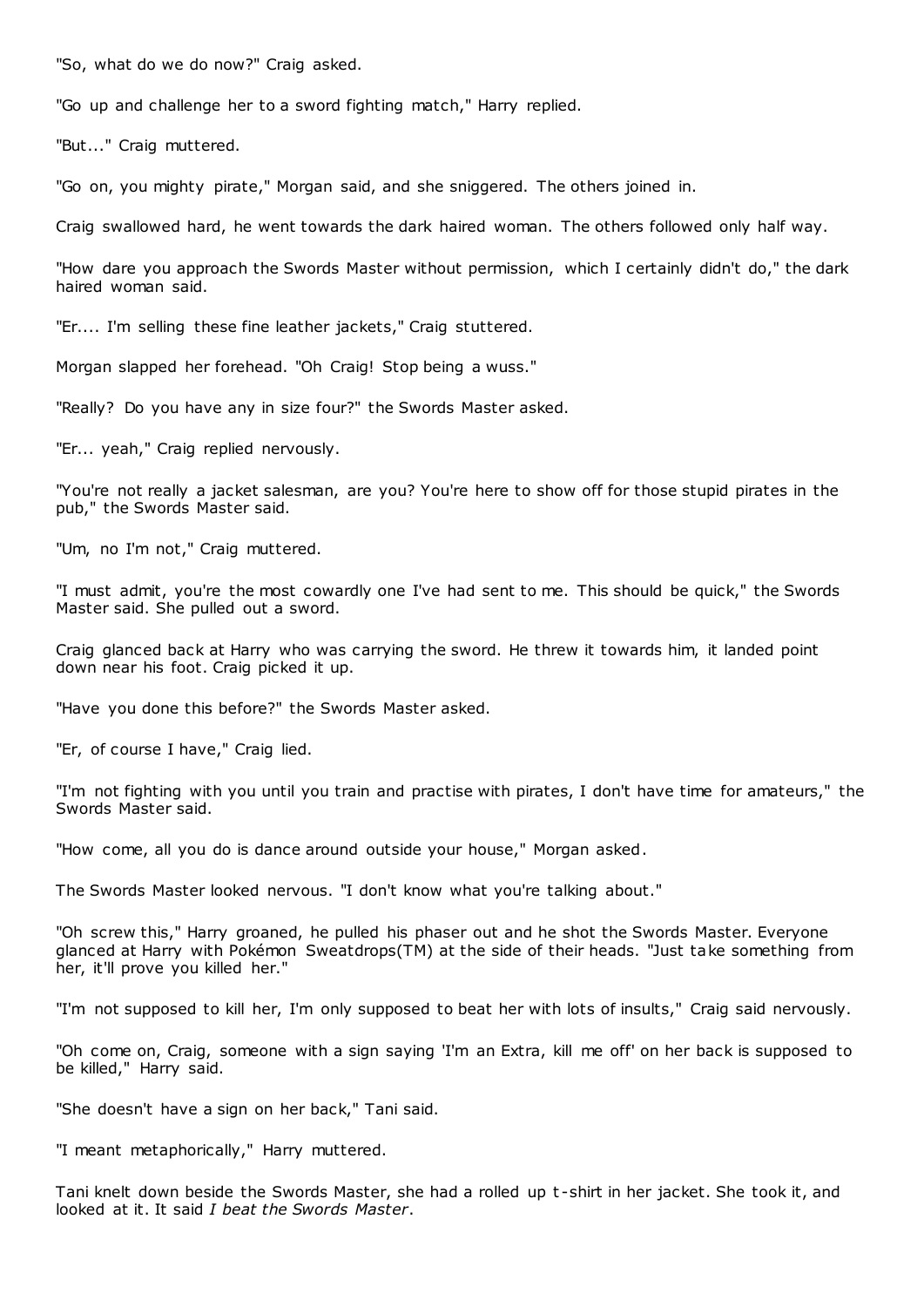"So, what do we do now?" Craig asked.

"Go up and challenge her to a sword fighting match," Harry replied.

"But..." Craig muttered.

"Go on, you mighty pirate," Morgan said, and she sniggered. The others joined in.

Craig swallowed hard, he went towards the dark haired woman. The others followed only half way.

"How dare you approach the Swords Master without permission, which I certainly didn't do," the dark haired woman said.

"Er.... I'm selling these fine leather jackets," Craig stuttered.

Morgan slapped her forehead. "Oh Craig! Stop being a wuss."

"Really? Do you have any in size four?" the Swords Master asked.

"Er... yeah," Craig replied nervously.

"You're not really a jacket salesman, are you? You're here to show off for those stupid pirates in the pub," the Swords Master said.

"Um, no I'm not," Craig muttered.

"I must admit, you're the most cowardly one I've had sent to me. This should be quick," the Swords Master said. She pulled out a sword.

Craig glanced back at Harry who was carrying the sword. He threw it towards him, it landed point down near his foot. Craig picked it up.

"Have you done this before?" the Swords Master asked.

"Er, of course I have," Craig lied.

"I'm not fighting with you until you train and practise with pirates, I don't have time for amateurs," the Swords Master said.

"How come, all you do is dance around outside your house," Morgan asked.

The Swords Master looked nervous. "I don't know what you're talking about."

"Oh screw this," Harry groaned, he pulled his phaser out and he shot the Swords Master. Everyone glanced at Harry with Pokémon Sweatdrops(TM) at the side of their heads. "Just take something from her, it'll prove you killed her."

"I'm not supposed to kill her, I'm only supposed to beat her with lots of insults," Craig said nervously.

"Oh come on, Craig, someone with a sign saying 'I'm an Extra, kill me off' on her back is supposed to be killed," Harry said.

"She doesn't have a sign on her back," Tani said.

"I meant metaphorically," Harry muttered.

Tani knelt down beside the Swords Master, she had a rolled up t -shirt in her jacket. She took it, and looked at it. It said *I beat the Swords Master*.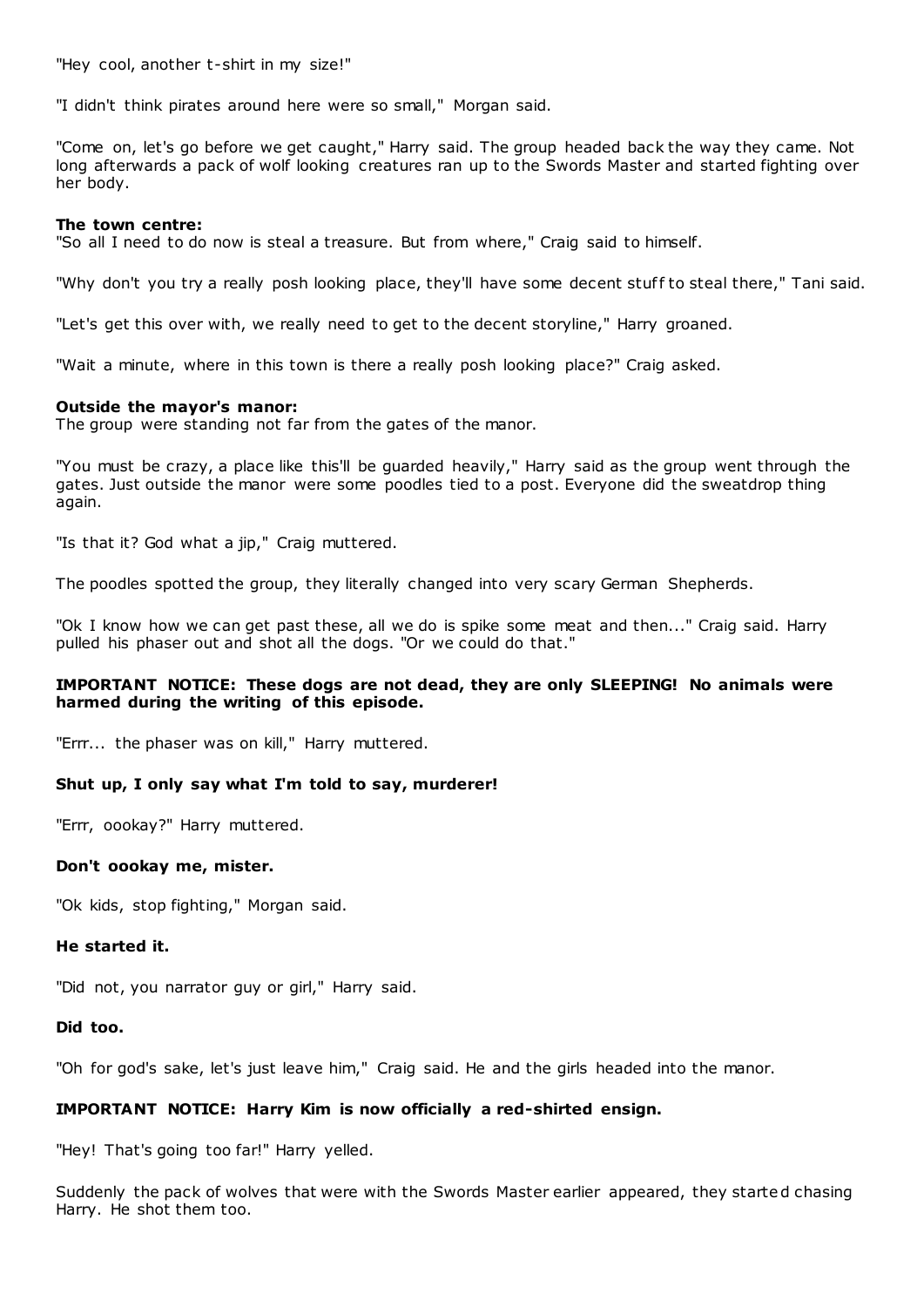"Hey cool, another t-shirt in my size!"

"I didn't think pirates around here were so small," Morgan said.

"Come on, let's go before we get caught," Harry said. The group headed back the way they came. Not long afterwards a pack of wolf looking creatures ran up to the Swords Master and started fighting over her body.

#### **The town centre:**

"So all I need to do now is steal a treasure. But from where," Craig said to himself.

"Why don't you try a really posh looking place, they'll have some decent stuff to steal there," Tani said.

"Let's get this over with, we really need to get to the decent storyline," Harry groaned.

"Wait a minute, where in this town is there a really posh looking place?" Craig asked.

#### **Outside the mayor's manor:**

The group were standing not far from the gates of the manor.

"You must be crazy, a place like this'll be guarded heavily," Harry said as the group went through the gates. Just outside the manor were some poodles tied to a post. Everyone did the sweatdrop thing again.

"Is that it? God what a jip," Craig muttered.

The poodles spotted the group, they literally changed into very scary German Shepherds.

"Ok I know how we can get past these, all we do is spike some meat and then..." Craig said. Harry pulled his phaser out and shot all the dogs. "Or we could do that."

# **IMPORTANT NOTICE: These dogs are not dead, they are only SLEEPING! No animals were harmed during the writing of this episode.**

"Errr... the phaser was on kill," Harry muttered.

# **Shut up, I only say what I'm told to say, murderer!**

"Errr, oookay?" Harry muttered.

#### **Don't oookay me, mister.**

"Ok kids, stop fighting," Morgan said.

# **He started it.**

"Did not, you narrator guy or girl," Harry said.

#### **Did too.**

"Oh for god's sake, let's just leave him," Craig said. He and the girls headed into the manor.

# **IMPORTANT NOTICE: Harry Kim is now officially a red-shirted ensign.**

"Hey! That's going too far!" Harry yelled.

Suddenly the pack of wolves that were with the Swords Master earlier appeared, they started chasing Harry. He shot them too.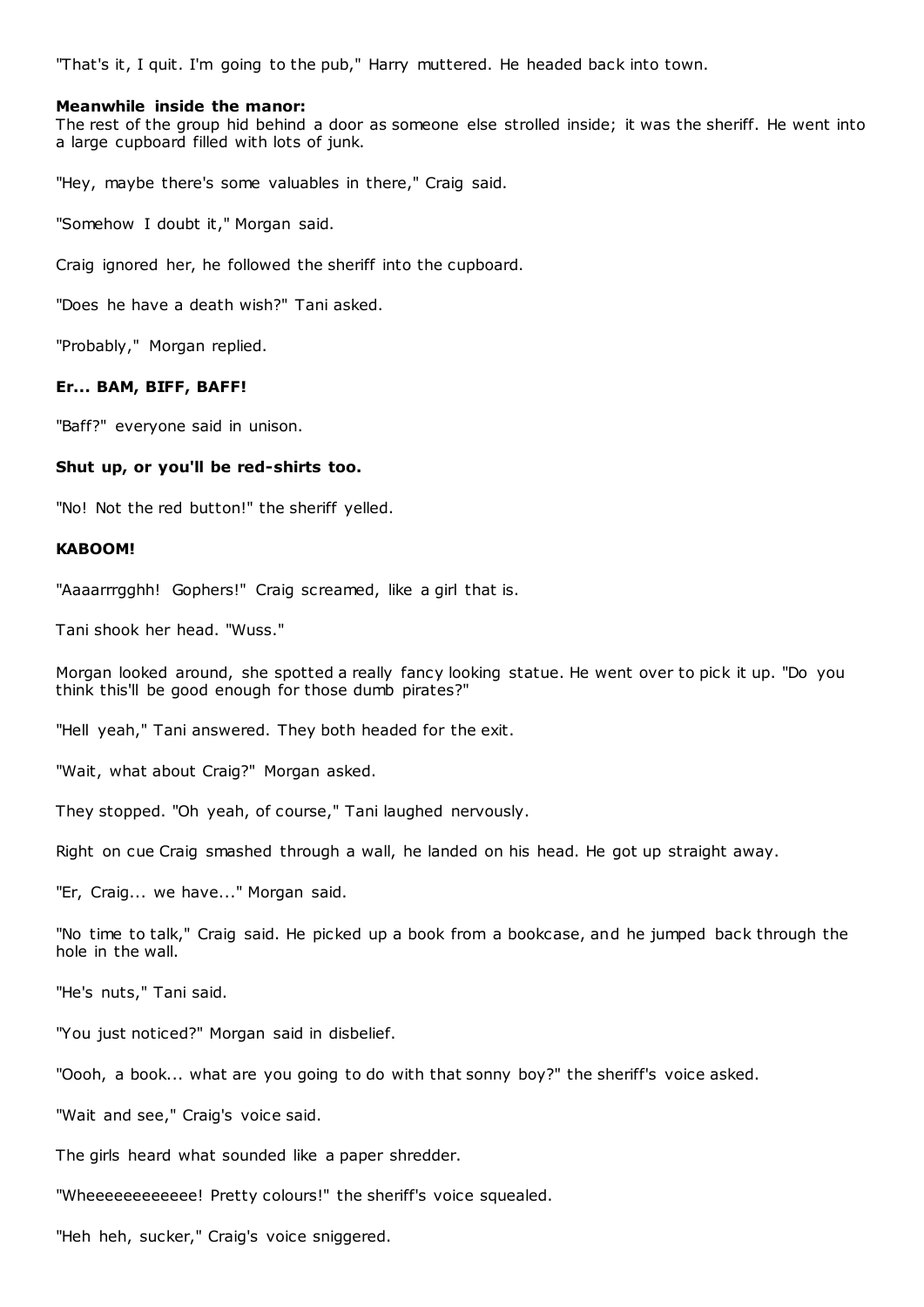"That's it, I quit. I'm going to the pub," Harry muttered. He headed back into town.

#### **Meanwhile inside the manor:**

The rest of the group hid behind a door as someone else strolled inside; it was the sheriff. He went into a large cupboard filled with lots of junk.

"Hey, maybe there's some valuables in there," Craig said.

"Somehow I doubt it," Morgan said.

Craig ignored her, he followed the sheriff into the cupboard.

"Does he have a death wish?" Tani asked.

"Probably," Morgan replied.

# **Er... BAM, BIFF, BAFF!**

"Baff?" everyone said in unison.

# **Shut up, or you'll be red-shirts too.**

"No! Not the red button!" the sheriff yelled.

#### **KABOOM!**

"Aaaarrrgghh! Gophers!" Craig screamed, like a girl that is.

Tani shook her head. "Wuss."

Morgan looked around, she spotted a really fancy looking statue. He went over to pick it up. "Do you think this'll be good enough for those dumb pirates?"

"Hell yeah," Tani answered. They both headed for the exit.

"Wait, what about Craig?" Morgan asked.

They stopped. "Oh yeah, of course," Tani laughed nervously.

Right on cue Craig smashed through a wall, he landed on his head. He got up straight away.

"Er, Craig... we have..." Morgan said.

"No time to talk," Craig said. He picked up a book from a bookcase, and he jumped back through the hole in the wall.

"He's nuts," Tani said.

"You just noticed?" Morgan said in disbelief.

"Oooh, a book... what are you going to do with that sonny boy?" the sheriff's voice asked.

"Wait and see," Craig's voice said.

The girls heard what sounded like a paper shredder.

"Wheeeeeeeeeeee! Pretty colours!" the sheriff's voice squealed.

"Heh heh, sucker," Craig's voice sniggered.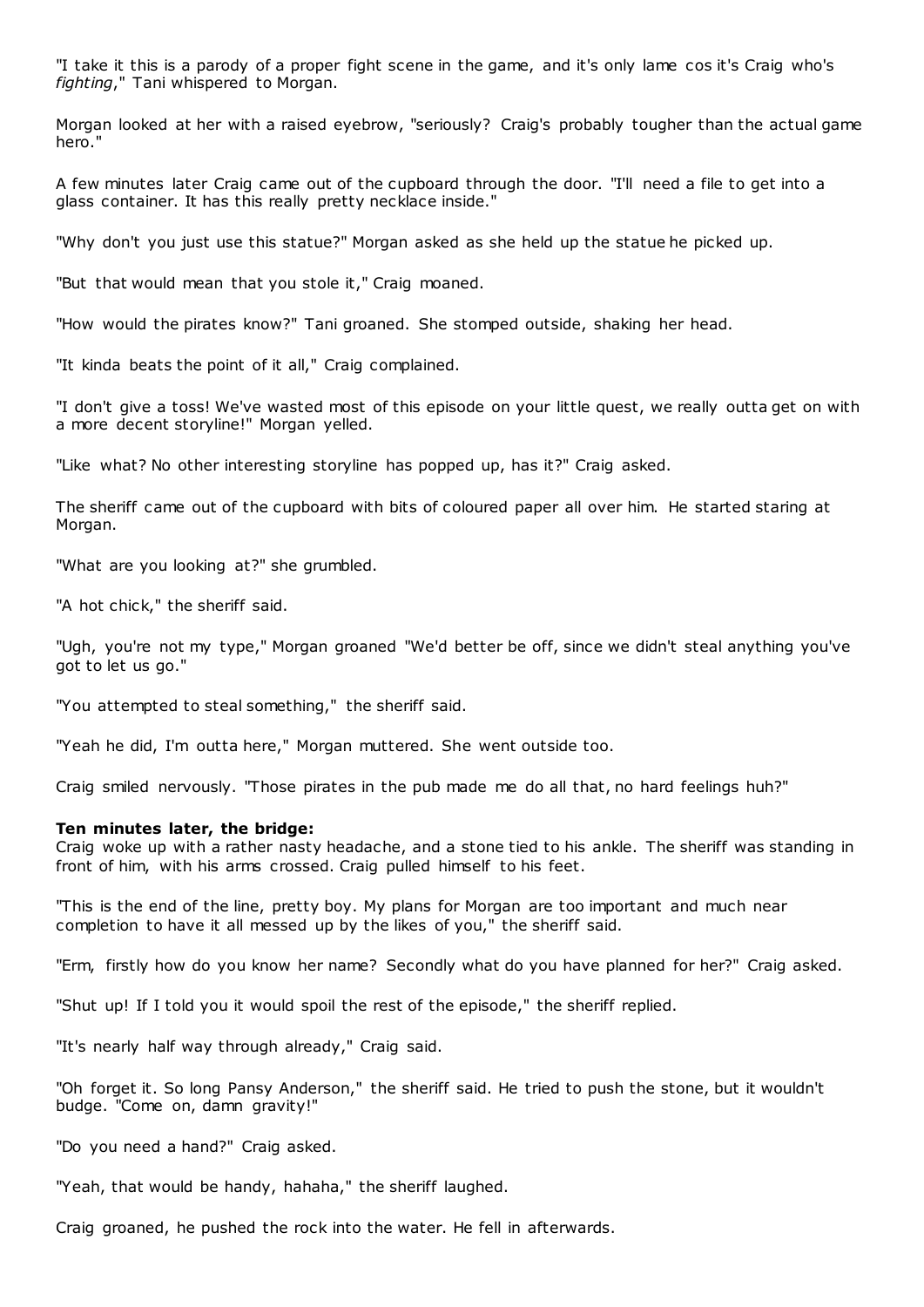"I take it this is a parody of a proper fight scene in the game, and it's only lame cos it's Craig who's *fighting*," Tani whispered to Morgan.

Morgan looked at her with a raised eyebrow, "seriously? Craig's probably tougher than the actual game hero."

A few minutes later Craig came out of the cupboard through the door. "I'll need a file to get into a glass container. It has this really pretty necklace inside."

"Why don't you just use this statue?" Morgan asked as she held up the statue he picked up.

"But that would mean that you stole it," Craig moaned.

"How would the pirates know?" Tani groaned. She stomped outside, shaking her head.

"It kinda beats the point of it all," Craig complained.

"I don't give a toss! We've wasted most of this episode on your little quest, we really outta get on with a more decent storyline!" Morgan yelled.

"Like what? No other interesting storyline has popped up, has it?" Craig asked.

The sheriff came out of the cupboard with bits of coloured paper all over him. He started staring at Morgan.

"What are you looking at?" she grumbled.

"A hot chick," the sheriff said.

"Ugh, you're not my type," Morgan groaned "We'd better be off, since we didn't steal anything you've got to let us go."

"You attempted to steal something," the sheriff said.

"Yeah he did, I'm outta here," Morgan muttered. She went outside too.

Craig smiled nervously. "Those pirates in the pub made me do all that, no hard feelings huh?"

#### **Ten minutes later, the bridge:**

Craig woke up with a rather nasty headache, and a stone tied to his ankle. The sheriff was standing in front of him, with his arms crossed. Craig pulled himself to his feet.

"This is the end of the line, pretty boy. My plans for Morgan are too important and much near completion to have it all messed up by the likes of you," the sheriff said.

"Erm, firstly how do you know her name? Secondly what do you have planned for her?" Craig asked.

"Shut up! If I told you it would spoil the rest of the episode," the sheriff replied.

"It's nearly half way through already," Craig said.

"Oh forget it. So long Pansy Anderson," the sheriff said. He tried to push the stone, but it wouldn't budge. "Come on, damn gravity!"

"Do you need a hand?" Craig asked.

"Yeah, that would be handy, hahaha," the sheriff laughed.

Craig groaned, he pushed the rock into the water. He fell in afterwards.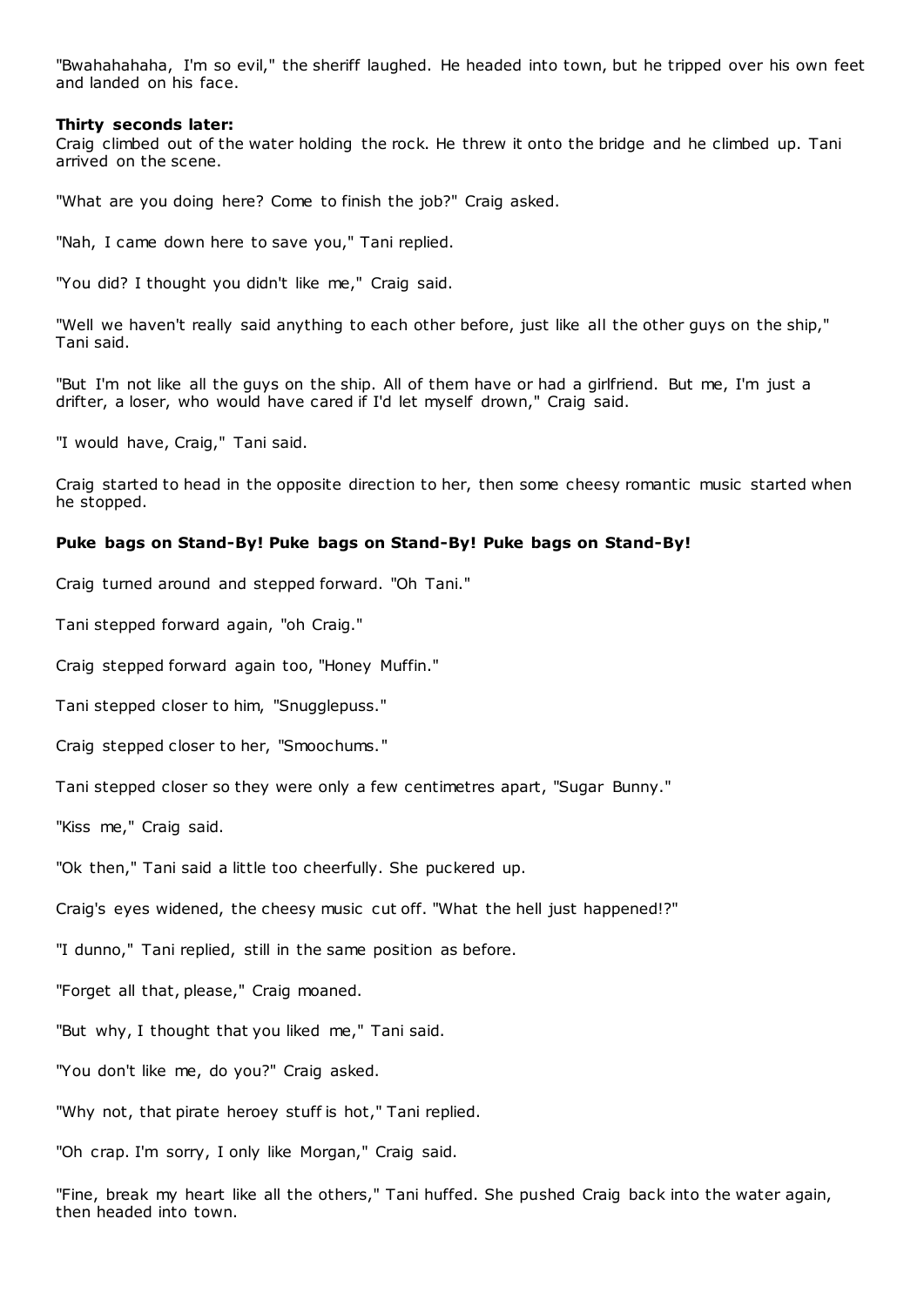"Bwahahahaha, I'm so evil," the sheriff laughed. He headed into town, but he tripped over his own feet and landed on his face.

#### **Thirty seconds later:**

Craig climbed out of the water holding the rock. He threw it onto the bridge and he climbed up. Tani arrived on the scene.

"What are you doing here? Come to finish the job?" Craig asked.

"Nah, I came down here to save you," Tani replied.

"You did? I thought you didn't like me," Craig said.

"Well we haven't really said anything to each other before, just like all the other guys on the ship," Tani said.

"But I'm not like all the guys on the ship. All of them have or had a girlfriend. But me, I'm just a drifter, a loser, who would have cared if I'd let myself drown," Craig said.

"I would have, Craig," Tani said.

Craig started to head in the opposite direction to her, then some cheesy romantic music started when he stopped.

# **Puke bags on Stand-By! Puke bags on Stand-By! Puke bags on Stand-By!**

Craig turned around and stepped forward. "Oh Tani."

Tani stepped forward again, "oh Craig."

Craig stepped forward again too, "Honey Muffin."

Tani stepped closer to him, "Snugglepuss."

Craig stepped closer to her, "Smoochums."

Tani stepped closer so they were only a few centimetres apart, "Sugar Bunny."

"Kiss me," Craig said.

"Ok then," Tani said a little too cheerfully. She puckered up.

Craig's eyes widened, the cheesy music cut off. "What the hell just happened!?"

"I dunno," Tani replied, still in the same position as before.

"Forget all that, please," Craig moaned.

"But why, I thought that you liked me," Tani said.

"You don't like me, do you?" Craig asked.

"Why not, that pirate heroey stuff is hot," Tani replied.

"Oh crap. I'm sorry, I only like Morgan," Craig said.

"Fine, break my heart like all the others," Tani huffed. She pushed Craig back into the water again, then headed into town.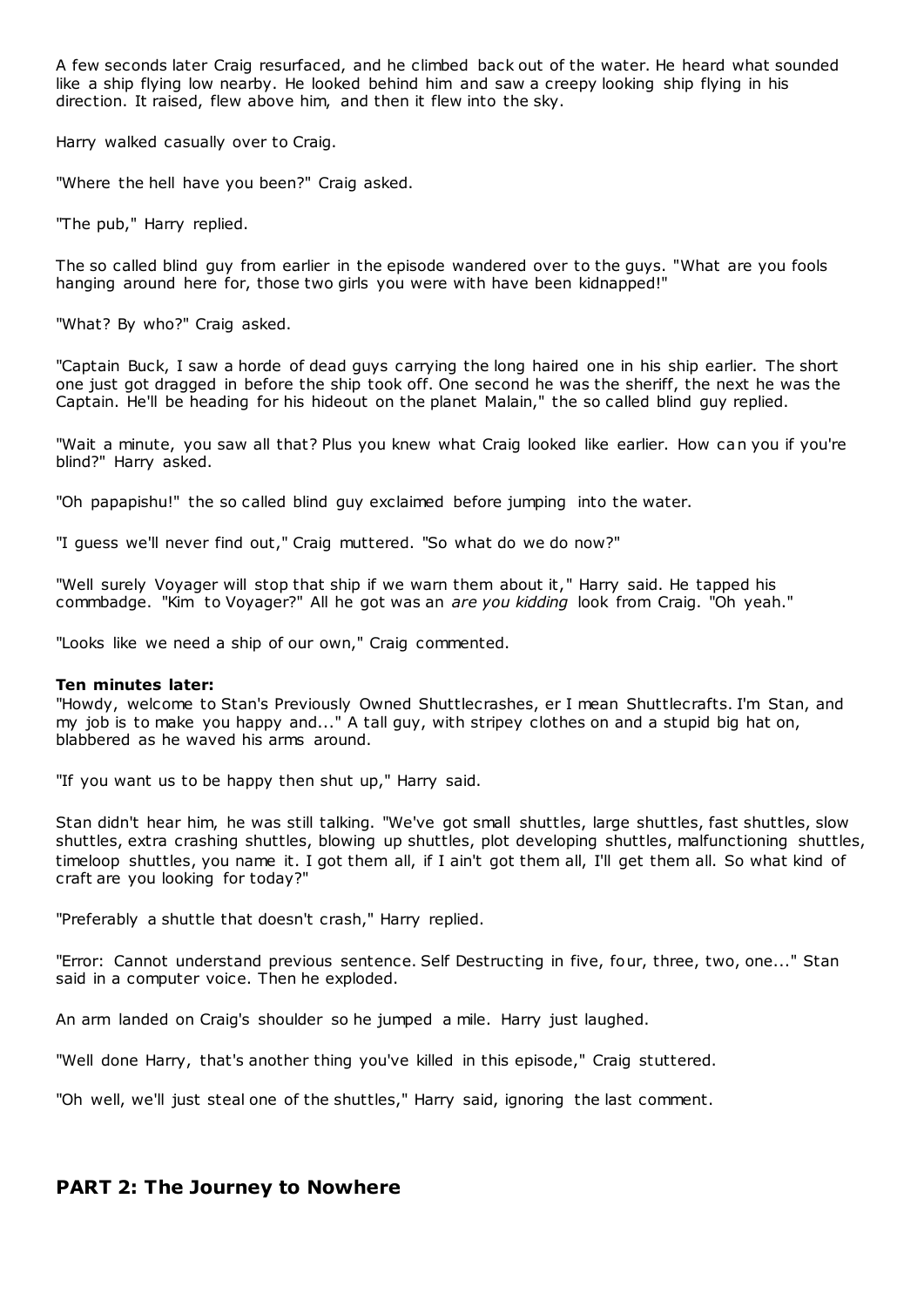A few seconds later Craig resurfaced, and he climbed back out of the water. He heard what sounded like a ship flying low nearby. He looked behind him and saw a creepy looking ship flying in his direction. It raised, flew above him, and then it flew into the sky.

Harry walked casually over to Craig.

"Where the hell have you been?" Craig asked.

"The pub," Harry replied.

The so called blind guy from earlier in the episode wandered over to the guys. "What are you fools hanging around here for, those two girls you were with have been kidnapped!"

"What? By who?" Craig asked.

"Captain Buck, I saw a horde of dead guys carrying the long haired one in his ship earlier. The short one just got dragged in before the ship took off. One second he was the sheriff, the next he was the Captain. He'll be heading for his hideout on the planet Malain," the so called blind guy replied.

"Wait a minute, you saw all that? Plus you knew what Craig looked like earlier. How can you if you're blind?" Harry asked.

"Oh papapishu!" the so called blind guy exclaimed before jumping into the water.

"I guess we'll never find out," Craig muttered. "So what do we do now?"

"Well surely Voyager will stop that ship if we warn them about it," Harry said. He tapped his commbadge. "Kim to Voyager?" All he got was an *are you kidding* look from Craig. "Oh yeah."

"Looks like we need a ship of our own," Craig commented.

# **Ten minutes later:**

"Howdy, welcome to Stan's Previously Owned Shuttlecrashes, er I mean Shuttlecrafts. I'm Stan, and my job is to make you happy and..." A tall guy, with stripey clothes on and a stupid big hat on, blabbered as he waved his arms around.

"If you want us to be happy then shut up," Harry said.

Stan didn't hear him, he was still talking. "We've got small shuttles, large shuttles, fast shuttles, slow shuttles, extra crashing shuttles, blowing up shuttles, plot developing shuttles, malfunctioning shuttles, timeloop shuttles, you name it. I got them all, if I ain't got them all, I'll get them all. So what kind of craft are you looking for today?"

"Preferably a shuttle that doesn't crash," Harry replied.

"Error: Cannot understand previous sentence. Self Destructing in five, four, three, two, one..." Stan said in a computer voice. Then he exploded.

An arm landed on Craig's shoulder so he jumped a mile. Harry just laughed.

"Well done Harry, that's another thing you've killed in this episode," Craig stuttered.

"Oh well, we'll just steal one of the shuttles," Harry said, ignoring the last comment.

# **PART 2: The Journey to Nowhere**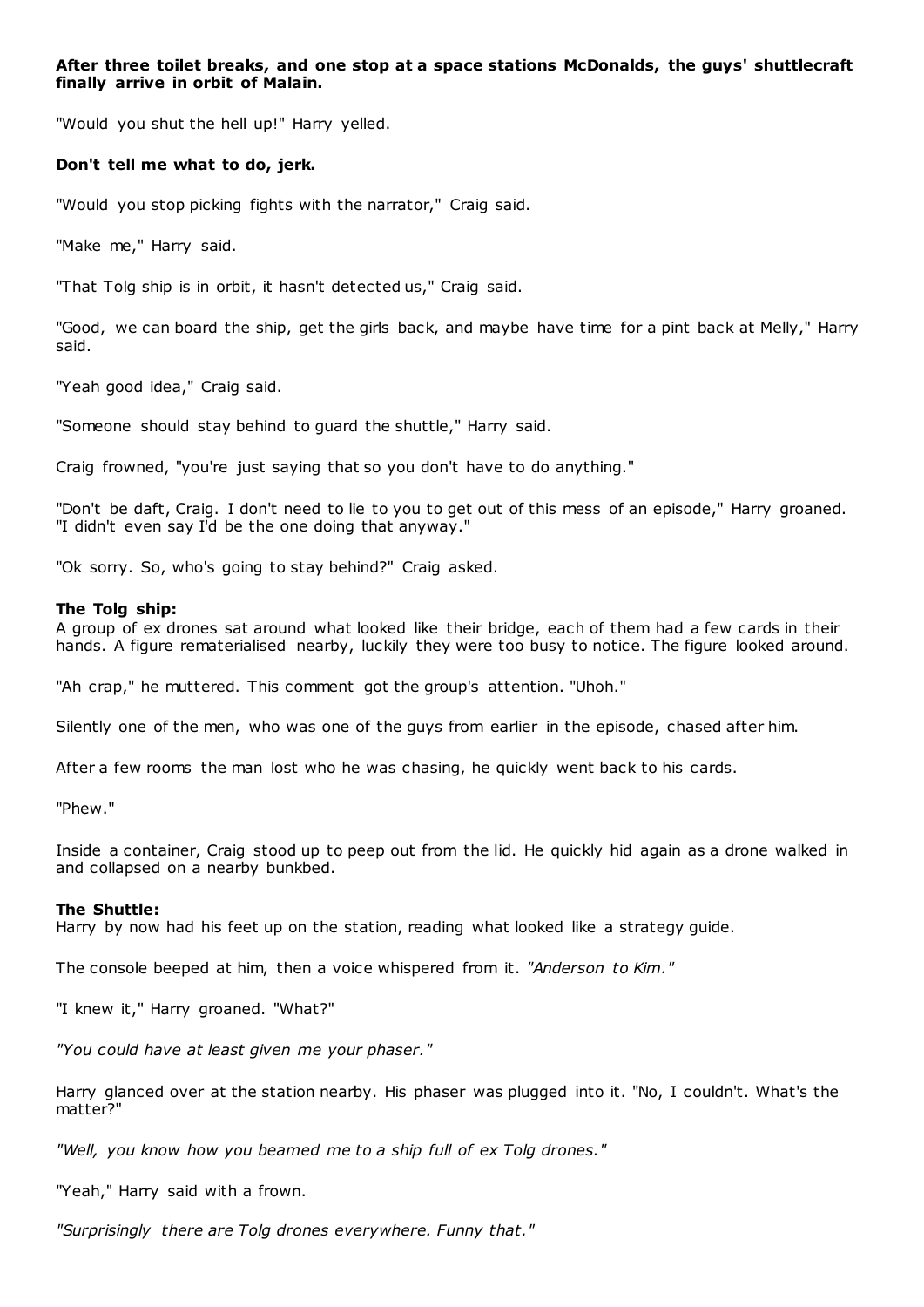# **After three toilet breaks, and one stop at a space stations McDonalds, the guys' shuttlecraft finally arrive in orbit of Malain.**

"Would you shut the hell up!" Harry yelled.

# **Don't tell me what to do, jerk.**

"Would you stop picking fights with the narrator," Craig said.

"Make me," Harry said.

"That Tolg ship is in orbit, it hasn't detected us," Craig said.

"Good, we can board the ship, get the girls back, and maybe have time for a pint back at Melly," Harry said.

"Yeah good idea," Craig said.

"Someone should stay behind to guard the shuttle," Harry said.

Craig frowned, "you're just saying that so you don't have to do anything."

"Don't be daft, Craig. I don't need to lie to you to get out of this mess of an episode," Harry groaned. "I didn't even say I'd be the one doing that anyway."

"Ok sorry. So, who's going to stay behind?" Craig asked.

# **The Tolg ship:**

A group of ex drones sat around what looked like their bridge, each of them had a few cards in their hands. A figure rematerialised nearby, luckily they were too busy to notice. The figure looked around.

"Ah crap," he muttered. This comment got the group's attention. "Uhoh."

Silently one of the men, who was one of the guys from earlier in the episode, chased after him.

After a few rooms the man lost who he was chasing, he quickly went back to his cards.

"Phew."

Inside a container, Craig stood up to peep out from the lid. He quickly hid again as a drone walked in and collapsed on a nearby bunkbed.

# **The Shuttle:**

Harry by now had his feet up on the station, reading what looked like a strategy guide.

The console beeped at him, then a voice whispered from it. *"Anderson to Kim."*

"I knew it," Harry groaned. "What?"

*"You could have at least given me your phaser."*

Harry glanced over at the station nearby. His phaser was plugged into it. "No, I couldn't. What's the matter?"

*"Well, you know how you beamed me to a ship full of ex Tolg drones."*

"Yeah," Harry said with a frown.

*"Surprisingly there are Tolg drones everywhere. Funny that."*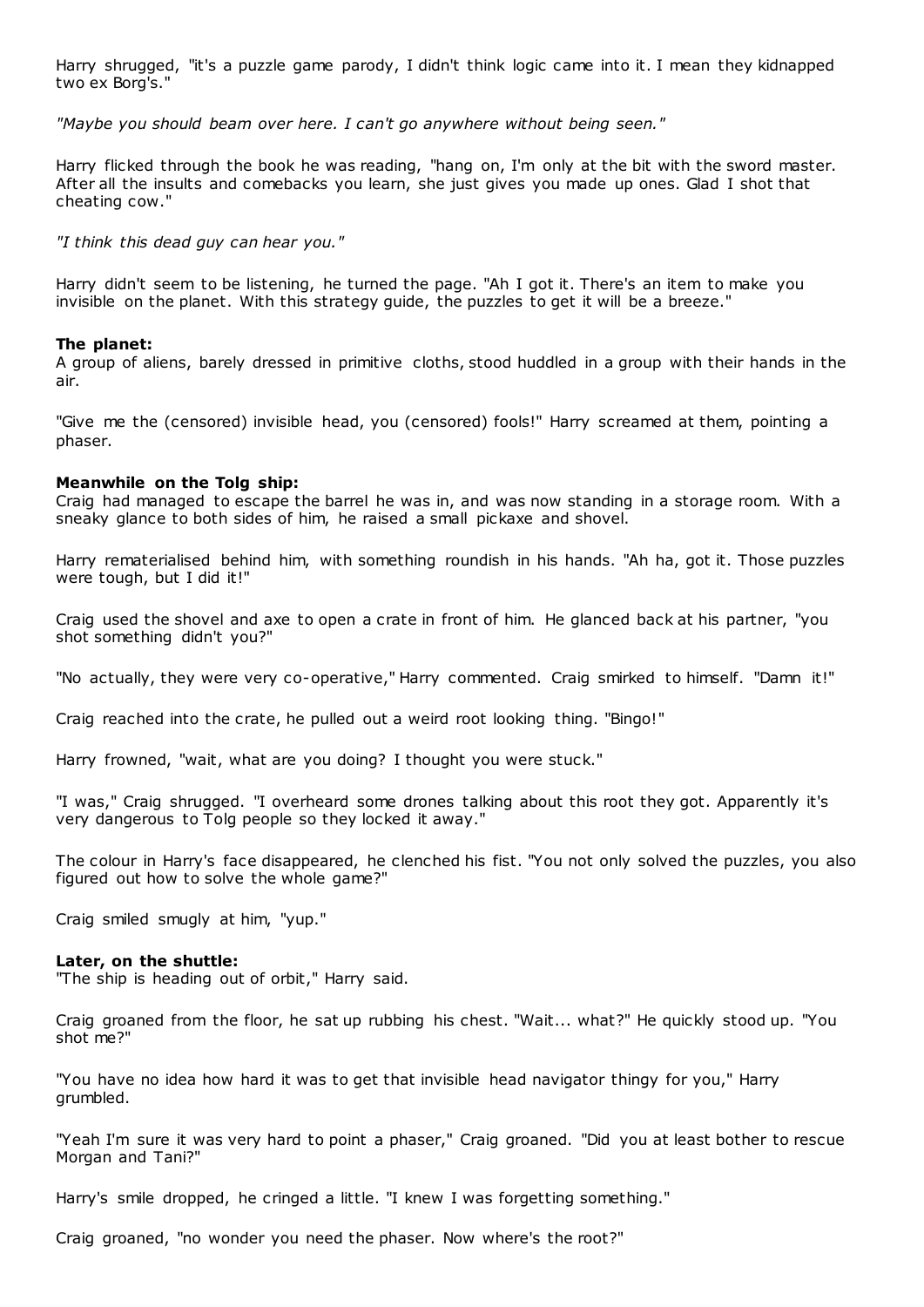Harry shrugged, "it's a puzzle game parody, I didn't think logic came into it. I mean they kidnapped two ex Borg's."

*"Maybe you should beam over here. I can't go anywhere without being seen."*

Harry flicked through the book he was reading, "hang on, I'm only at the bit with the sword master. After all the insults and comebacks you learn, she just gives you made up ones. Glad I shot that cheating cow."

*"I think this dead guy can hear you."*

Harry didn't seem to be listening, he turned the page. "Ah I got it. There's an item to make you invisible on the planet. With this strategy guide, the puzzles to get it will be a breeze."

# **The planet:**

A group of aliens, barely dressed in primitive cloths, stood huddled in a group with their hands in the air.

"Give me the (censored) invisible head, you (censored) fools!" Harry screamed at them, pointing a phaser.

# **Meanwhile on the Tolg ship:**

Craig had managed to escape the barrel he was in, and was now standing in a storage room. With a sneaky glance to both sides of him, he raised a small pickaxe and shovel.

Harry rematerialised behind him, with something roundish in his hands. "Ah ha, got it. Those puzzles were tough, but I did it!"

Craig used the shovel and axe to open a crate in front of him. He glanced back at his partner, "you shot something didn't you?"

"No actually, they were very co-operative," Harry commented. Craig smirked to himself. "Damn it!"

Craig reached into the crate, he pulled out a weird root looking thing. "Bingo!"

Harry frowned, "wait, what are you doing? I thought you were stuck."

"I was," Craig shrugged. "I overheard some drones talking about this root they got. Apparently it's very dangerous to Tolg people so they locked it away."

The colour in Harry's face disappeared, he clenched his fist. "You not only solved the puzzles, you also figured out how to solve the whole game?"

Craig smiled smugly at him, "yup."

# **Later, on the shuttle:**

"The ship is heading out of orbit," Harry said.

Craig groaned from the floor, he sat up rubbing his chest. "Wait... what?" He quickly stood up. "You shot me?"

"You have no idea how hard it was to get that invisible head navigator thingy for you," Harry grumbled.

"Yeah I'm sure it was very hard to point a phaser," Craig groaned. "Did you at least bother to rescue Morgan and Tani?"

Harry's smile dropped, he cringed a little. "I knew I was forgetting something."

Craig groaned, "no wonder you need the phaser. Now where's the root?"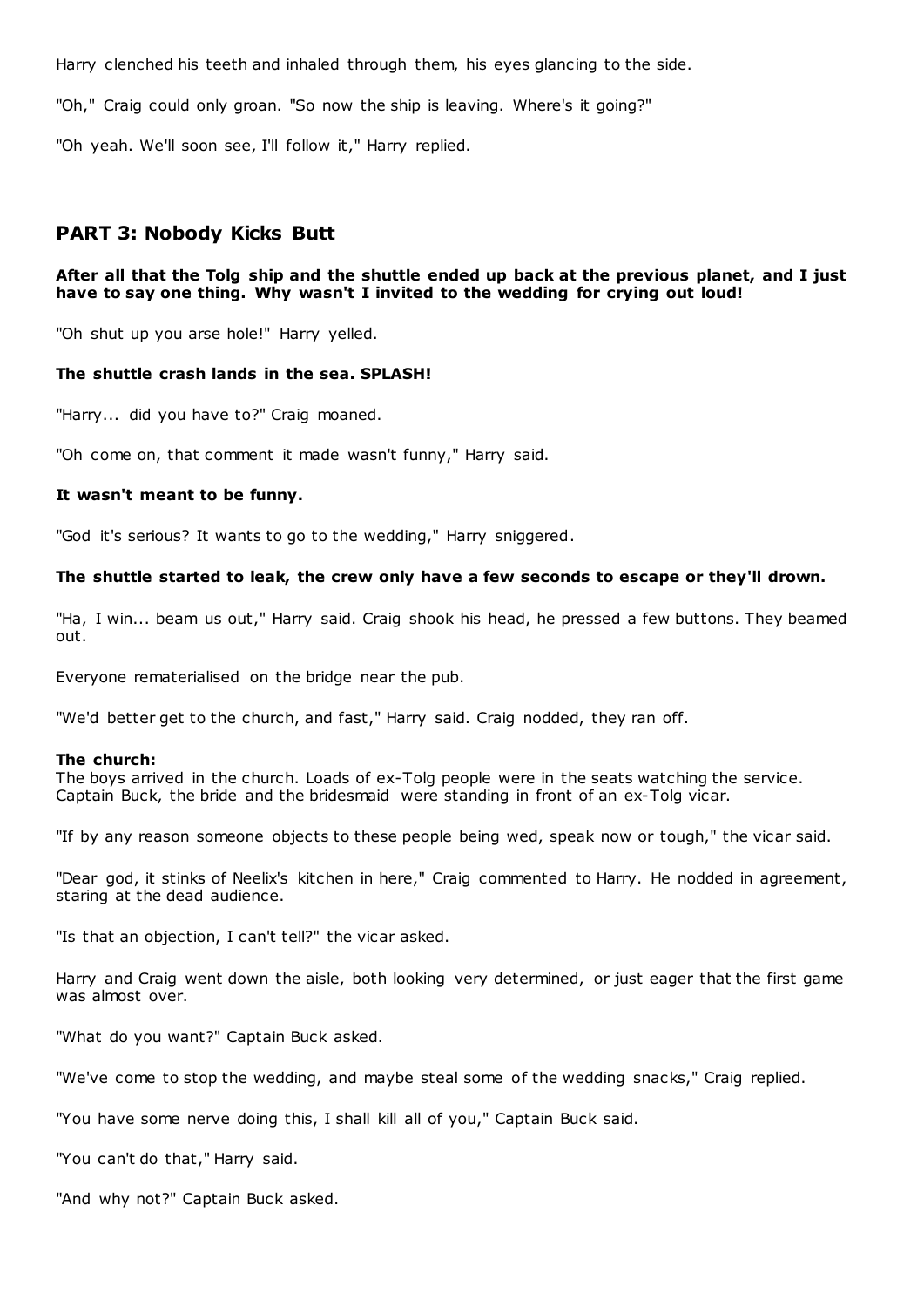Harry clenched his teeth and inhaled through them, his eyes glancing to the side.

"Oh," Craig could only groan. "So now the ship is leaving. Where's it going?"

"Oh yeah. We'll soon see, I'll follow it," Harry replied.

# **PART 3: Nobody Kicks Butt**

# **After all that the Tolg ship and the shuttle ended up back at the previous planet, and I just have to say one thing. Why wasn't I invited to the wedding for crying out loud!**

"Oh shut up you arse hole!" Harry yelled.

# **The shuttle crash lands in the sea. SPLASH!**

"Harry... did you have to?" Craig moaned.

"Oh come on, that comment it made wasn't funny," Harry said.

# **It wasn't meant to be funny.**

"God it's serious? It wants to go to the wedding," Harry sniggered.

# **The shuttle started to leak, the crew only have a few seconds to escape or they'll drown.**

"Ha, I win... beam us out," Harry said. Craig shook his head, he pressed a few buttons. They beamed out.

Everyone rematerialised on the bridge near the pub.

"We'd better get to the church, and fast," Harry said. Craig nodded, they ran off.

# **The church:**

The boys arrived in the church. Loads of ex-Tolg people were in the seats watching the service. Captain Buck, the bride and the bridesmaid were standing in front of an ex-Tolg vicar.

"If by any reason someone objects to these people being wed, speak now or tough," the vicar said.

"Dear god, it stinks of Neelix's kitchen in here," Craig commented to Harry. He nodded in agreement, staring at the dead audience.

"Is that an objection, I can't tell?" the vicar asked.

Harry and Craig went down the aisle, both looking very determined, or just eager that the first game was almost over.

"What do you want?" Captain Buck asked.

"We've come to stop the wedding, and maybe steal some of the wedding snacks," Craig replied.

"You have some nerve doing this, I shall kill all of you," Captain Buck said.

"You can't do that," Harry said.

"And why not?" Captain Buck asked.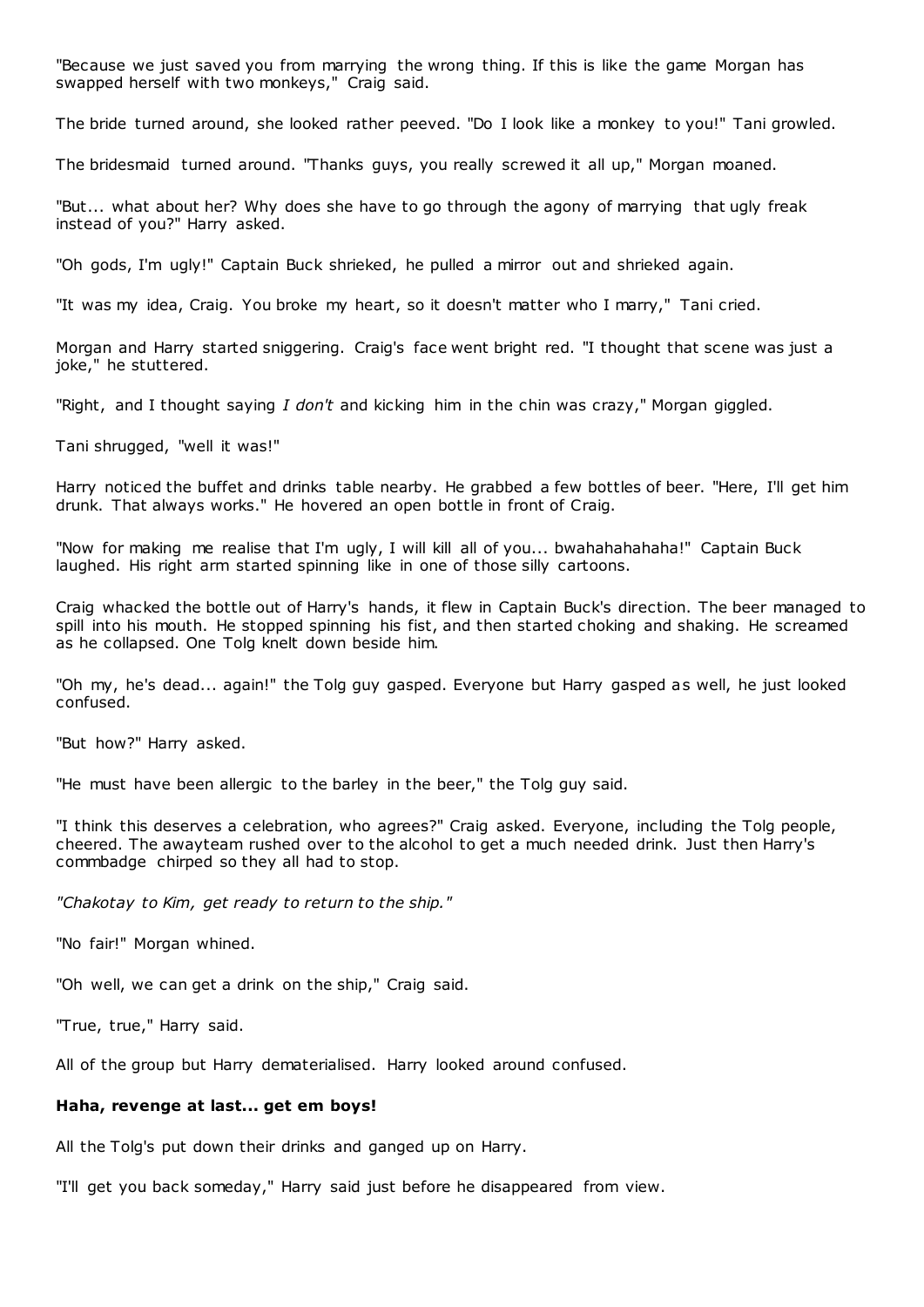"Because we just saved you from marrying the wrong thing. If this is like the game Morgan has swapped herself with two monkeys," Craig said.

The bride turned around, she looked rather peeved. "Do I look like a monkey to you!" Tani growled.

The bridesmaid turned around. "Thanks guys, you really screwed it all up," Morgan moaned.

"But... what about her? Why does she have to go through the agony of marrying that ugly freak instead of you?" Harry asked.

"Oh gods, I'm ugly!" Captain Buck shrieked, he pulled a mirror out and shrieked again.

"It was my idea, Craig. You broke my heart, so it doesn't matter who I marry," Tani cried.

Morgan and Harry started sniggering. Craig's face went bright red. "I thought that scene was just a joke," he stuttered.

"Right, and I thought saying *I don't* and kicking him in the chin was crazy," Morgan giggled.

Tani shrugged, "well it was!"

Harry noticed the buffet and drinks table nearby. He grabbed a few bottles of beer. "Here, I'll get him drunk. That always works." He hovered an open bottle in front of Craig.

"Now for making me realise that I'm ugly, I will kill all of you... bwahahahahaha!" Captain Buck laughed. His right arm started spinning like in one of those silly cartoons.

Craig whacked the bottle out of Harry's hands, it flew in Captain Buck's direction. The beer managed to spill into his mouth. He stopped spinning his fist, and then started choking and shaking. He screamed as he collapsed. One Tolg knelt down beside him.

"Oh my, he's dead... again!" the Tolg guy gasped. Everyone but Harry gasped as well, he just looked confused.

"But how?" Harry asked.

"He must have been allergic to the barley in the beer," the Tolg guy said.

"I think this deserves a celebration, who agrees?" Craig asked. Everyone, including the Tolg people, cheered. The awayteam rushed over to the alcohol to get a much needed drink. Just then Harry's commbadge chirped so they all had to stop.

*"Chakotay to Kim, get ready to return to the ship."*

"No fair!" Morgan whined.

"Oh well, we can get a drink on the ship," Craig said.

"True, true," Harry said.

All of the group but Harry dematerialised. Harry looked around confused.

#### **Haha, revenge at last... get em boys!**

All the Tolg's put down their drinks and ganged up on Harry.

"I'll get you back someday," Harry said just before he disappeared from view.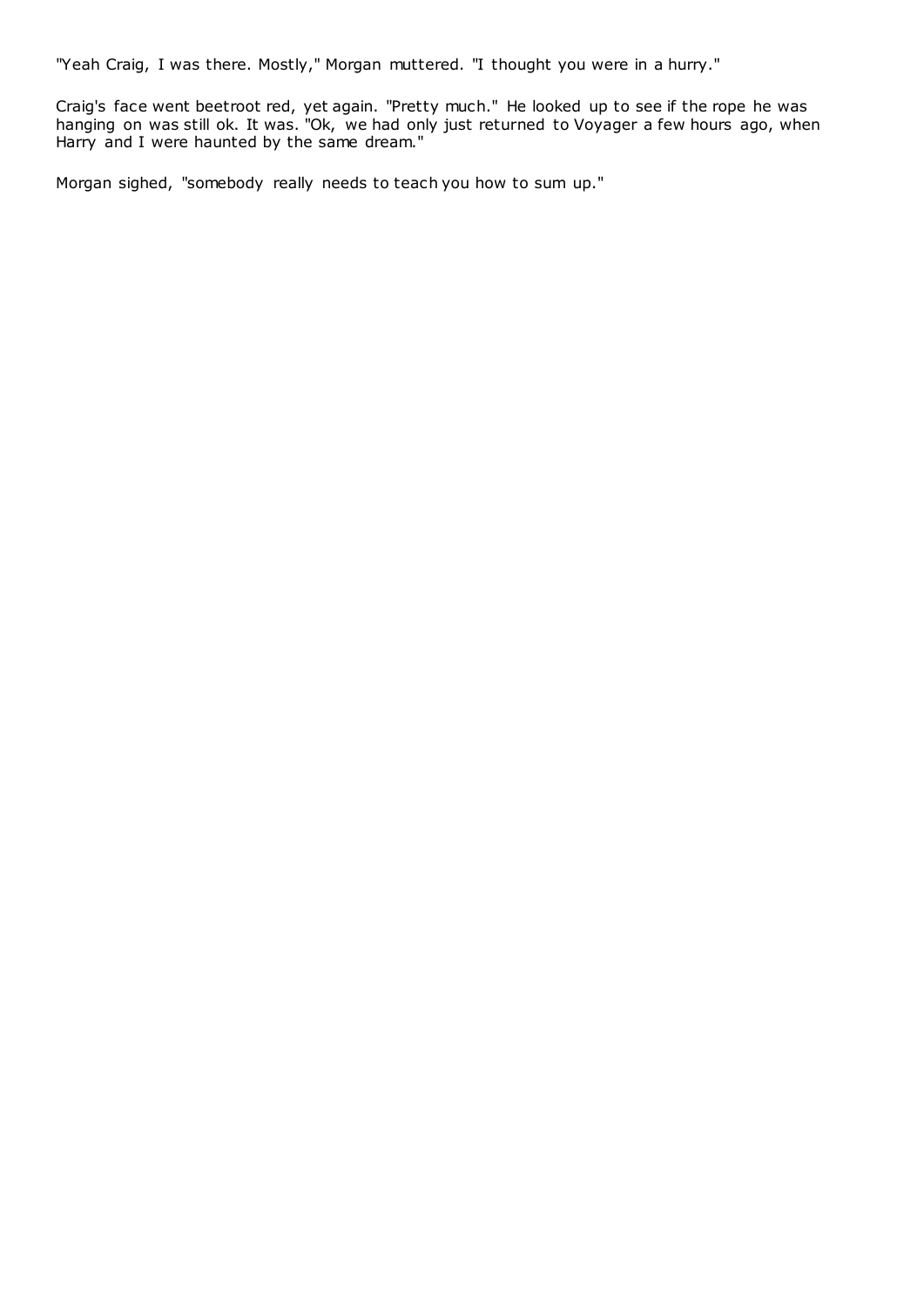"Yeah Craig, I was there. Mostly," Morgan muttered. "I thought you were in a hurry."

Craig's face went beetroot red, yet again. "Pretty much." He looked up to see if the rope he was hanging on was still ok. It was. "Ok, we had only just returned to Voyager a few hours ago, when Harry and I were haunted by the same dream."

Morgan sighed, "somebody really needs to teach you how to sum up."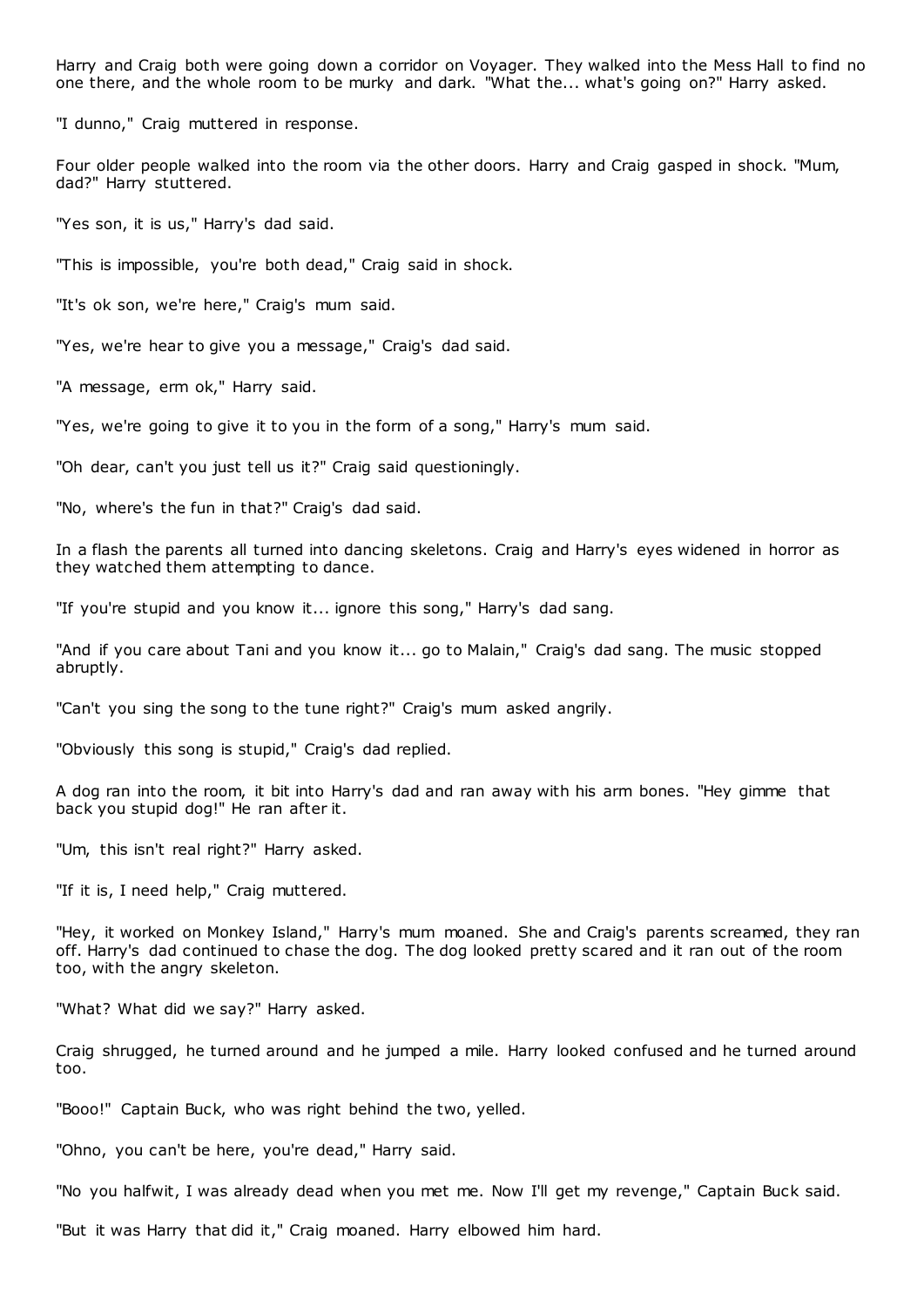Harry and Craig both were going down a corridor on Voyager. They walked into the Mess Hall to find no one there, and the whole room to be murky and dark. "What the... what's going on?" Harry asked.

"I dunno," Craig muttered in response.

Four older people walked into the room via the other doors. Harry and Craig gasped in shock. "Mum, dad?" Harry stuttered.

"Yes son, it is us," Harry's dad said.

"This is impossible, you're both dead," Craig said in shock.

"It's ok son, we're here," Craig's mum said.

"Yes, we're hear to give you a message," Craig's dad said.

"A message, erm ok," Harry said.

"Yes, we're going to give it to you in the form of a song," Harry's mum said.

"Oh dear, can't you just tell us it?" Craig said questioningly.

"No, where's the fun in that?" Craig's dad said.

In a flash the parents all turned into dancing skeletons. Craig and Harry's eyes widened in horror as they watched them attempting to dance.

"If you're stupid and you know it... ignore this song," Harry's dad sang.

"And if you care about Tani and you know it... go to Malain," Craig's dad sang. The music stopped abruptly.

"Can't you sing the song to the tune right?" Craig's mum asked angrily.

"Obviously this song is stupid," Craig's dad replied.

A dog ran into the room, it bit into Harry's dad and ran away with his arm bones. "Hey gimme that back you stupid dog!" He ran after it.

"Um, this isn't real right?" Harry asked.

"If it is, I need help," Craig muttered.

"Hey, it worked on Monkey Island," Harry's mum moaned. She and Craig's parents screamed, they ran off. Harry's dad continued to chase the dog. The dog looked pretty scared and it ran out of the room too, with the angry skeleton.

"What? What did we say?" Harry asked.

Craig shrugged, he turned around and he jumped a mile. Harry looked confused and he turned around too.

"Booo!" Captain Buck, who was right behind the two, yelled.

"Ohno, you can't be here, you're dead," Harry said.

"No you halfwit, I was already dead when you met me. Now I'll get my revenge," Captain Buck said.

"But it was Harry that did it," Craig moaned. Harry elbowed him hard.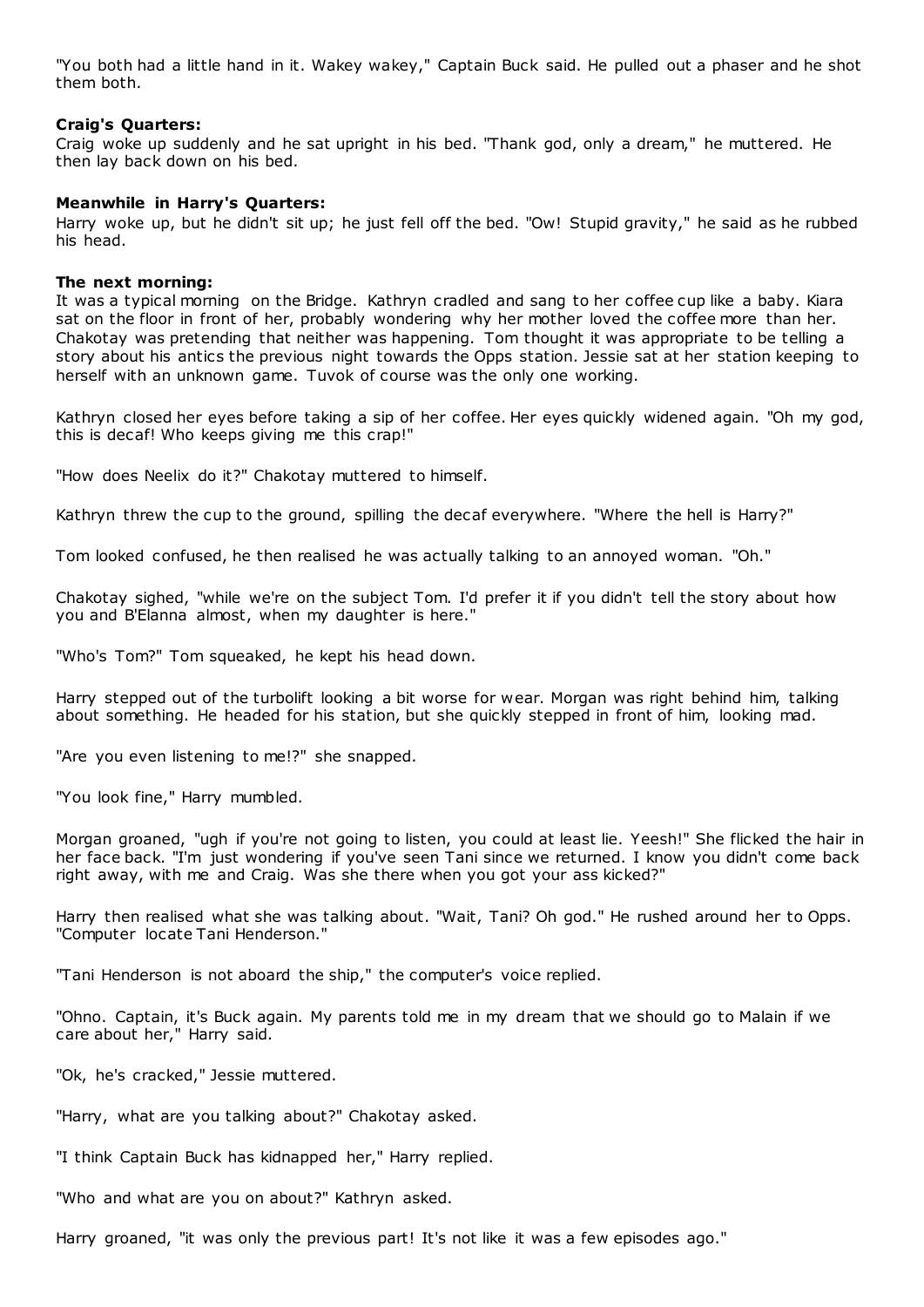"You both had a little hand in it. Wakey wakey," Captain Buck said. He pulled out a phaser and he shot them both.

# **Craig's Quarters:**

Craig woke up suddenly and he sat upright in his bed. "Thank god, only a dream," he muttered. He then lay back down on his bed.

# **Meanwhile in Harry's Quarters:**

Harry woke up, but he didn't sit up; he just fell off the bed. "Ow! Stupid gravity," he said as he rubbed his head.

# **The next morning:**

It was a typical morning on the Bridge. Kathryn cradled and sang to her coffee cup like a baby. Kiara sat on the floor in front of her, probably wondering why her mother loved the coffee more than her. Chakotay was pretending that neither was happening. Tom thought it was appropriate to be telling a story about his antics the previous night towards the Opps station. Jessie sat at her station keeping to herself with an unknown game. Tuvok of course was the only one working.

Kathryn closed her eyes before taking a sip of her coffee. Her eyes quickly widened again. "Oh my god, this is decaf! Who keeps giving me this crap!"

"How does Neelix do it?" Chakotay muttered to himself.

Kathryn threw the cup to the ground, spilling the decaf everywhere. "Where the hell is Harry?"

Tom looked confused, he then realised he was actually talking to an annoyed woman. "Oh."

Chakotay sighed, "while we're on the subject Tom. I'd prefer it if you didn't tell the story about how you and B'Elanna almost, when my daughter is here."

"Who's Tom?" Tom squeaked, he kept his head down.

Harry stepped out of the turbolift looking a bit worse for wear. Morgan was right behind him, talking about something. He headed for his station, but she quickly stepped in front of him, looking mad.

"Are you even listening to me!?" she snapped.

"You look fine," Harry mumbled.

Morgan groaned, "ugh if you're not going to listen, you could at least lie. Yeesh!" She flicked the hair in her face back. "I'm just wondering if you've seen Tani since we returned. I know you didn't come back right away, with me and Craig. Was she there when you got your ass kicked?"

Harry then realised what she was talking about. "Wait, Tani? Oh god." He rushed around her to Opps. "Computer locate Tani Henderson."

"Tani Henderson is not aboard the ship," the computer's voice replied.

"Ohno. Captain, it's Buck again. My parents told me in my dream that we should go to Malain if we care about her," Harry said.

"Ok, he's cracked," Jessie muttered.

"Harry, what are you talking about?" Chakotay asked.

"I think Captain Buck has kidnapped her," Harry replied.

"Who and what are you on about?" Kathryn asked.

Harry groaned, "it was only the previous part! It's not like it was a few episodes ago."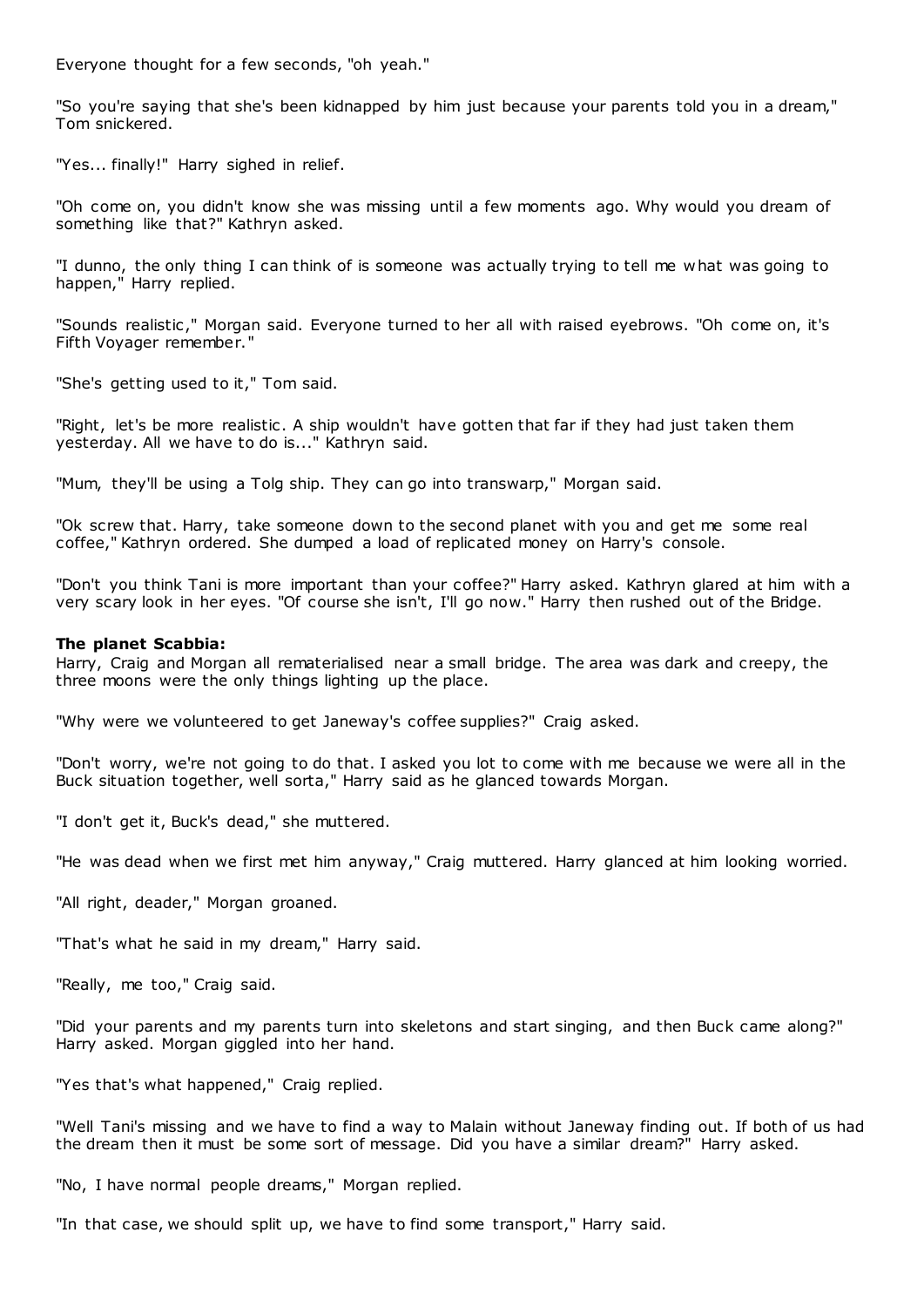Everyone thought for a few seconds, "oh yeah."

"So you're saying that she's been kidnapped by him just because your parents told you in a dream," Tom snickered.

"Yes... finally!" Harry sighed in relief.

"Oh come on, you didn't know she was missing until a few moments ago. Why would you dream of something like that?" Kathryn asked.

"I dunno, the only thing I can think of is someone was actually trying to tell me what was going to happen," Harry replied.

"Sounds realistic ," Morgan said. Everyone turned to her all with raised eyebrows. "Oh come on, it's Fifth Voyager remember."

"She's getting used to it," Tom said.

"Right, let's be more realistic. A ship wouldn't have gotten that far if they had just taken them yesterday. All we have to do is..." Kathryn said.

"Mum, they'll be using a Tolg ship. They can go into transwarp," Morgan said.

"Ok screw that. Harry, take someone down to the second planet with you and get me some real coffee," Kathryn ordered. She dumped a load of replicated money on Harry's console.

"Don't you think Tani is more important than your coffee?" Harry asked. Kathryn glared at him with a very scary look in her eyes. "Of course she isn't, I'll go now." Harry then rushed out of the Bridge.

# **The planet Scabbia:**

Harry, Craig and Morgan all rematerialised near a small bridge. The area was dark and creepy, the three moons were the only things lighting up the place.

"Why were we volunteered to get Janeway's coffee supplies?" Craig asked.

"Don't worry, we're not going to do that. I asked you lot to come with me because we were all in the Buck situation together, well sorta," Harry said as he glanced towards Morgan.

"I don't get it, Buck's dead," she muttered.

"He was dead when we first met him anyway," Craig muttered. Harry glanced at him looking worried.

"All right, deader," Morgan groaned.

"That's what he said in my dream," Harry said.

"Really, me too," Craig said.

"Did your parents and my parents turn into skeletons and start singing, and then Buck came along?" Harry asked. Morgan giggled into her hand.

"Yes that's what happened," Craig replied.

"Well Tani's missing and we have to find a way to Malain without Janeway finding out. If both of us had the dream then it must be some sort of message. Did you have a similar dream?" Harry asked.

"No, I have normal people dreams," Morgan replied.

"In that case, we should split up, we have to find some transport," Harry said.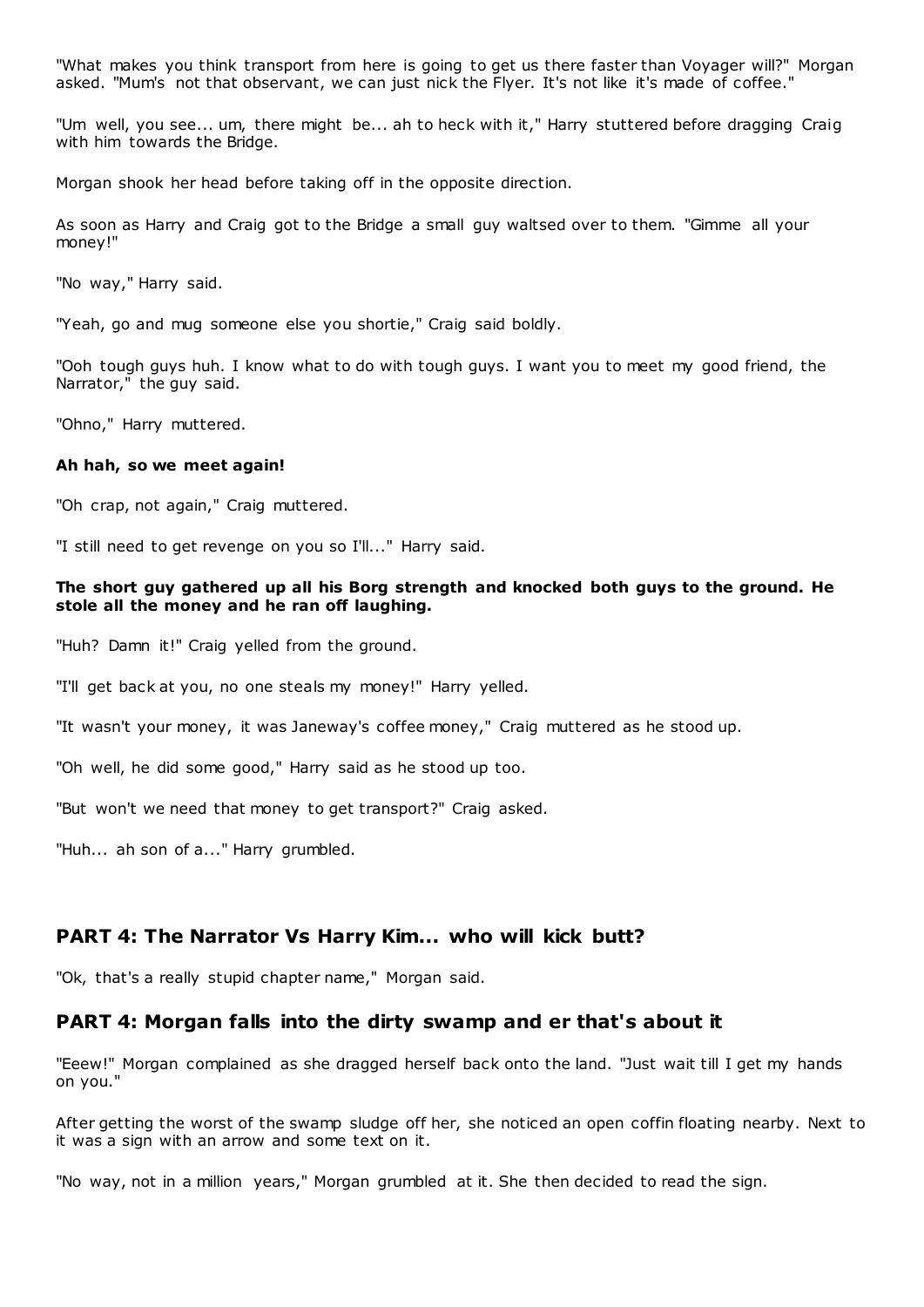"What makes you think transport from here is going to get us there faster than Voyager will?" Morgan asked. "Mum's not that observant, we can just nick the Flyer. It's not like it's made of coffee."

"Um well, you see... um, there might be... ah to heck with it," Harry stuttered before dragging Craig with him towards the Bridge.

Morgan shook her head before taking off in the opposite direction.

As soon as Harry and Craig got to the Bridge a small guy waltsed over to them. "Gimme all your money!"

"No way," Harry said.

"Yeah, go and mug someone else you shortie," Craig said boldly.

"Ooh tough guys huh. I know what to do with tough guys. I want you to meet my good friend, the Narrator," the guy said.

"Ohno," Harry muttered.

#### **Ah hah, so we meet again!**

"Oh crap, not again," Craig muttered.

"I still need to get revenge on you so I'll..." Harry said.

# **The short guy gathered up all his Borg strength and knocked both guys to the ground. He stole all the money and he ran off laughing.**

"Huh? Damn it!" Craig yelled from the ground.

"I'll get back at you, no one steals my money!" Harry yelled.

"It wasn't your money, it was Janeway's coffee money," Craig muttered as he stood up.

"Oh well, he did some good," Harry said as he stood up too.

"But won't we need that money to get transport?" Craig asked.

"Huh... ah son of a..." Harry grumbled.

# **PART 4: The Narrator Vs Harry Kim... who will kick butt?**

"Ok, that's a really stupid chapter name," Morgan said.

# **PART 4: Morgan falls into the dirty swamp and er that's about it**

"Eeew!" Morgan complained as she dragged herself back onto the land. "Just wait till I get my hands on you."

After getting the worst of the swamp sludge off her, she noticed an open coffin floating nearby. Next to it was a sign with an arrow and some text on it.

"No way, not in a million years," Morgan grumbled at it. She then decided to read the sign.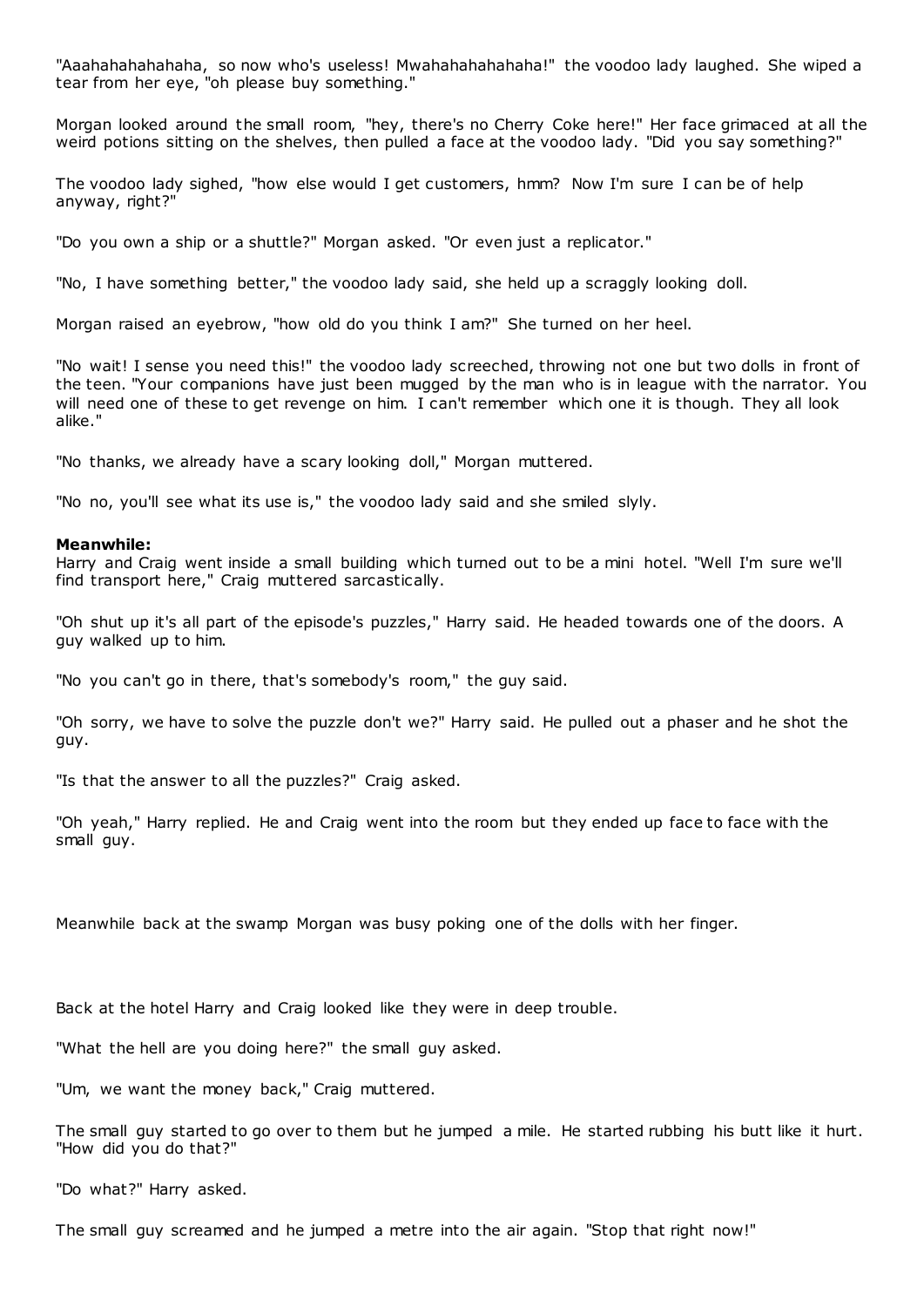"Aaahahahahahaha, so now who's useless! Mwahahahahahaha!" the voodoo lady laughed. She wiped a tear from her eye, "oh please buy something."

Morgan looked around the small room, "hey, there's no Cherry Coke here!" Her face grimaced at all the weird potions sitting on the shelves, then pulled a face at the voodoo lady. "Did you say something?"

The voodoo lady sighed, "how else would I get customers, hmm? Now I'm sure I can be of help anyway, right?"

"Do you own a ship or a shuttle?" Morgan asked. "Or even just a replicator."

"No, I have something better," the voodoo lady said, she held up a scraggly looking doll.

Morgan raised an eyebrow, "how old do you think I am?" She turned on her heel.

"No wait! I sense you need this!" the voodoo lady screeched, throwing not one but two dolls in front of the teen. "Your companions have just been mugged by the man who is in league with the narrator. You will need one of these to get revenge on him. I can't remember which one it is though. They all look alike."

"No thanks, we already have a scary looking doll," Morgan muttered.

"No no, you'll see what its use is," the voodoo lady said and she smiled slyly.

#### **Meanwhile:**

Harry and Craig went inside a small building which turned out to be a mini hotel. "Well I'm sure we'll find transport here," Craig muttered sarcastically.

"Oh shut up it's all part of the episode's puzzles," Harry said. He headed towards one of the doors. A guy walked up to him.

"No you can't go in there, that's somebody's room," the guy said.

"Oh sorry, we have to solve the puzzle don't we?" Harry said. He pulled out a phaser and he shot the guy.

"Is that the answer to all the puzzles?" Craig asked.

"Oh yeah," Harry replied. He and Craig went into the room but they ended up face to face with the small guy.

Meanwhile back at the swamp Morgan was busy poking one of the dolls with her finger.

Back at the hotel Harry and Craig looked like they were in deep trouble.

"What the hell are you doing here?" the small guy asked.

"Um, we want the money back," Craig muttered.

The small guy started to go over to them but he jumped a mile. He started rubbing his butt like it hurt. "How did you do that?"

"Do what?" Harry asked.

The small guy screamed and he jumped a metre into the air again. "Stop that right now!"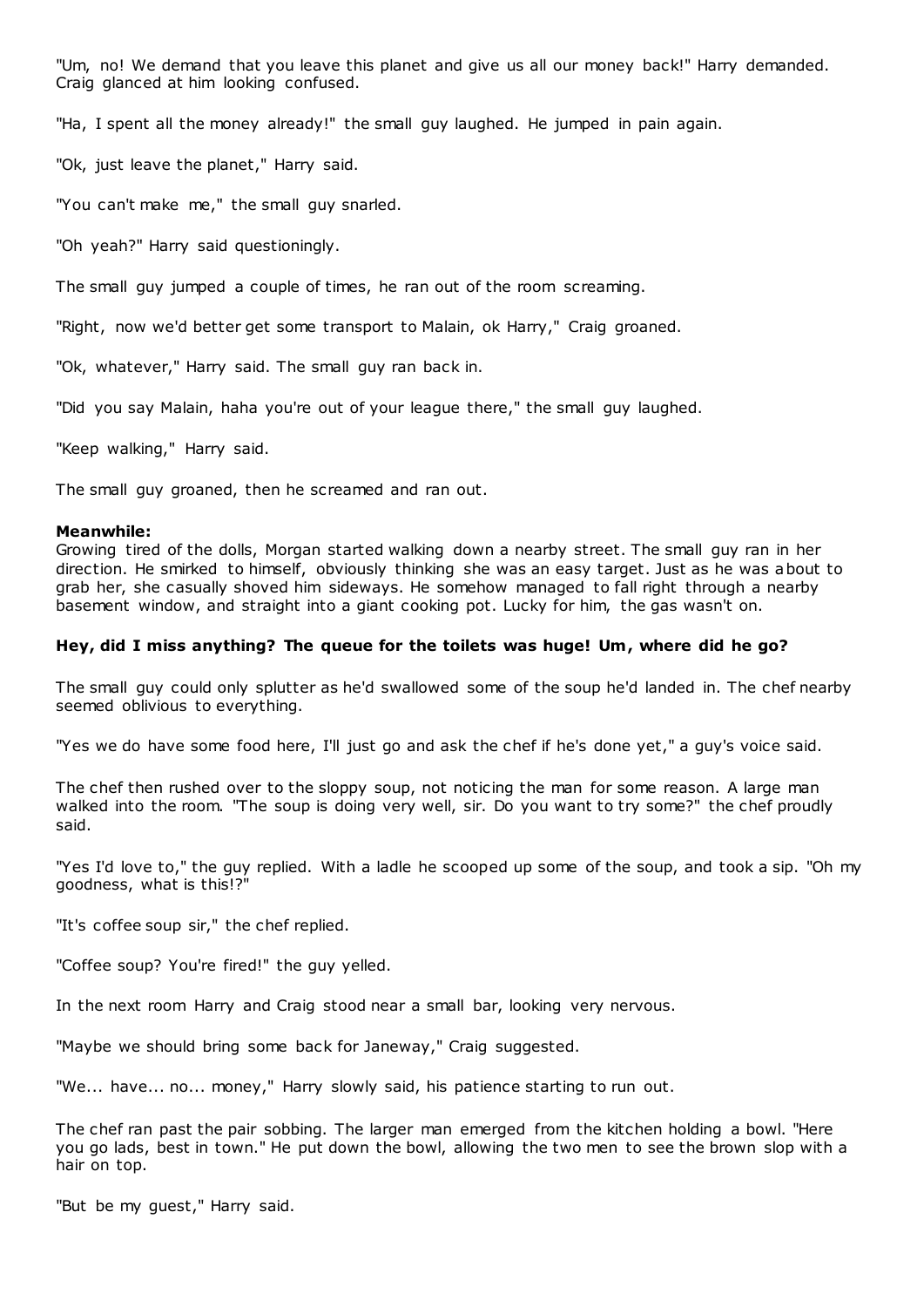"Um, no! We demand that you leave this planet and give us all our money back!" Harry demanded. Craig glanced at him looking confused.

"Ha, I spent all the money already!" the small guy laughed. He jumped in pain again.

"Ok, just leave the planet," Harry said.

"You can't make me," the small guy snarled.

"Oh yeah?" Harry said questioningly.

The small guy jumped a couple of times, he ran out of the room screaming.

"Right, now we'd better get some transport to Malain, ok Harry," Craig groaned.

"Ok, whatever," Harry said. The small guy ran back in.

"Did you say Malain, haha you're out of your league there," the small guy laughed.

"Keep walking," Harry said.

The small guy groaned, then he screamed and ran out.

#### **Meanwhile:**

Growing tired of the dolls, Morgan started walking down a nearby street. The small guy ran in her direction. He smirked to himself, obviously thinking she was an easy target. Just as he was about to grab her, she casually shoved him sideways. He somehow managed to fall right through a nearby basement window, and straight into a giant cooking pot. Lucky for him, the gas wasn't on.

# **Hey, did I miss anything? The queue for the toilets was huge! Um, where did he go?**

The small guy could only splutter as he'd swallowed some of the soup he'd landed in. The chef nearby seemed oblivious to everything.

"Yes we do have some food here, I'll just go and ask the chef if he's done yet," a guy's voice said.

The chef then rushed over to the sloppy soup, not noticing the man for some reason. A large man walked into the room. "The soup is doing very well, sir. Do you want to try some?" the chef proudly said.

"Yes I'd love to," the guy replied. With a ladle he scooped up some of the soup, and took a sip. "Oh my goodness, what is this!?"

"It's coffee soup sir," the chef replied.

"Coffee soup? You're fired!" the guy yelled.

In the next room Harry and Craig stood near a small bar, looking very nervous.

"Maybe we should bring some back for Janeway," Craig suggested.

"We... have... no... money," Harry slowly said, his patience starting to run out.

The chef ran past the pair sobbing. The larger man emerged from the kitchen holding a bowl. "Here you go lads, best in town." He put down the bowl, allowing the two men to see the brown slop with a hair on top.

"But be my guest," Harry said.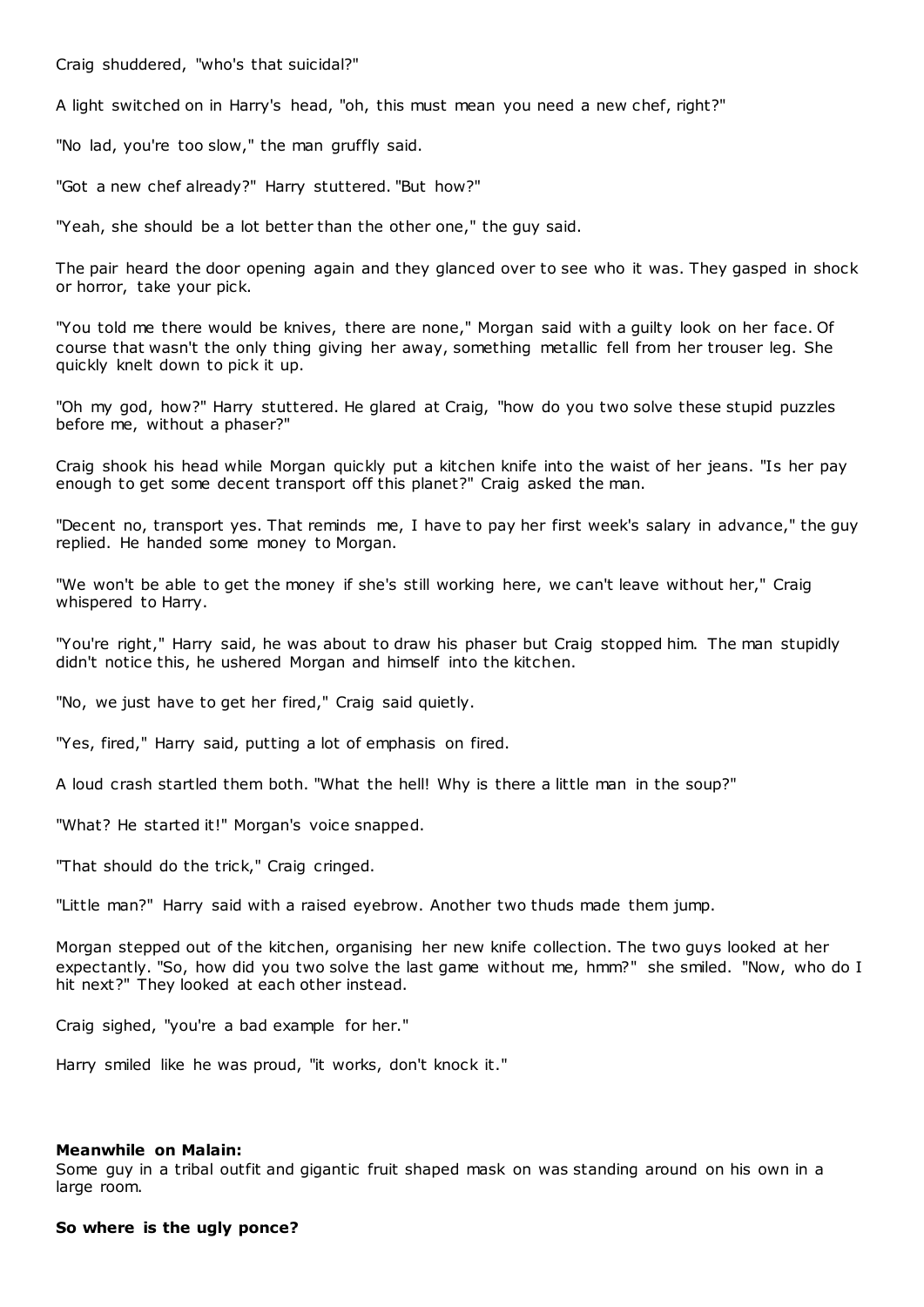Craig shuddered, "who's that suicidal?"

A light switched on in Harry's head, "oh, this must mean you need a new chef, right?"

"No lad, you're too slow," the man gruffly said.

"Got a new chef already?" Harry stuttered. "But how?"

"Yeah, she should be a lot better than the other one," the guy said.

The pair heard the door opening again and they glanced over to see who it was. They gasped in shock or horror, take your pick.

"You told me there would be knives, there are none," Morgan said with a guilty look on her face. Of course that wasn't the only thing giving her away, something metallic fell from her trouser leg. She quickly knelt down to pick it up.

"Oh my god, how?" Harry stuttered. He glared at Craig, "how do you two solve these stupid puzzles before me, without a phaser?"

Craig shook his head while Morgan quickly put a kitchen knife into the waist of her jeans. "Is her pay enough to get some decent transport off this planet?" Craig asked the man.

"Decent no, transport yes. That reminds me, I have to pay her first week's salary in advance," the guy replied. He handed some money to Morgan.

"We won't be able to get the money if she's still working here, we can't leave without her," Craig whispered to Harry.

"You're right," Harry said, he was about to draw his phaser but Craig stopped him. The man stupidly didn't notice this, he ushered Morgan and himself into the kitchen.

"No, we just have to get her fired," Craig said quietly.

"Yes, fired," Harry said, putting a lot of emphasis on fired.

A loud crash startled them both. "What the hell! Why is there a little man in the soup?"

"What? He started it!" Morgan's voice snapped.

"That should do the trick," Craig cringed.

"Little man?" Harry said with a raised eyebrow. Another two thuds made them jump.

Morgan stepped out of the kitchen, organising her new knife collection. The two guys looked at her expectantly. "So, how did you two solve the last game without me, hmm?" she smiled. "Now, who do I hit next?" They looked at each other instead.

Craig sighed, "you're a bad example for her."

Harry smiled like he was proud, "it works, don't knock it."

#### **Meanwhile on Malain:**

Some guy in a tribal outfit and gigantic fruit shaped mask on was standing around on his own in a large room.

# **So where is the ugly ponce?**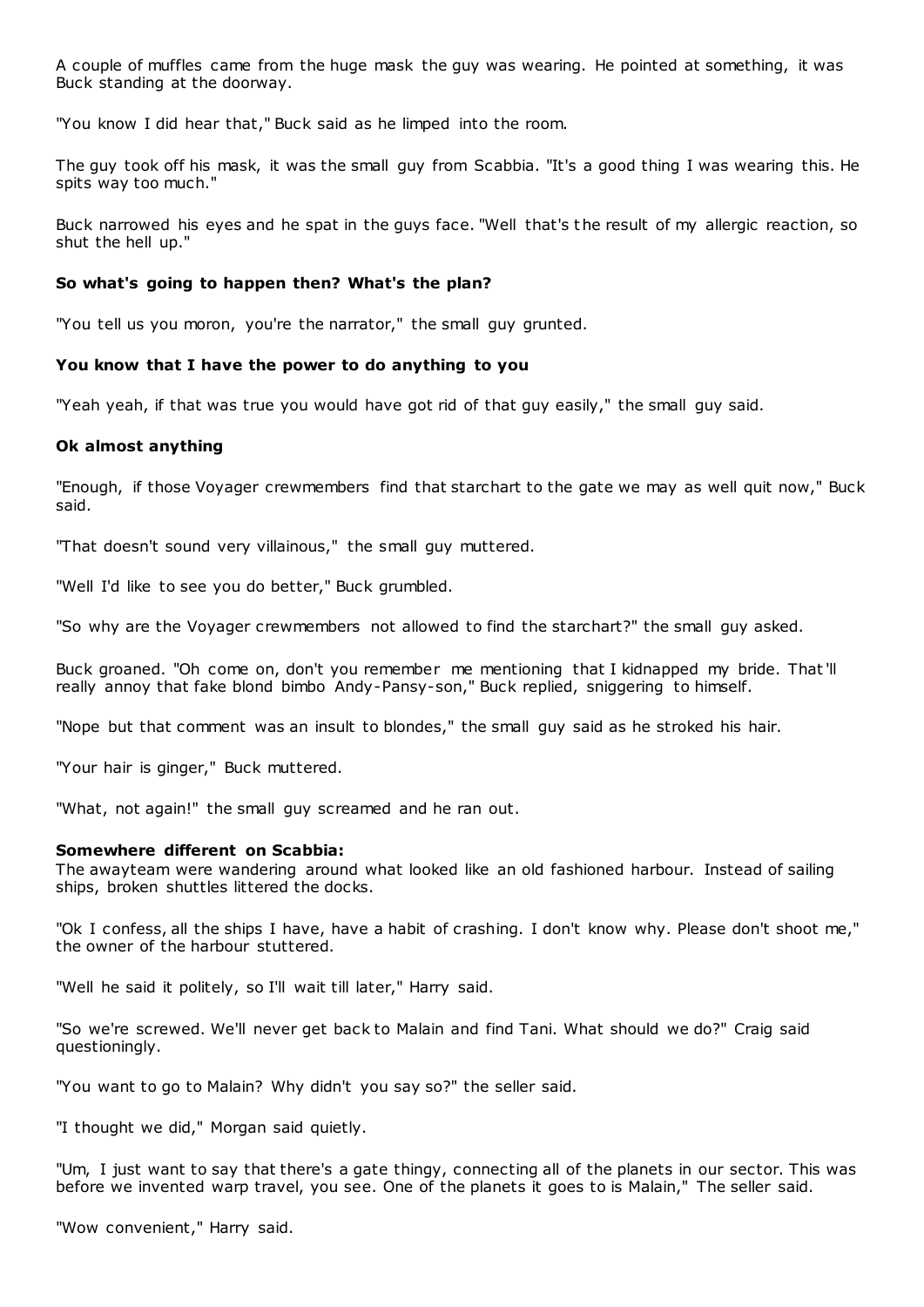A couple of muffles came from the huge mask the guy was wearing. He pointed at something, it was Buck standing at the doorway.

"You know I did hear that," Buck said as he limped into the room.

The guy took off his mask, it was the small guy from Scabbia. "It's a good thing I was wearing this. He spits way too much."

Buck narrowed his eyes and he spat in the guys face. "Well that's the result of my allergic reaction, so shut the hell up."

# **So what's going to happen then? What's the plan?**

"You tell us you moron, you're the narrator," the small guy grunted.

# **You know that I have the power to do anything to you**

"Yeah yeah, if that was true you would have got rid of that guy easily," the small guy said.

# **Ok almost anything**

"Enough, if those Voyager crewmembers find that starchart to the gate we may as well quit now," Buck said.

"That doesn't sound very villainous," the small guy muttered.

"Well I'd like to see you do better," Buck grumbled.

"So why are the Voyager crewmembers not allowed to find the starchart?" the small guy asked.

Buck groaned. "Oh come on, don't you remember me mentioning that I kidnapped my bride. That'll really annoy that fake blond bimbo Andy-Pansy-son," Buck replied, sniggering to himself.

"Nope but that comment was an insult to blondes," the small guy said as he stroked his hair.

"Your hair is ginger," Buck muttered.

"What, not again!" the small guy screamed and he ran out.

# **Somewhere different on Scabbia:**

The awayteam were wandering around what looked like an old fashioned harbour. Instead of sailing ships, broken shuttles littered the docks.

"Ok I confess, all the ships I have, have a habit of crashing. I don't know why. Please don't shoot me," the owner of the harbour stuttered.

"Well he said it politely, so I'll wait till later," Harry said.

"So we're screwed. We'll never get back to Malain and find Tani. What should we do?" Craig said questioningly.

"You want to go to Malain? Why didn't you say so?" the seller said.

"I thought we did," Morgan said quietly.

"Um, I just want to say that there's a gate thingy, connecting all of the planets in our sector. This was before we invented warp travel, you see. One of the planets it goes to is Malain," The seller said.

"Wow convenient," Harry said.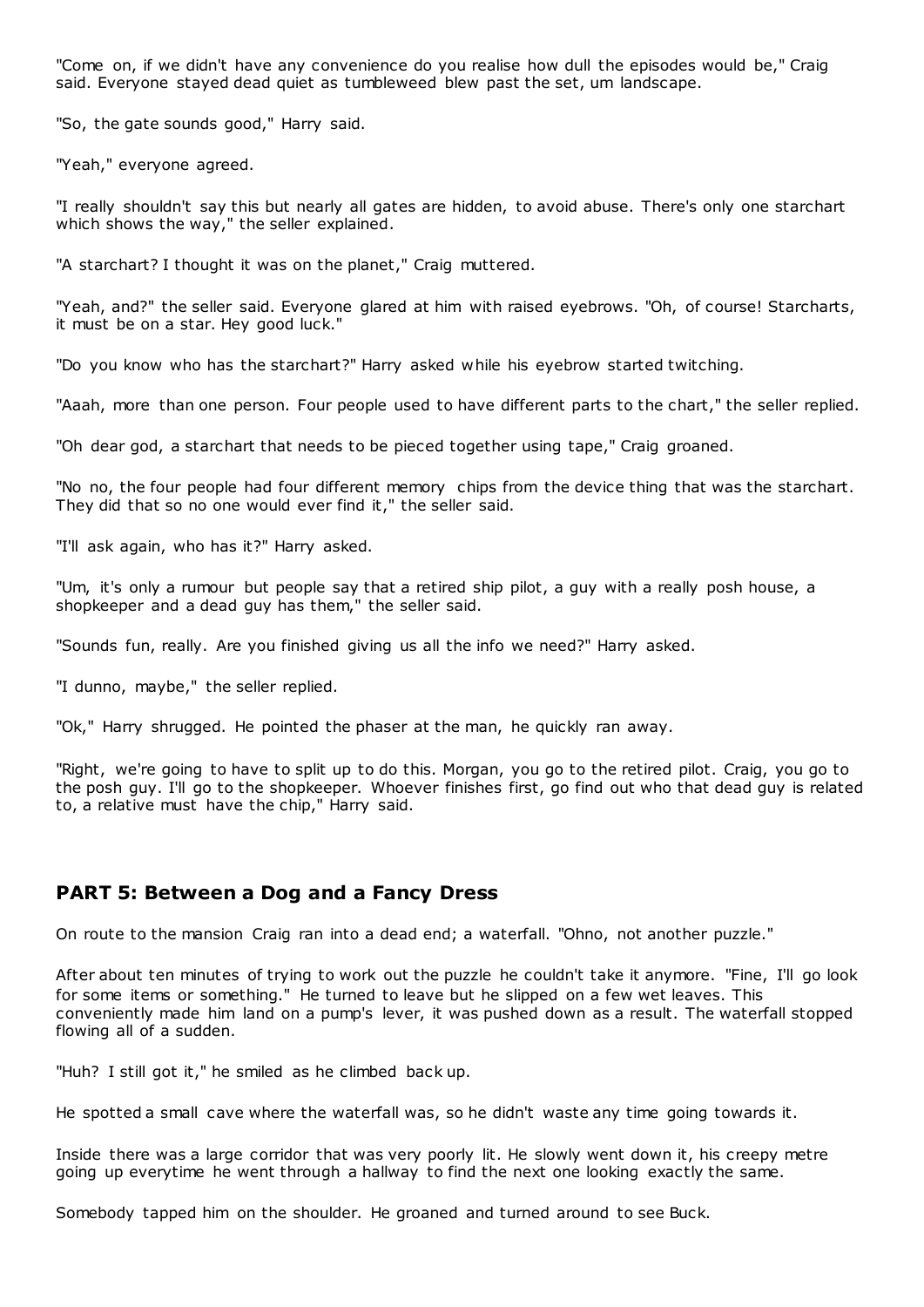"Come on, if we didn't have any convenience do you realise how dull the episodes would be," Craig said. Everyone stayed dead quiet as tumbleweed blew past the set, um landscape.

"So, the gate sounds good," Harry said.

"Yeah," everyone agreed.

"I really shouldn't say this but nearly all gates are hidden, to avoid abuse. There's only one starchart which shows the way," the seller explained.

"A starchart? I thought it was on the planet," Craig muttered.

"Yeah, and?" the seller said. Everyone glared at him with raised eyebrows. "Oh, of course! Starcharts, it must be on a star. Hey good luck."

"Do you know who has the starchart?" Harry asked while his eyebrow started twitching.

"Aaah, more than one person. Four people used to have different parts to the chart," the seller replied.

"Oh dear god, a starchart that needs to be pieced together using tape," Craig groaned.

"No no, the four people had four different memory chips from the device thing that was the starchart. They did that so no one would ever find it," the seller said.

"I'll ask again, who has it?" Harry asked.

"Um, it's only a rumour but people say that a retired ship pilot, a guy with a really posh house, a shopkeeper and a dead guy has them," the seller said.

"Sounds fun, really. Are you finished giving us all the info we need?" Harry asked.

"I dunno, maybe," the seller replied.

"Ok," Harry shrugged. He pointed the phaser at the man, he quickly ran away.

"Right, we're going to have to split up to do this. Morgan, you go to the retired pilot. Craig, you go to the posh guy. I'll go to the shopkeeper. Whoever finishes first, go find out who that dead guy is related to, a relative must have the chip," Harry said.

# **PART 5: Between a Dog and a Fancy Dress**

On route to the mansion Craig ran into a dead end; a waterfall. "Ohno, not another puzzle."

After about ten minutes of trying to work out the puzzle he couldn't take it anymore. "Fine, I'll go look for some items or something." He turned to leave but he slipped on a few wet leaves. This conveniently made him land on a pump's lever, it was pushed down as a result. The waterfall stopped flowing all of a sudden.

"Huh? I still got it," he smiled as he climbed back up.

He spotted a small cave where the waterfall was, so he didn't waste any time going towards it.

Inside there was a large corridor that was very poorly lit. He slowly went down it, his creepy metre going up everytime he went through a hallway to find the next one looking exactly the same.

Somebody tapped him on the shoulder. He groaned and turned around to see Buck.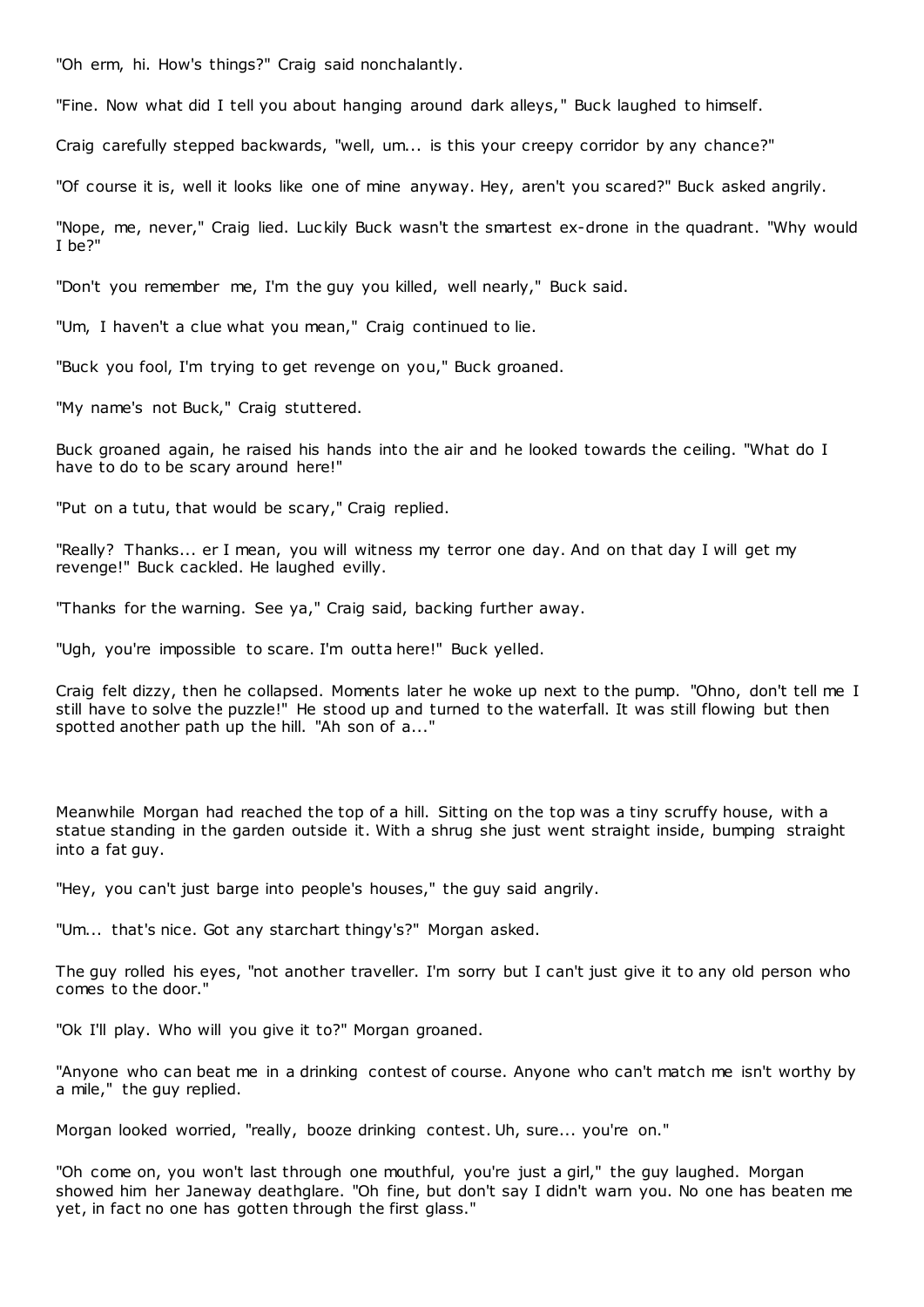"Oh erm, hi. How's things?" Craig said nonchalantly.

"Fine. Now what did I tell you about hanging around dark alleys," Buck laughed to himself.

Craig carefully stepped backwards, "well, um... is this your creepy corridor by any chance?"

"Of course it is, well it looks like one of mine anyway. Hey, aren't you scared?" Buck asked angrily.

"Nope, me, never," Craig lied. Luckily Buck wasn't the smartest ex-drone in the quadrant. "Why would I be?"

"Don't you remember me, I'm the guy you killed, well nearly," Buck said.

"Um, I haven't a clue what you mean," Craig continued to lie.

"Buck you fool, I'm trying to get revenge on you," Buck groaned.

"My name's not Buck," Craig stuttered.

Buck groaned again, he raised his hands into the air and he looked towards the ceiling. "What do I have to do to be scary around here!"

"Put on a tutu, that would be scary," Craig replied.

"Really? Thanks... er I mean, you will witness my terror one day. And on that day I will get my revenge!" Buck cackled. He laughed evilly.

"Thanks for the warning. See ya," Craig said, backing further away.

"Ugh, you're impossible to scare. I'm outta here!" Buck yelled.

Craig felt dizzy, then he collapsed. Moments later he woke up next to the pump. "Ohno, don't tell me I still have to solve the puzzle!" He stood up and turned to the waterfall. It was still flowing but then spotted another path up the hill. "Ah son of a..."

Meanwhile Morgan had reached the top of a hill. Sitting on the top was a tiny scruffy house, with a statue standing in the garden outside it. With a shrug she just went straight inside, bumping straight into a fat guy.

"Hey, you can't just barge into people's houses," the guy said angrily.

"Um... that's nice. Got any starchart thingy's?" Morgan asked.

The guy rolled his eyes, "not another traveller. I'm sorry but I can't just give it to any old person who comes to the door."

"Ok I'll play. Who will you give it to?" Morgan groaned.

"Anyone who can beat me in a drinking contest of course. Anyone who can't match me isn't worthy by a mile," the guy replied.

Morgan looked worried, "really, booze drinking contest. Uh, sure... you're on."

"Oh come on, you won't last through one mouthful, you're just a girl," the guy laughed. Morgan showed him her Janeway deathglare. "Oh fine, but don't say I didn't warn you. No one has beaten me yet, in fact no one has gotten through the first glass."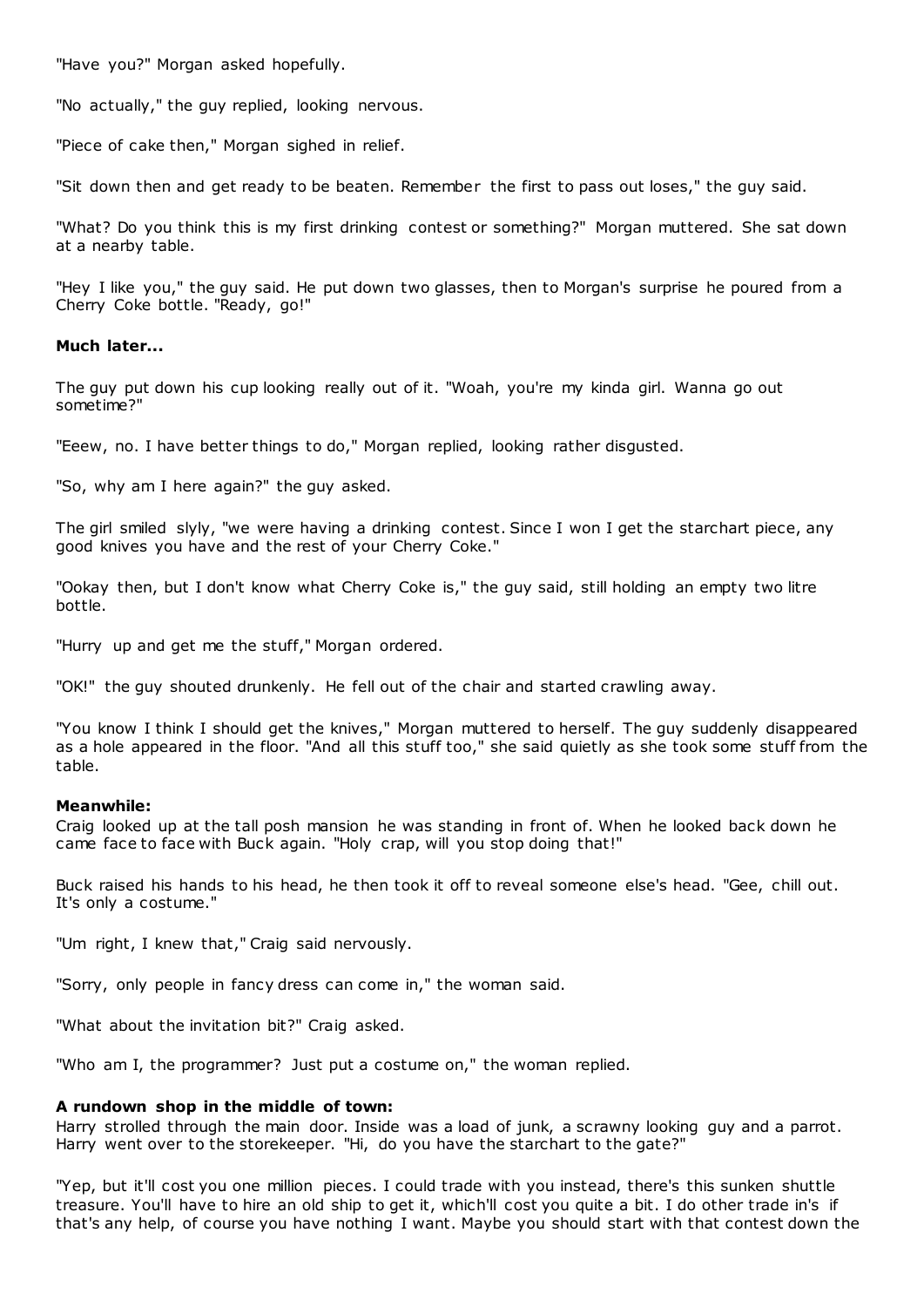"Have you?" Morgan asked hopefully.

"No actually," the guy replied, looking nervous.

"Piece of cake then," Morgan sighed in relief.

"Sit down then and get ready to be beaten. Remember the first to pass out loses," the guy said.

"What? Do you think this is my first drinking contest or something?" Morgan muttered. She sat down at a nearby table.

"Hey I like you," the guy said. He put down two glasses, then to Morgan's surprise he poured from a Cherry Coke bottle. "Ready, go!"

# **Much later...**

The guy put down his cup looking really out of it. "Woah, you're my kinda girl. Wanna go out sometime?"

"Eeew, no. I have better things to do," Morgan replied, looking rather disgusted.

"So, why am I here again?" the guy asked.

The girl smiled slyly, "we were having a drinking contest. Since I won I get the starchart piece, any good knives you have and the rest of your Cherry Coke."

"Ookay then, but I don't know what Cherry Coke is," the guy said, still holding an empty two litre bottle.

"Hurry up and get me the stuff," Morgan ordered.

"OK!" the guy shouted drunkenly. He fell out of the chair and started crawling away.

"You know I think I should get the knives," Morgan muttered to herself. The guy suddenly disappeared as a hole appeared in the floor. "And all this stuff too," she said quietly as she took some stuff from the table.

# **Meanwhile:**

Craig looked up at the tall posh mansion he was standing in front of. When he looked back down he came face to face with Buck again. "Holy crap, will you stop doing that!"

Buck raised his hands to his head, he then took it off to reveal someone else's head. "Gee, chill out. It's only a costume."

"Um right, I knew that," Craig said nervously.

"Sorry, only people in fancy dress can come in," the woman said.

"What about the invitation bit?" Craig asked.

"Who am I, the programmer? Just put a costume on," the woman replied.

# **A rundown shop in the middle of town:**

Harry strolled through the main door. Inside was a load of junk, a scrawny looking guy and a parrot. Harry went over to the storekeeper. "Hi, do you have the starchart to the gate?"

"Yep, but it'll cost you one million pieces. I could trade with you instead, there's this sunken shuttle treasure. You'll have to hire an old ship to get it, which'll cost you quite a bit. I do other trade in's if that's any help, of course you have nothing I want. Maybe you should start with that contest down the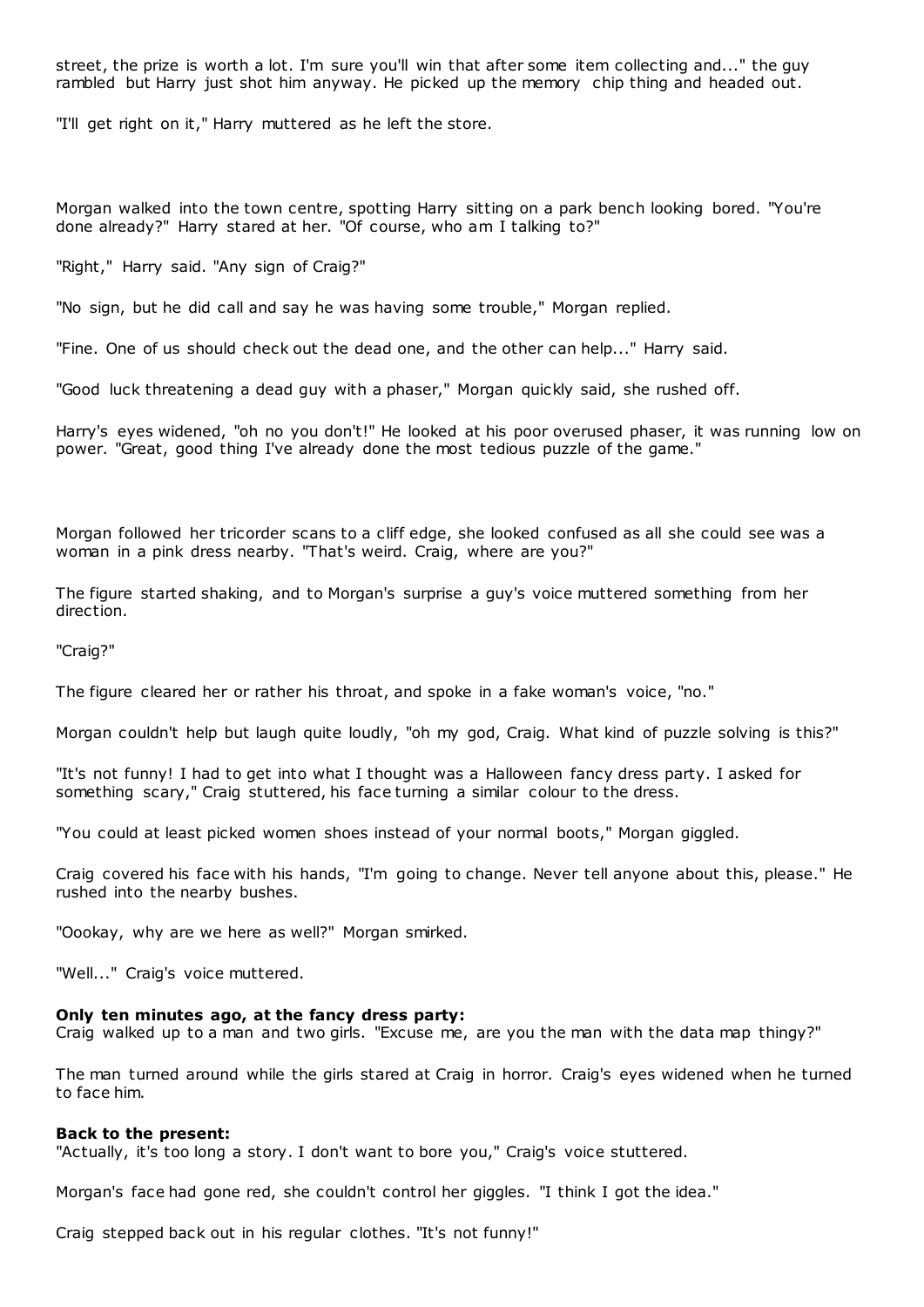street, the prize is worth a lot. I'm sure you'll win that after some item collecting and..." the guy rambled but Harry just shot him anyway. He picked up the memory chip thing and headed out.

"I'll get right on it," Harry muttered as he left the store.

Morgan walked into the town centre, spotting Harry sitting on a park bench looking bored. "You're done already?" Harry stared at her. "Of course, who am I talking to?"

"Right," Harry said. "Any sign of Craig?"

"No sign, but he did call and say he was having some trouble," Morgan replied.

"Fine. One of us should check out the dead one, and the other can help..." Harry said.

"Good luck threatening a dead guy with a phaser," Morgan quickly said, she rushed off.

Harry's eyes widened, "oh no you don't!" He looked at his poor overused phaser, it was running low on power. "Great, good thing I've already done the most tedious puzzle of the game."

Morgan followed her tricorder scans to a cliff edge, she looked confused as all she could see was a woman in a pink dress nearby. "That's weird. Craig, where are you?"

The figure started shaking, and to Morgan's surprise a guy's voice muttered something from her direction.

"Craig?"

The figure cleared her or rather his throat, and spoke in a fake woman's voice, "no."

Morgan couldn't help but laugh quite loudly, "oh my god, Craig. What kind of puzzle solving is this?"

"It's not funny! I had to get into what I thought was a Halloween fancy dress party. I asked for something scary," Craig stuttered, his face turning a similar colour to the dress.

"You could at least picked women shoes instead of your normal boots," Morgan giggled.

Craig covered his face with his hands, "I'm going to change. Never tell anyone about this, please." He rushed into the nearby bushes.

"Oookay, why are we here as well?" Morgan smirked.

"Well..." Craig's voice muttered.

#### **Only ten minutes ago, at the fancy dress party:**

Craig walked up to a man and two girls. "Excuse me, are you the man with the data map thingy?"

The man turned around while the girls stared at Craig in horror. Craig's eyes widened when he turned to face him.

#### **Back to the present:**

"Actually, it's too long a story. I don't want to bore you," Craig's voice stuttered.

Morgan's face had gone red, she couldn't control her giggles. "I think I got the idea."

Craig stepped back out in his regular clothes. "It's not funny!"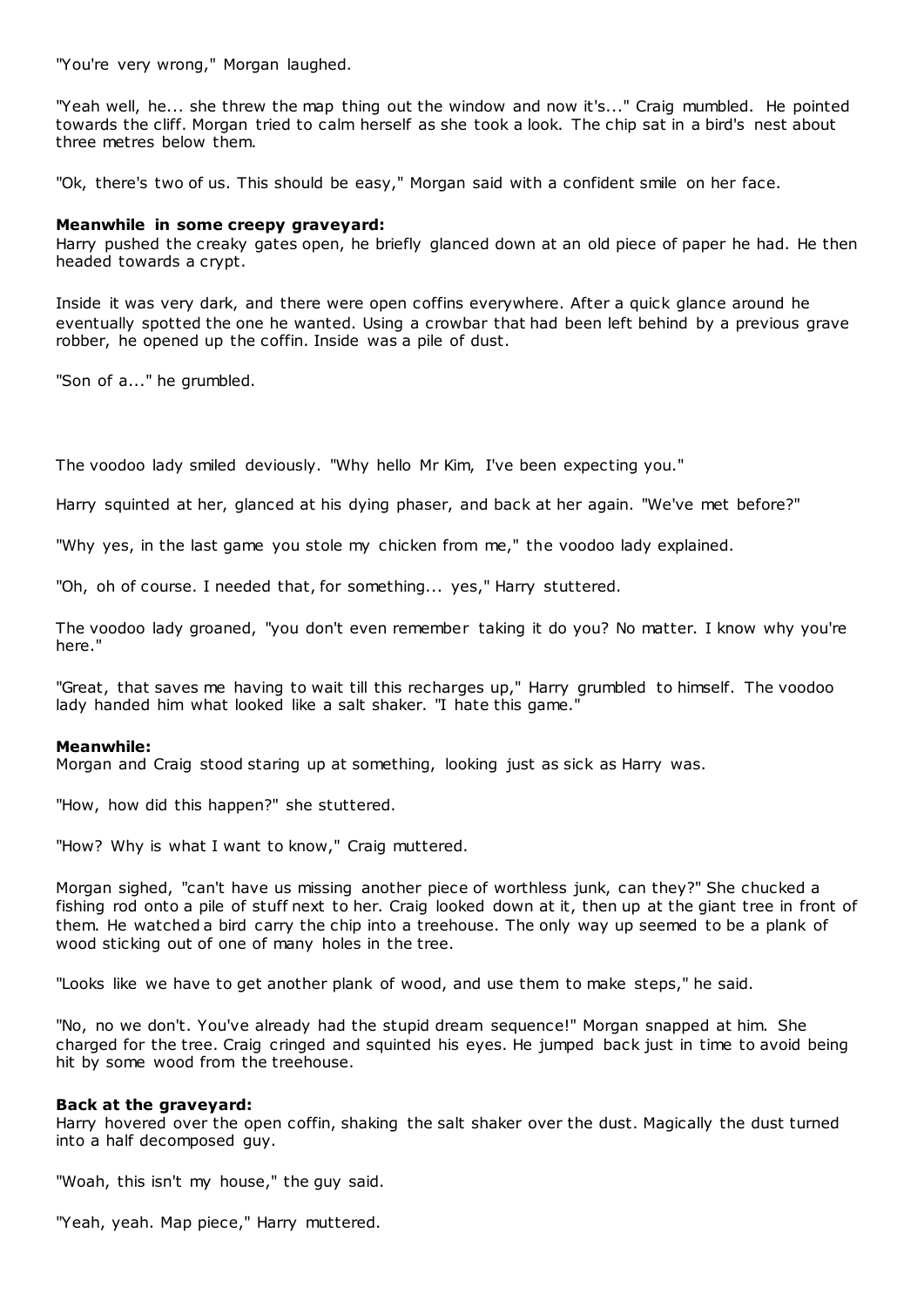"You're very wrong," Morgan laughed.

"Yeah well, he... she threw the map thing out the window and now it's..." Craig mumbled. He pointed towards the cliff. Morgan tried to calm herself as she took a look. The chip sat in a bird's nest about three metres below them.

"Ok, there's two of us. This should be easy," Morgan said with a confident smile on her face.

# **Meanwhile in some creepy graveyard:**

Harry pushed the creaky gates open, he briefly glanced down at an old piece of paper he had. He then headed towards a crypt.

Inside it was very dark, and there were open coffins everywhere. After a quick glance around he eventually spotted the one he wanted. Using a crowbar that had been left behind by a previous grave robber, he opened up the coffin. Inside was a pile of dust.

"Son of a..." he grumbled.

The voodoo lady smiled deviously. "Why hello Mr Kim, I've been expecting you."

Harry squinted at her, glanced at his dying phaser, and back at her again. "We've met before?"

"Why yes, in the last game you stole my chicken from me," the voodoo lady explained.

"Oh, oh of course. I needed that, for something... yes," Harry stuttered.

The voodoo lady groaned, "you don't even remember taking it do you? No matter. I know why you're here."

"Great, that saves me having to wait till this recharges up," Harry grumbled to himself. The voodoo lady handed him what looked like a salt shaker. "I hate this game."

# **Meanwhile:**

Morgan and Craig stood staring up at something, looking just as sick as Harry was.

"How, how did this happen?" she stuttered.

"How? Why is what I want to know," Craig muttered.

Morgan sighed, "can't have us missing another piece of worthless junk, can they?" She chucked a fishing rod onto a pile of stuff next to her. Craig looked down at it, then up at the giant tree in front of them. He watched a bird carry the chip into a treehouse. The only way up seemed to be a plank of wood sticking out of one of many holes in the tree.

"Looks like we have to get another plank of wood, and use them to make steps," he said.

"No, no we don't. You've already had the stupid dream sequence!" Morgan snapped at him. She charged for the tree. Craig cringed and squinted his eyes. He jumped back just in time to avoid being hit by some wood from the treehouse.

# **Back at the graveyard:**

Harry hovered over the open coffin, shaking the salt shaker over the dust. Magically the dust turned into a half decomposed guy.

"Woah, this isn't my house," the guy said.

"Yeah, yeah. Map piece," Harry muttered.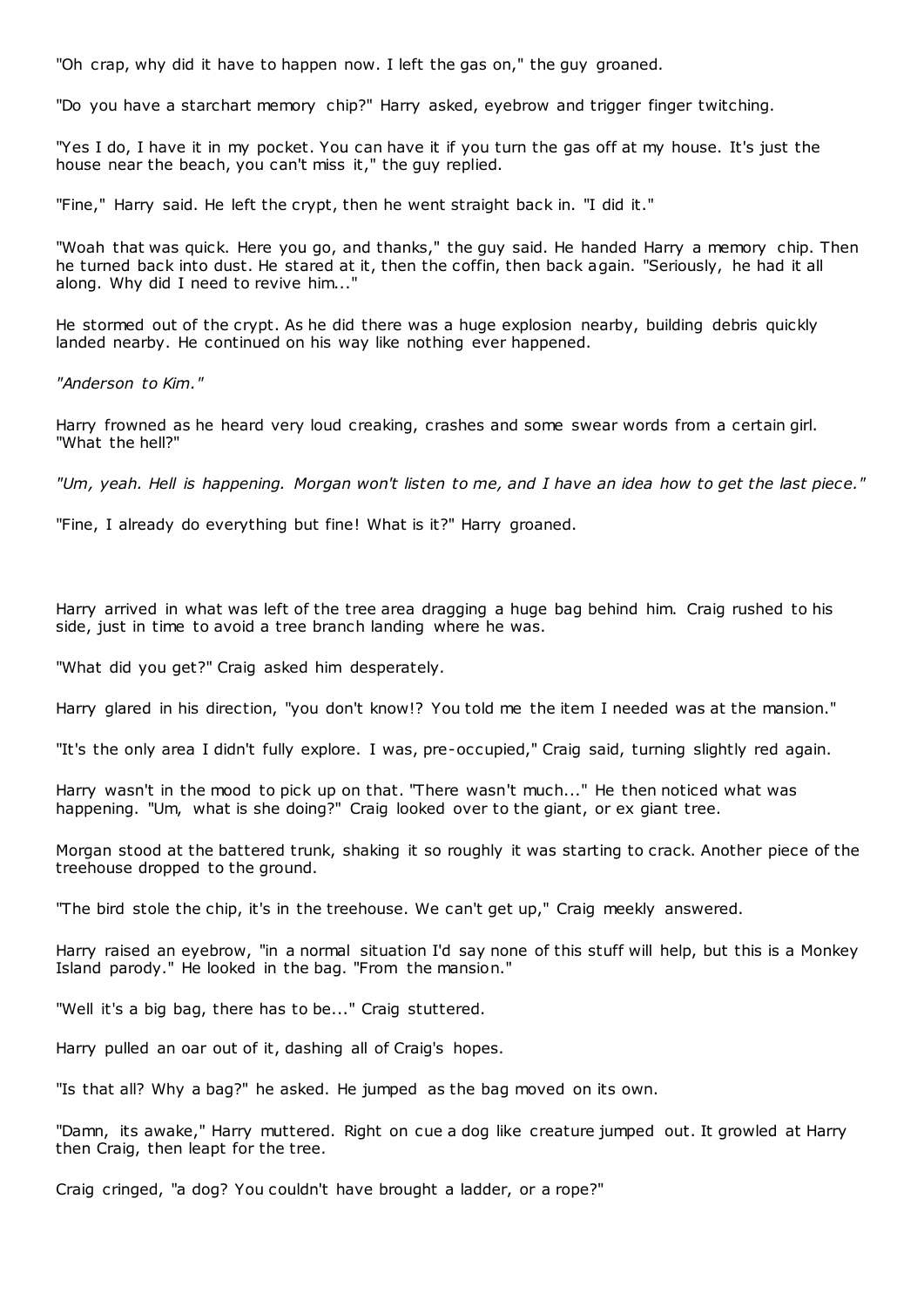"Oh crap, why did it have to happen now. I left the gas on," the guy groaned.

"Do you have a starchart memory chip?" Harry asked, eyebrow and trigger finger twitching.

"Yes I do, I have it in my pocket. You can have it if you turn the gas off at my house. It's just the house near the beach, you can't miss it," the guy replied.

"Fine," Harry said. He left the crypt, then he went straight back in. "I did it."

"Woah that was quick. Here you go, and thanks," the guy said. He handed Harry a memory chip. Then he turned back into dust. He stared at it, then the coffin, then back again. "Seriously, he had it all along. Why did I need to revive him..."

He stormed out of the crypt. As he did there was a huge explosion nearby, building debris quickly landed nearby. He continued on his way like nothing ever happened.

*"Anderson to Kim."*

Harry frowned as he heard very loud creaking, crashes and some swear words from a certain girl. "What the hell?"

*"Um, yeah. Hell is happening. Morgan won't listen to me, and I have an idea how to get the last piece."*

"Fine, I already do everything but fine! What is it?" Harry groaned.

Harry arrived in what was left of the tree area dragging a huge bag behind him. Craig rushed to his side, just in time to avoid a tree branch landing where he was.

"What did you get?" Craig asked him desperately.

Harry glared in his direction, "you don't know!? You told me the item I needed was at the mansion."

"It's the only area I didn't fully explore. I was, pre-occupied," Craig said, turning slightly red again.

Harry wasn't in the mood to pick up on that. "There wasn't much..." He then noticed what was happening. "Um, what is she doing?" Craig looked over to the giant, or ex giant tree.

Morgan stood at the battered trunk, shaking it so roughly it was starting to crack. Another piece of the treehouse dropped to the ground.

"The bird stole the chip, it's in the treehouse. We can't get up," Craig meekly answered.

Harry raised an eyebrow, "in a normal situation I'd say none of this stuff will help, but this is a Monkey Island parody." He looked in the bag. "From the mansion."

"Well it's a big bag, there has to be..." Craig stuttered.

Harry pulled an oar out of it, dashing all of Craig's hopes.

"Is that all? Why a bag?" he asked. He jumped as the bag moved on its own.

"Damn, its awake," Harry muttered. Right on cue a dog like creature jumped out. It growled at Harry then Craig, then leapt for the tree.

Craig cringed, "a dog? You couldn't have brought a ladder, or a rope?"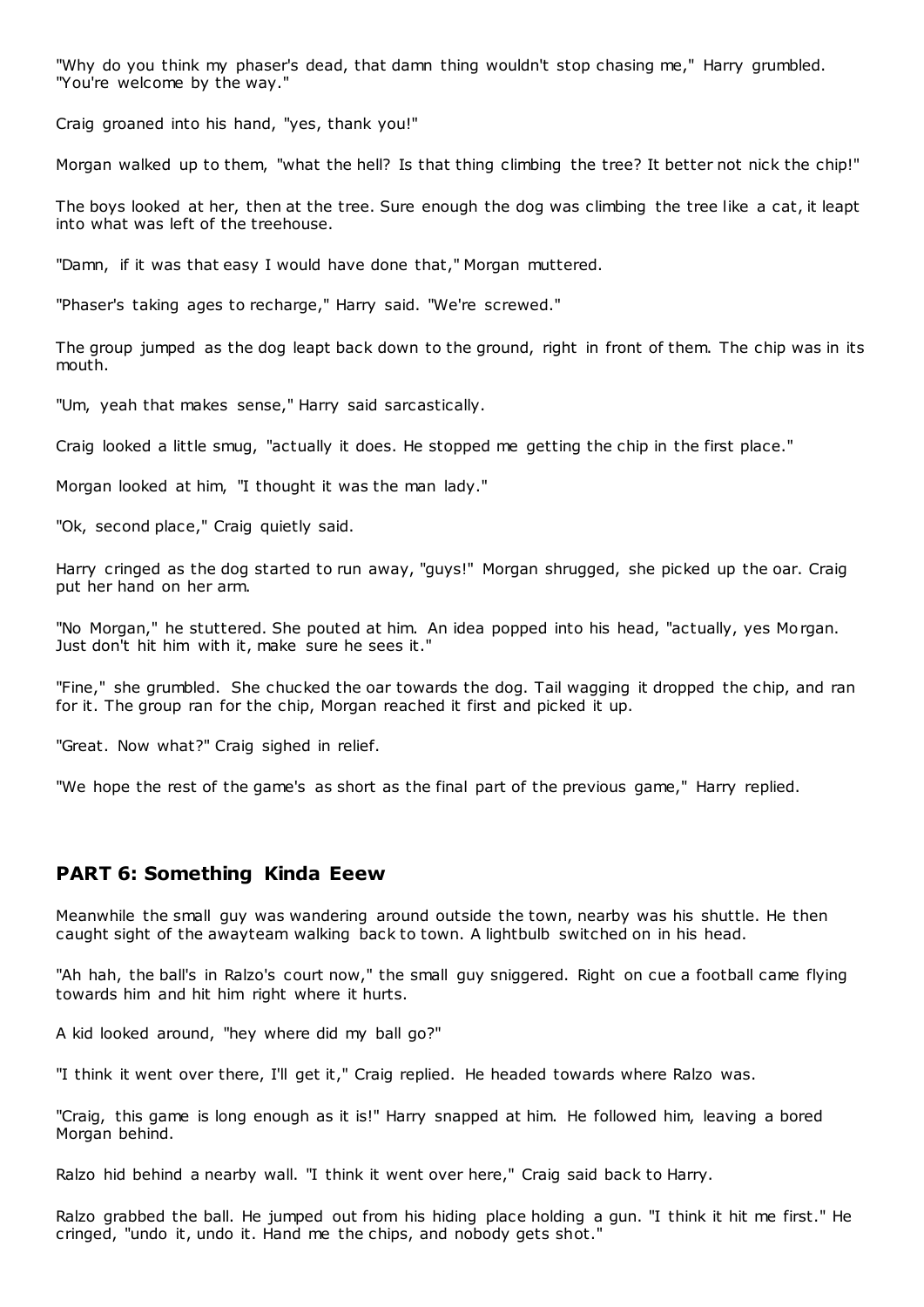"Why do you think my phaser's dead, that damn thing wouldn't stop chasing me," Harry grumbled. "You're welcome by the way."

Craig groaned into his hand, "yes, thank you!"

Morgan walked up to them, "what the hell? Is that thing climbing the tree? It better not nick the chip!"

The boys looked at her, then at the tree. Sure enough the dog was climbing the tree like a cat, it leapt into what was left of the treehouse.

"Damn, if it was that easy I would have done that," Morgan muttered.

"Phaser's taking ages to recharge," Harry said. "We're screwed."

The group jumped as the dog leapt back down to the ground, right in front of them. The chip was in its mouth.

"Um, yeah that makes sense," Harry said sarcastically.

Craig looked a little smug, "actually it does. He stopped me getting the chip in the first place."

Morgan looked at him, "I thought it was the man lady."

"Ok, second place," Craig quietly said.

Harry cringed as the dog started to run away, "guys!" Morgan shrugged, she picked up the oar. Craig put her hand on her arm.

"No Morgan," he stuttered. She pouted at him. An idea popped into his head, "actually, yes Morgan. Just don't hit him with it, make sure he sees it."

"Fine," she grumbled. She chucked the oar towards the dog. Tail wagging it dropped the chip, and ran for it. The group ran for the chip, Morgan reached it first and picked it up.

"Great. Now what?" Craig sighed in relief.

"We hope the rest of the game's as short as the final part of the previous game," Harry replied.

# **PART 6: Something Kinda Eeew**

Meanwhile the small guy was wandering around outside the town, nearby was his shuttle. He then caught sight of the awayteam walking back to town. A lightbulb switched on in his head.

"Ah hah, the ball's in Ralzo's court now," the small guy sniggered. Right on cue a football came flying towards him and hit him right where it hurts.

A kid looked around, "hey where did my ball go?"

"I think it went over there, I'll get it," Craig replied. He headed towards where Ralzo was.

"Craig, this game is long enough as it is!" Harry snapped at him. He followed him, leaving a bored Morgan behind.

Ralzo hid behind a nearby wall. "I think it went over here," Craig said back to Harry.

Ralzo grabbed the ball. He jumped out from his hiding place holding a gun. "I think it hit me first." He cringed, "undo it, undo it. Hand me the chips, and nobody gets shot."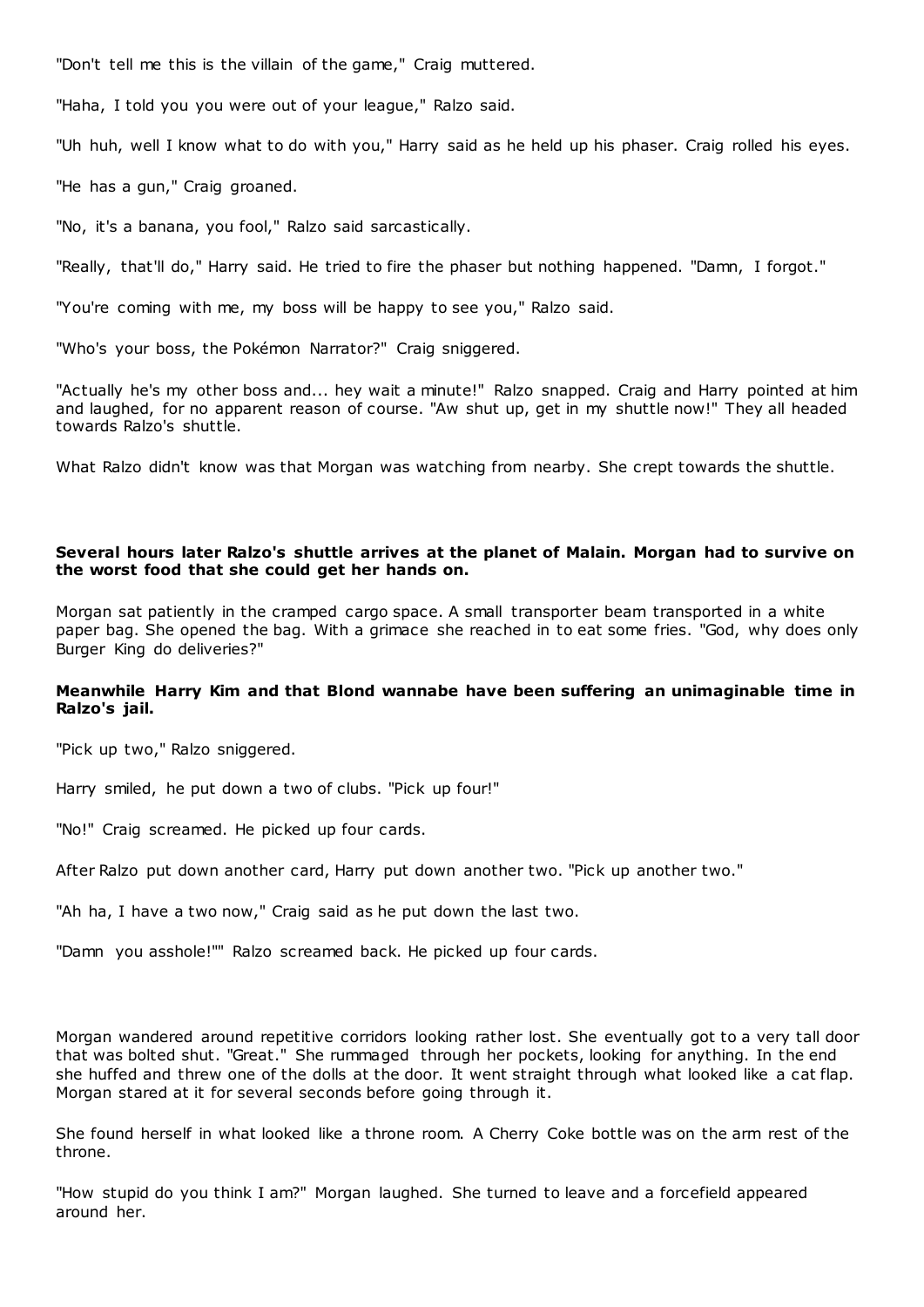"Don't tell me this is the villain of the game," Craig muttered.

"Haha, I told you you were out of your league," Ralzo said.

"Uh huh, well I know what to do with you," Harry said as he held up his phaser. Craig rolled his eyes.

"He has a gun," Craig groaned.

"No, it's a banana, you fool," Ralzo said sarcastically.

"Really, that'll do," Harry said. He tried to fire the phaser but nothing happened. "Damn, I forgot."

"You're coming with me, my boss will be happy to see you," Ralzo said.

"Who's your boss, the Pokémon Narrator?" Craig sniggered.

"Actually he's my other boss and... hey wait a minute!" Ralzo snapped. Craig and Harry pointed at him and laughed, for no apparent reason of course. "Aw shut up, get in my shuttle now!" They all headed towards Ralzo's shuttle.

What Ralzo didn't know was that Morgan was watching from nearby. She crept towards the shuttle.

# **Several hours later Ralzo's shuttle arrives at the planet of Malain. Morgan had to survive on the worst food that she could get her hands on.**

Morgan sat patiently in the cramped cargo space. A small transporter beam transported in a white paper bag. She opened the bag. With a grimace she reached in to eat some fries. "God, why does only Burger King do deliveries?"

# **Meanwhile Harry Kim and that Blond wannabe have been suffering an unimaginable time in Ralzo's jail.**

"Pick up two," Ralzo sniggered.

Harry smiled, he put down a two of clubs. "Pick up four!"

"No!" Craig screamed. He picked up four cards.

After Ralzo put down another card, Harry put down another two. "Pick up another two."

"Ah ha, I have a two now," Craig said as he put down the last two.

"Damn you asshole!"" Ralzo screamed back. He picked up four cards.

Morgan wandered around repetitive corridors looking rather lost. She eventually got to a very tall door that was bolted shut. "Great." She rummaged through her pockets, looking for anything. In the end she huffed and threw one of the dolls at the door. It went straight through what looked like a cat flap. Morgan stared at it for several seconds before going through it.

She found herself in what looked like a throne room. A Cherry Coke bottle was on the arm rest of the throne.

"How stupid do you think I am?" Morgan laughed. She turned to leave and a forcefield appeared around her.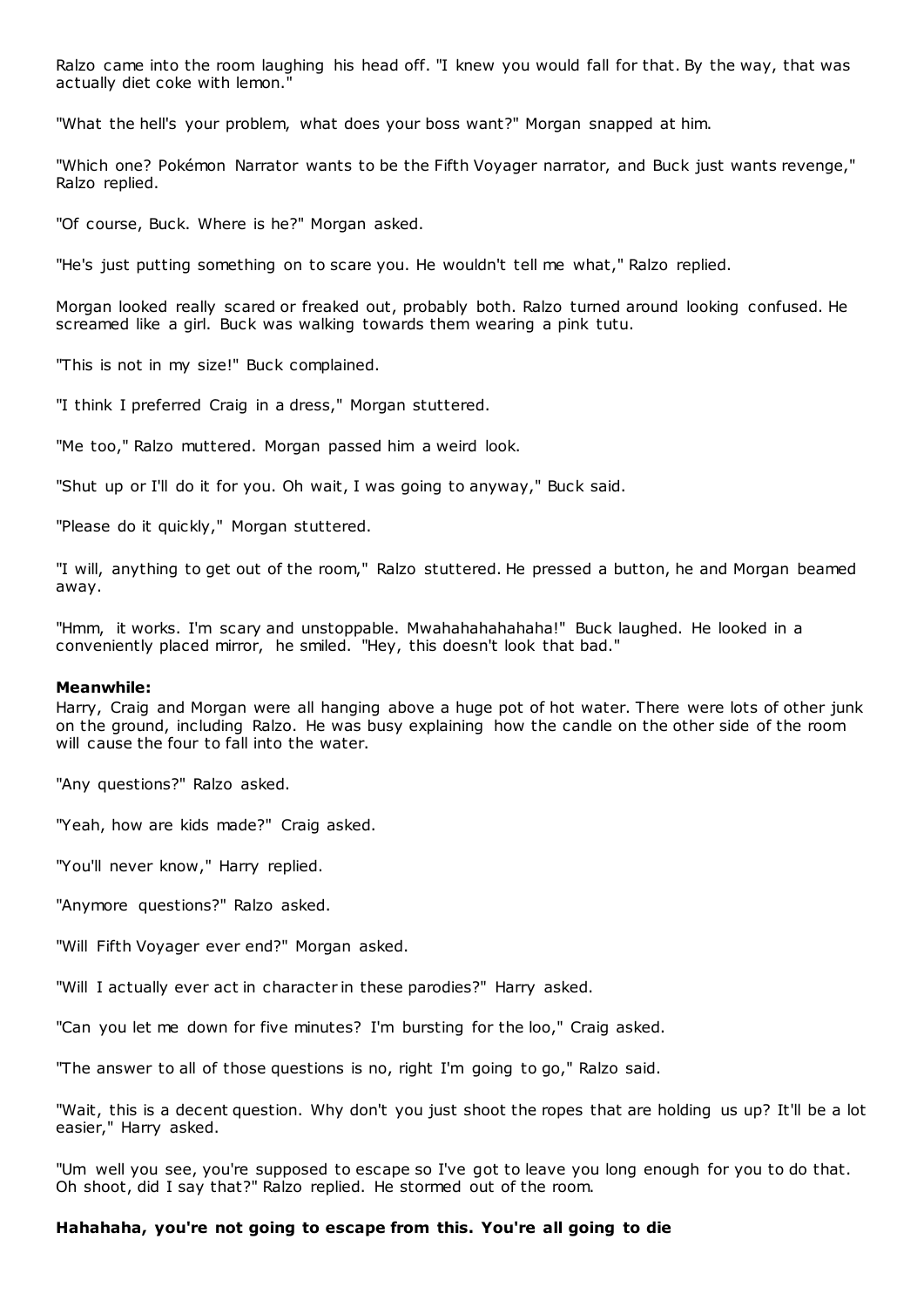Ralzo came into the room laughing his head off. "I knew you would fall for that. By the way, that was actually diet coke with lemon."

"What the hell's your problem, what does your boss want?" Morgan snapped at him.

"Which one? Pokémon Narrator wants to be the Fifth Voyager narrator, and Buck just wants revenge," Ralzo replied.

"Of course, Buck. Where is he?" Morgan asked.

"He's just putting something on to scare you. He wouldn't tell me what," Ralzo replied.

Morgan looked really scared or freaked out, probably both. Ralzo turned around looking confused. He screamed like a girl. Buck was walking towards them wearing a pink tutu.

"This is not in my size!" Buck complained.

"I think I preferred Craig in a dress," Morgan stuttered.

"Me too," Ralzo muttered. Morgan passed him a weird look.

"Shut up or I'll do it for you. Oh wait, I was going to anyway," Buck said.

"Please do it quickly," Morgan stuttered.

"I will, anything to get out of the room," Ralzo stuttered. He pressed a button, he and Morgan beamed away.

"Hmm, it works. I'm scary and unstoppable. Mwahahahahahaha!" Buck laughed. He looked in a conveniently placed mirror, he smiled. "Hey, this doesn't look that bad."

#### **Meanwhile:**

Harry, Craig and Morgan were all hanging above a huge pot of hot water. There were lots of other junk on the ground, including Ralzo. He was busy explaining how the candle on the other side of the room will cause the four to fall into the water.

"Any questions?" Ralzo asked.

"Yeah, how are kids made?" Craig asked.

"You'll never know," Harry replied.

"Anymore questions?" Ralzo asked.

"Will Fifth Voyager ever end?" Morgan asked.

"Will I actually ever act in character in these parodies?" Harry asked.

"Can you let me down for five minutes? I'm bursting for the loo," Craig asked.

"The answer to all of those questions is no, right I'm going to go," Ralzo said.

"Wait, this is a decent question. Why don't you just shoot the ropes that are holding us up? It'll be a lot easier," Harry asked.

"Um well you see, you're supposed to escape so I've got to leave you long enough for you to do that. Oh shoot, did I say that?" Ralzo replied. He stormed out of the room.

#### **Hahahaha, you're not going to escape from this. You're all going to die**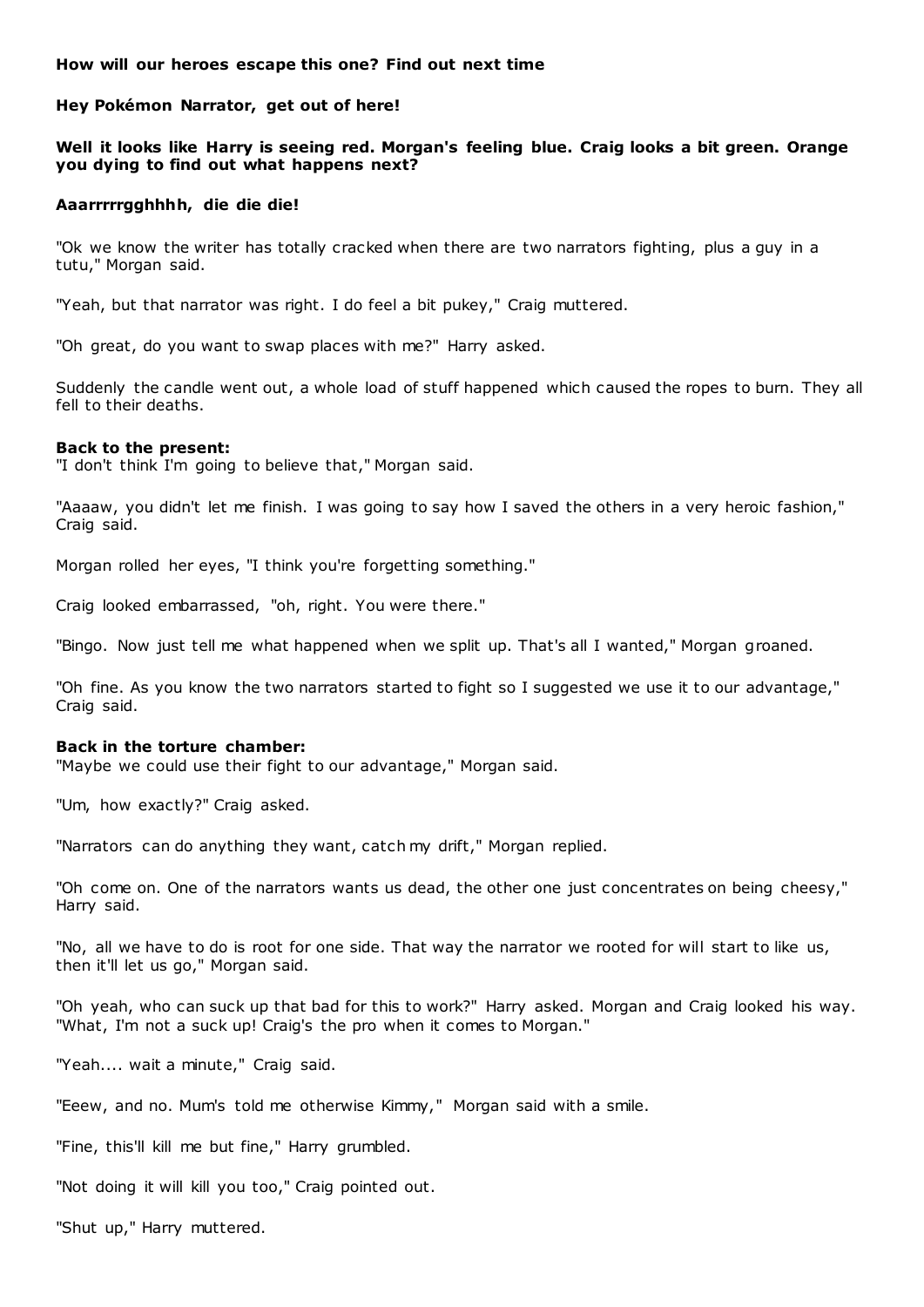# **How will our heroes escape this one? Find out next time**

# **Hey Pokémon Narrator, get out of here!**

# **Well it looks like Harry is seeing red. Morgan's feeling blue. Craig looks a bit green. Orange you dying to find out what happens next?**

# **Aaarrrrrgghhhh, die die die!**

"Ok we know the writer has totally cracked when there are two narrators fighting, plus a guy in a tutu," Morgan said.

"Yeah, but that narrator was right. I do feel a bit pukey," Craig muttered.

"Oh great, do you want to swap places with me?" Harry asked.

Suddenly the candle went out, a whole load of stuff happened which caused the ropes to burn. They all fell to their deaths.

# **Back to the present:**

"I don't think I'm going to believe that," Morgan said.

"Aaaaw, you didn't let me finish. I was going to say how I saved the others in a very heroic fashion," Craig said.

Morgan rolled her eyes, "I think you're forgetting something."

Craig looked embarrassed, "oh, right. You were there."

"Bingo. Now just tell me what happened when we split up. That's all I wanted," Morgan groaned.

"Oh fine. As you know the two narrators started to fight so I suggested we use it to our advantage," Craig said.

# **Back in the torture chamber:**

"Maybe we could use their fight to our advantage," Morgan said.

"Um, how exactly?" Craig asked.

"Narrators can do anything they want, catch my drift," Morgan replied.

"Oh come on. One of the narrators wants us dead, the other one just concentrates on being cheesy," Harry said.

"No, all we have to do is root for one side. That way the narrator we rooted for will start to like us, then it'll let us go," Morgan said.

"Oh yeah, who can suck up that bad for this to work?" Harry asked. Morgan and Craig looked his way. "What, I'm not a suck up! Craig's the pro when it comes to Morgan."

"Yeah.... wait a minute," Craig said.

"Eeew, and no. Mum's told me otherwise Kimmy," Morgan said with a smile.

"Fine, this'll kill me but fine," Harry grumbled.

"Not doing it will kill you too," Craig pointed out.

"Shut up," Harry muttered.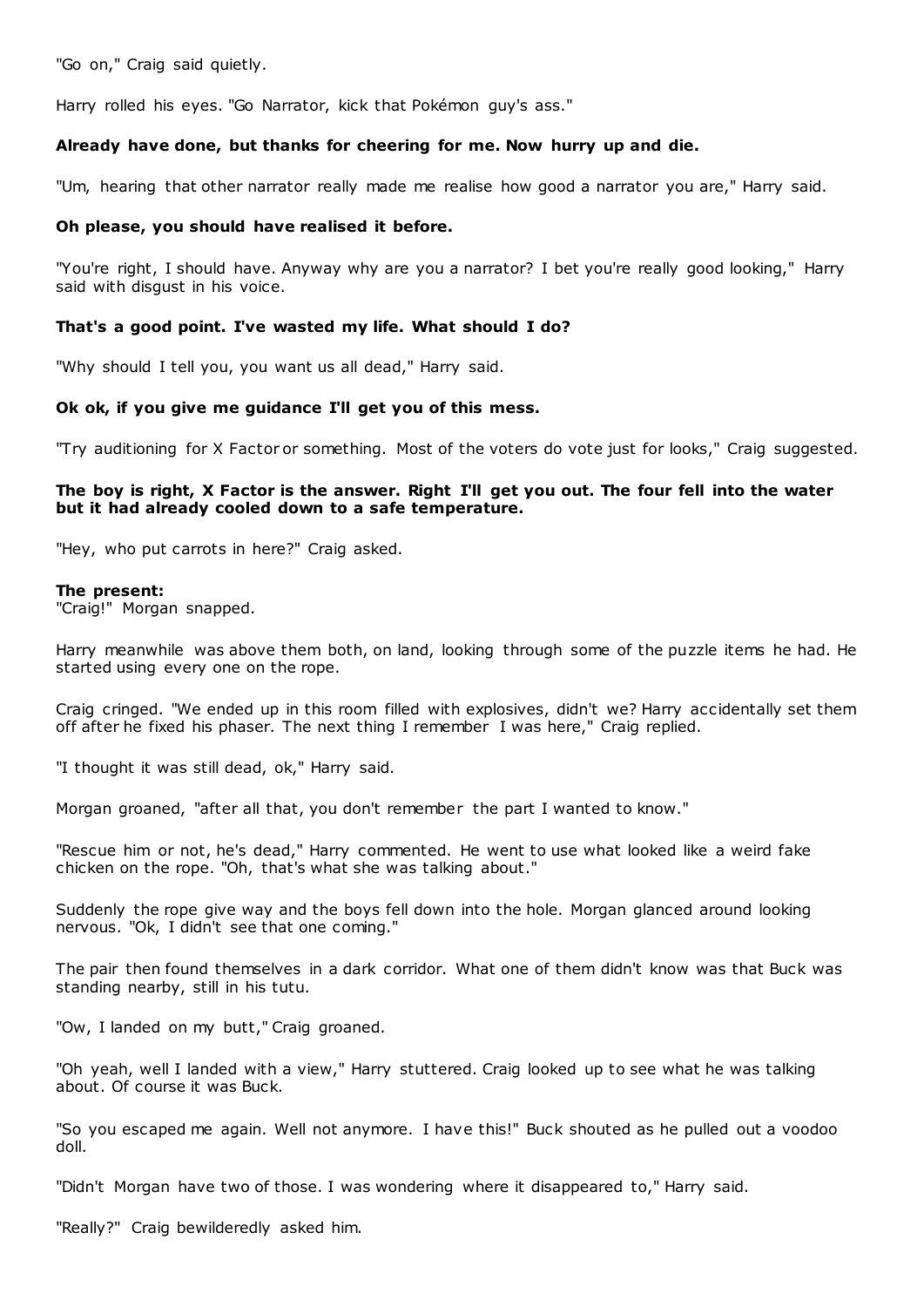"Go on," Craig said quietly.

Harry rolled his eyes. "Go Narrator, kick that Pokémon guy's ass."

# **Already have done, but thanks for cheering for me. Now hurry up and die.**

"Um, hearing that other narrator really made me realise how good a narrator you are," Harry said.

# **Oh please, you should have realised it before.**

"You're right, I should have. Anyway why are you a narrator? I bet you're really good looking," Harry said with disgust in his voice.

# **That's a good point. I've wasted my life. What should I do?**

"Why should I tell you, you want us all dead," Harry said.

# **Ok ok, if you give me guidance I'll get you of this mess.**

"Try auditioning for X Factor or something. Most of the voters do vote just for looks," Craig suggested.

# **The boy is right, X Factor is the answer. Right I'll get you out. The four fell into the water but it had already cooled down to a safe temperature.**

"Hey, who put carrots in here?" Craig asked.

# **The present:**

"Craig!" Morgan snapped.

Harry meanwhile was above them both, on land, looking through some of the puzzle items he had. He started using every one on the rope.

Craig cringed. "We ended up in this room filled with explosives, didn't we? Harry accidentally set them off after he fixed his phaser. The next thing I remember I was here," Craig replied.

"I thought it was still dead, ok," Harry said.

Morgan groaned, "after all that, you don't remember the part I wanted to know."

"Rescue him or not, he's dead," Harry commented. He went to use what looked like a weird fake chicken on the rope. "Oh, that's what she was talking about."

Suddenly the rope give way and the boys fell down into the hole. Morgan glanced around looking nervous. "Ok, I didn't see that one coming."

The pair then found themselves in a dark corridor. What one of them didn't know was that Buck was standing nearby, still in his tutu.

"Ow, I landed on my butt," Craig groaned.

"Oh yeah, well I landed with a view," Harry stuttered. Craig looked up to see what he was talking about. Of course it was Buck.

"So you escaped me again. Well not anymore. I have this!" Buck shouted as he pulled out a voodoo doll.

"Didn't Morgan have two of those. I was wondering where it disappeared to," Harry said.

"Really?" Craig bewilderedly asked him.